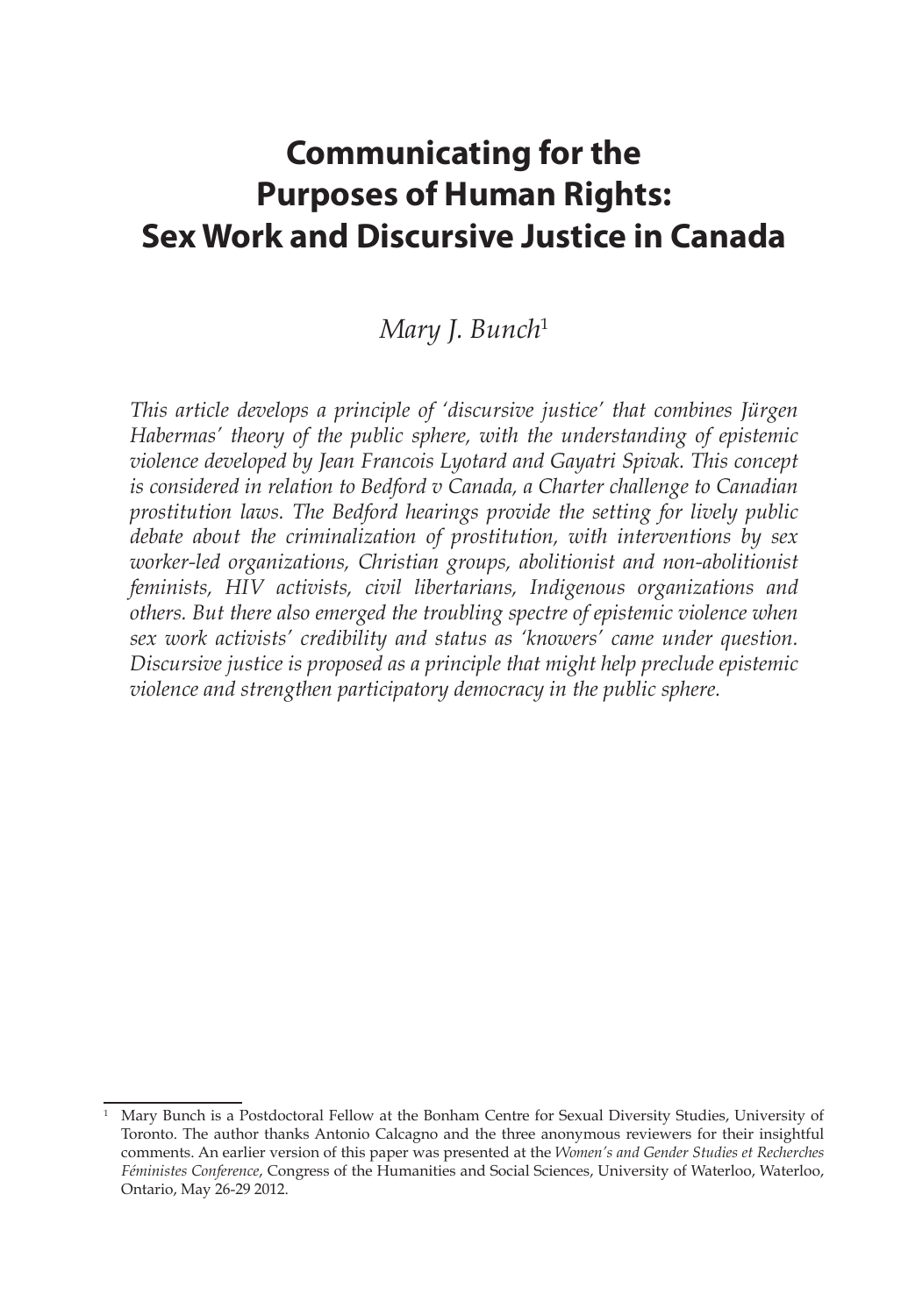# **Communicating for the Purposes of Human Rights: Sex Work and Discursive Justice in Canada**

# *Mary J. Bunch*<sup>1</sup>

*This article develops a principle of 'discursive justice' that combines Jürgen Habermas' theory of the public sphere, with the understanding of epistemic violence developed by Jean Francois Lyotard and Gayatri Spivak. This concept is considered in relation to Bedford v Canada, a Charter challenge to Canadian prostitution laws. The Bedford hearings provide the setting for lively public debate about the criminalization of prostitution, with interventions by sex worker-led organizations, Christian groups, abolitionist and non-abolitionist feminists, HIV activists, civil libertarians, Indigenous organizations and others. But there also emerged the troubling spectre of epistemic violence when sex work activists' credibility and status as 'knowers' came under question. Discursive justice is proposed as a principle that might help preclude epistemic violence and strengthen participatory democracy in the public sphere.*

<sup>1</sup> Mary Bunch is a Postdoctoral Fellow at the Bonham Centre for Sexual Diversity Studies, University of Toronto. The author thanks Antonio Calcagno and the three anonymous reviewers for their insightful comments. An earlier version of this paper was presented at the *Women's and Gender Studies et Recherches Féministes Conference*, Congress of the Humanities and Social Sciences, University of Waterloo, Waterloo, Ontario, May 26-29 2012.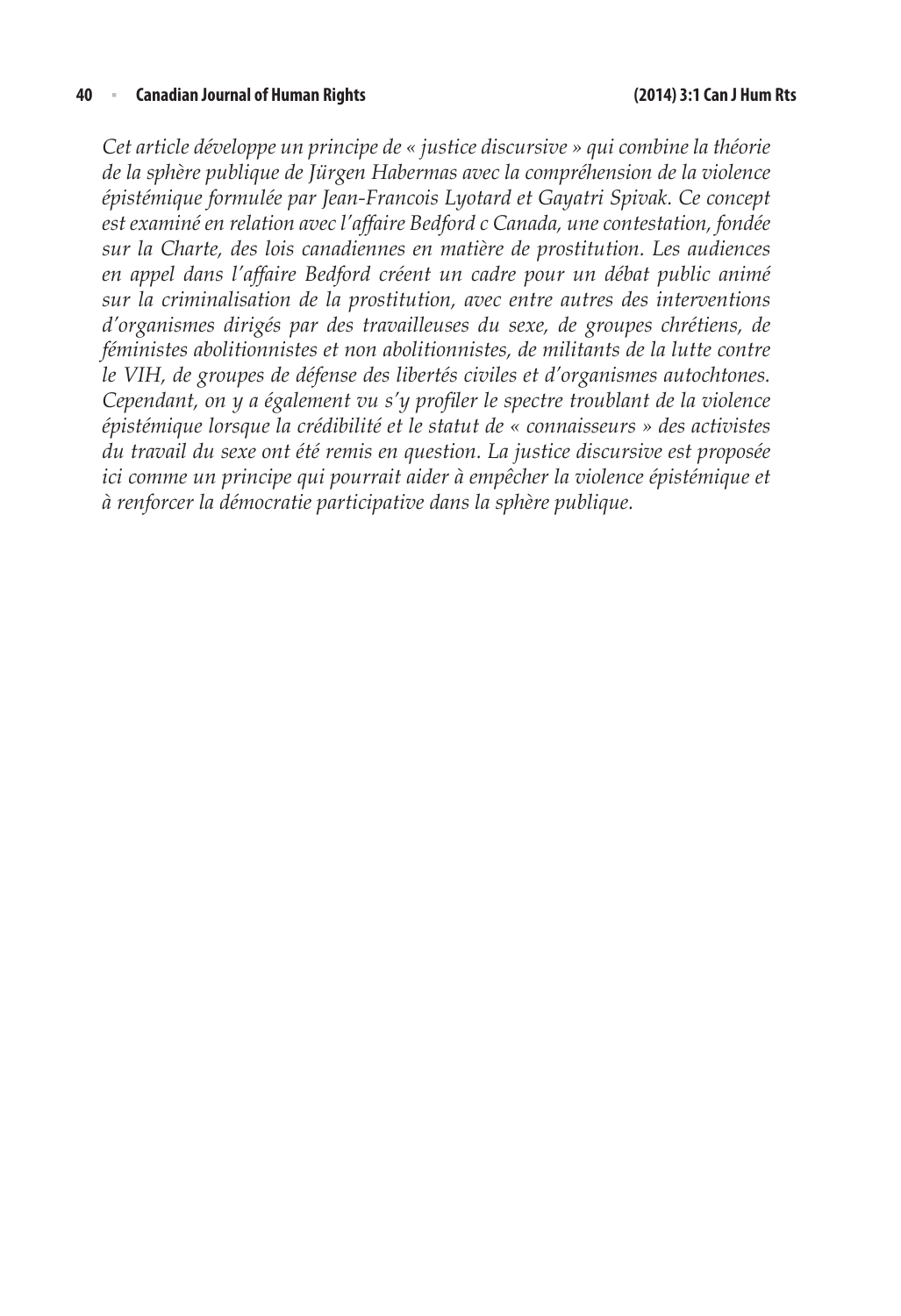*Cet article développe un principe de « justice discursive » qui combine la théorie de la sphère publique de Jürgen Habermas avec la compréhension de la violence épistémique formulée par Jean-Francois Lyotard et Gayatri Spivak. Ce concept est examiné en relation avec l'affaire Bedford c Canada, une contestation, fondée sur la Charte, des lois canadiennes en matière de prostitution. Les audiences en appel dans l'affaire Bedford créent un cadre pour un débat public animé sur la criminalisation de la prostitution, avec entre autres des interventions d'organismes dirigés par des travailleuses du sexe, de groupes chrétiens, de féministes abolitionnistes et non abolitionnistes, de militants de la lutte contre le VIH, de groupes de défense des libertés civiles et d'organismes autochtones. Cependant, on y a également vu s'y profiler le spectre troublant de la violence épistémique lorsque la crédibilité et le statut de « connaisseurs » des activistes du travail du sexe ont été remis en question. La justice discursive est proposée ici comme un principe qui pourrait aider à empêcher la violence épistémique et à renforcer la démocratie participative dans la sphère publique.*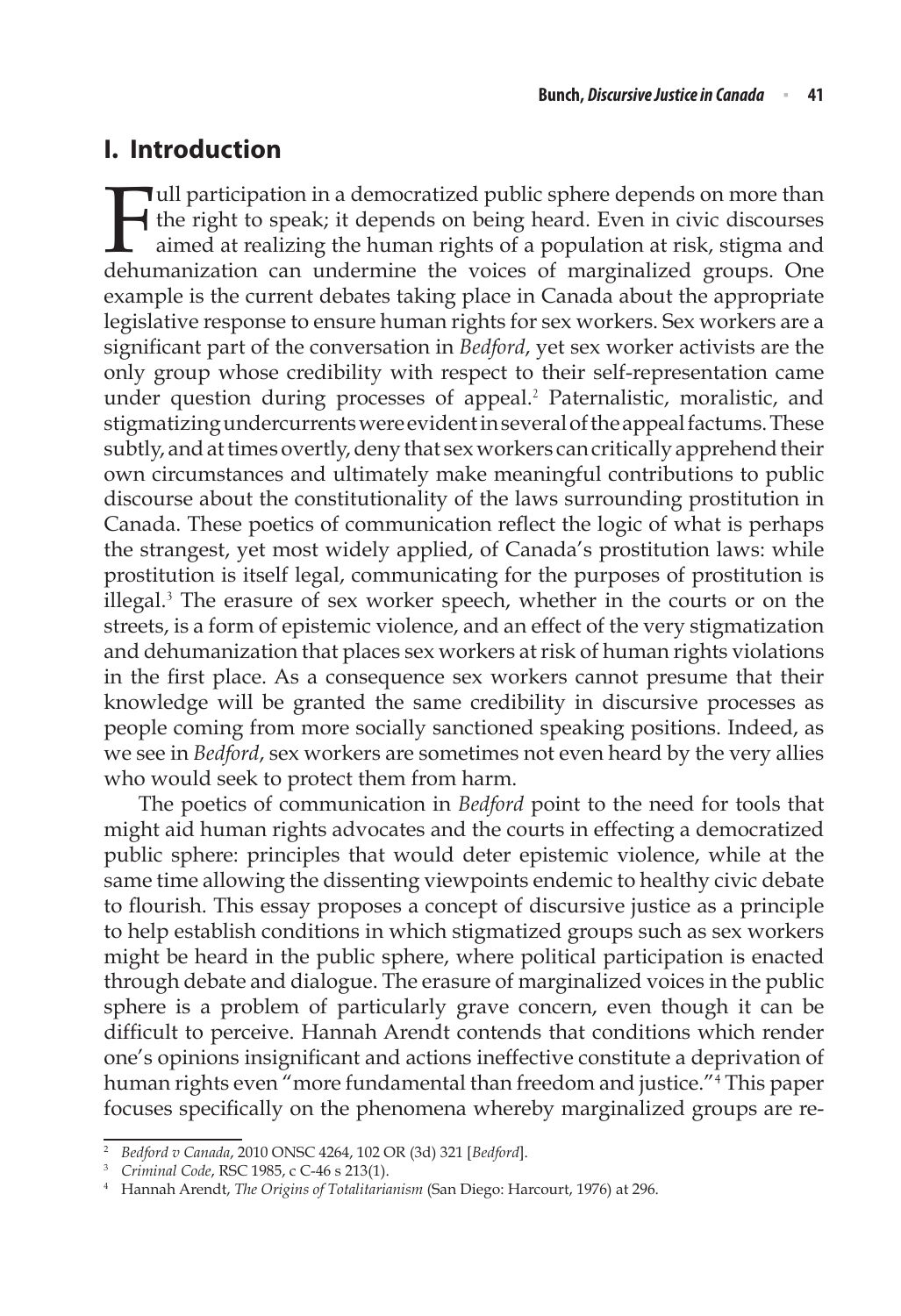# **I. Introduction**

Full participation in a democratized public sphere depends on more than<br>the right to speak; it depends on being heard. Even in civic discourses<br>aimed at realizing the human rights of a population at risk, stigma and<br>dehuma the right to speak; it depends on being heard. Even in civic discourses aimed at realizing the human rights of a population at risk, stigma and dehumanization can undermine the voices of marginalized groups. One example is the current debates taking place in Canada about the appropriate legislative response to ensure human rights for sex workers. Sex workers are a significant part of the conversation in *Bedford*, yet sex worker activists are the only group whose credibility with respect to their self-representation came under question during processes of appeal.<sup>2</sup> Paternalistic, moralistic, and stigmatizing undercurrents were evident in several of the appeal factums. These subtly, and at times overtly, deny that sex workers can critically apprehend their own circumstances and ultimately make meaningful contributions to public discourse about the constitutionality of the laws surrounding prostitution in Canada. These poetics of communication reflect the logic of what is perhaps the strangest, yet most widely applied, of Canada's prostitution laws: while prostitution is itself legal, communicating for the purposes of prostitution is illegal.<sup>3</sup> The erasure of sex worker speech, whether in the courts or on the streets, is a form of epistemic violence, and an effect of the very stigmatization and dehumanization that places sex workers at risk of human rights violations in the first place. As a consequence sex workers cannot presume that their knowledge will be granted the same credibility in discursive processes as people coming from more socially sanctioned speaking positions. Indeed, as we see in *Bedford*, sex workers are sometimes not even heard by the very allies who would seek to protect them from harm.

The poetics of communication in *Bedford* point to the need for tools that might aid human rights advocates and the courts in effecting a democratized public sphere: principles that would deter epistemic violence, while at the same time allowing the dissenting viewpoints endemic to healthy civic debate to flourish. This essay proposes a concept of discursive justice as a principle to help establish conditions in which stigmatized groups such as sex workers might be heard in the public sphere, where political participation is enacted through debate and dialogue. The erasure of marginalized voices in the public sphere is a problem of particularly grave concern, even though it can be difficult to perceive. Hannah Arendt contends that conditions which render one's opinions insignificant and actions ineffective constitute a deprivation of human rights even "more fundamental than freedom and justice."<sup>4</sup> This paper focuses specifically on the phenomena whereby marginalized groups are re-

<sup>2</sup> *Bedford v Canada*, 2010 ONSC 4264, 102 OR (3d) 321 [*Bedford*].

<sup>3</sup> *Criminal Code*, RSC 1985, c C-46 s 213(1).

<sup>4</sup> Hannah Arendt, *The Origins of Totalitarianism* (San Diego: Harcourt, 1976) at 296.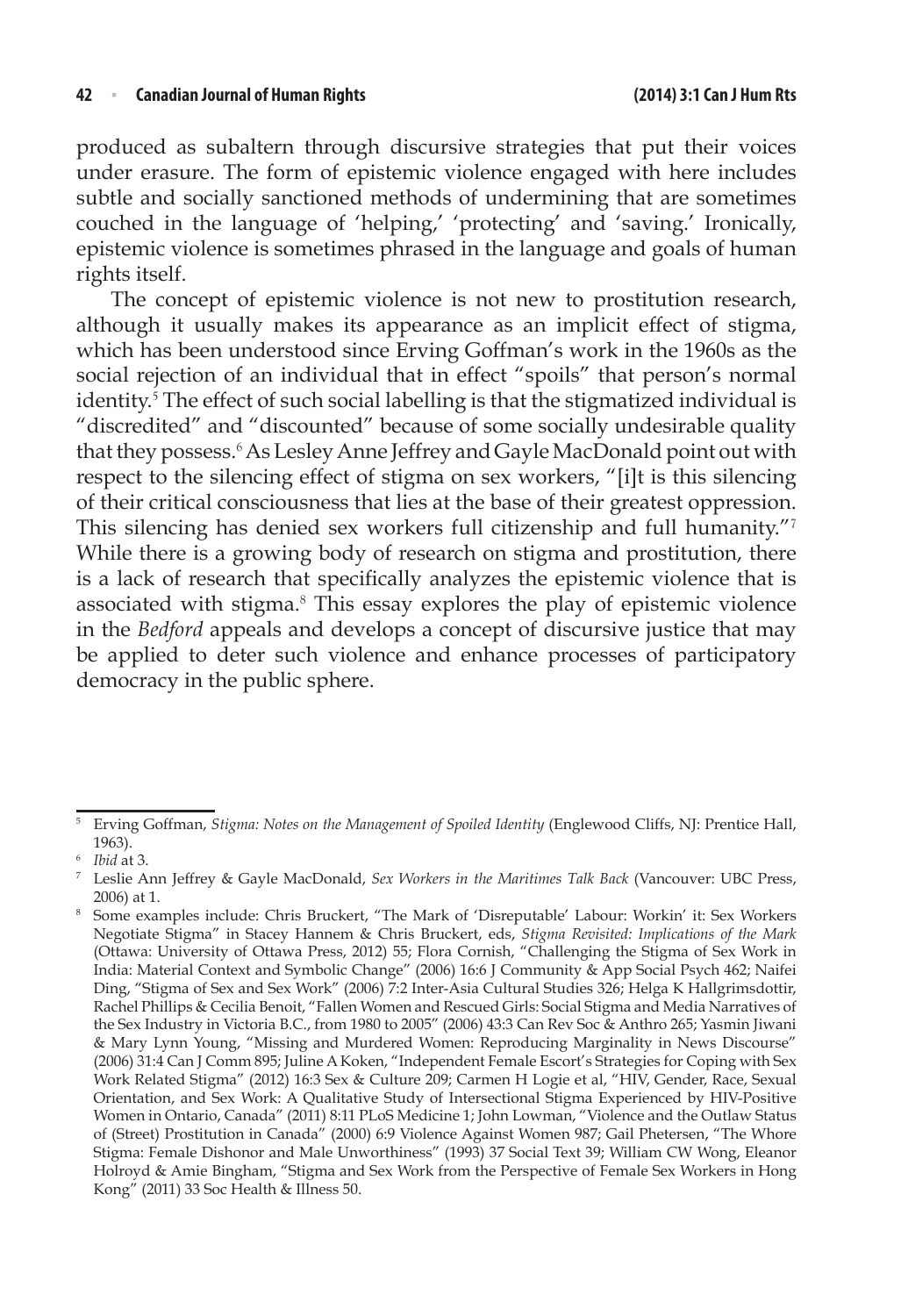#### **42** <sup>n</sup> **Canadian Journal of Human Rights (2014) 3:1 Can J Hum Rts**

produced as subaltern through discursive strategies that put their voices under erasure. The form of epistemic violence engaged with here includes subtle and socially sanctioned methods of undermining that are sometimes couched in the language of 'helping,' 'protecting' and 'saving.' Ironically, epistemic violence is sometimes phrased in the language and goals of human rights itself.

The concept of epistemic violence is not new to prostitution research, although it usually makes its appearance as an implicit effect of stigma, which has been understood since Erving Goffman's work in the 1960s as the social rejection of an individual that in effect "spoils" that person's normal identity.<sup>5</sup> The effect of such social labelling is that the stigmatized individual is "discredited" and "discounted" because of some socially undesirable quality that they possess.<sup>6</sup> As Lesley Anne Jeffrey and Gayle MacDonald point out with respect to the silencing effect of stigma on sex workers, "[i]t is this silencing of their critical consciousness that lies at the base of their greatest oppression. This silencing has denied sex workers full citizenship and full humanity."7 While there is a growing body of research on stigma and prostitution, there is a lack of research that specifically analyzes the epistemic violence that is associated with stigma.<sup>8</sup> This essay explores the play of epistemic violence in the *Bedford* appeals and develops a concept of discursive justice that may be applied to deter such violence and enhance processes of participatory democracy in the public sphere.

<sup>5</sup> Erving Goffman, *Stigma: Notes on the Management of Spoiled Identity* (Englewood Cliffs, NJ: Prentice Hall, 1963).

<sup>6</sup> *Ibid* at 3.

<sup>7</sup> Leslie Ann Jeffrey & Gayle MacDonald, *Sex Workers in the Maritimes Talk Back* (Vancouver: UBC Press, 2006) at 1.

<sup>8</sup> Some examples include: Chris Bruckert, "The Mark of 'Disreputable' Labour: Workin' it: Sex Workers Negotiate Stigma" in Stacey Hannem & Chris Bruckert, eds, *Stigma Revisited: Implications of the Mark*  (Ottawa: University of Ottawa Press, 2012) 55; Flora Cornish, "Challenging the Stigma of Sex Work in India: Material Context and Symbolic Change" (2006) 16:6 J Community & App Social Psych 462; Naifei Ding, "Stigma of Sex and Sex Work" (2006) 7:2 Inter-Asia Cultural Studies 326; Helga K Hallgrimsdottir, Rachel Phillips & Cecilia Benoit, "Fallen Women and Rescued Girls: Social Stigma and Media Narratives of the Sex Industry in Victoria B.C., from 1980 to 2005" (2006) 43:3 Can Rev Soc & Anthro 265; Yasmin Jiwani & Mary Lynn Young, "Missing and Murdered Women: Reproducing Marginality in News Discourse" (2006) 31:4 Can J Comm 895; Juline A Koken, "Independent Female Escort's Strategies for Coping with Sex Work Related Stigma" (2012) 16:3 Sex & Culture 209; Carmen H Logie et al, "HIV, Gender, Race, Sexual Orientation, and Sex Work: A Qualitative Study of Intersectional Stigma Experienced by HIV-Positive Women in Ontario, Canada" (2011) 8:11 PLoS Medicine 1; John Lowman, "Violence and the Outlaw Status of (Street) Prostitution in Canada" (2000) 6:9 Violence Against Women 987; Gail Phetersen, "The Whore Stigma: Female Dishonor and Male Unworthiness" (1993) 37 Social Text 39; William CW Wong, Eleanor Holroyd & Amie Bingham, "Stigma and Sex Work from the Perspective of Female Sex Workers in Hong Kong" (2011) 33 Soc Health & Illness 50.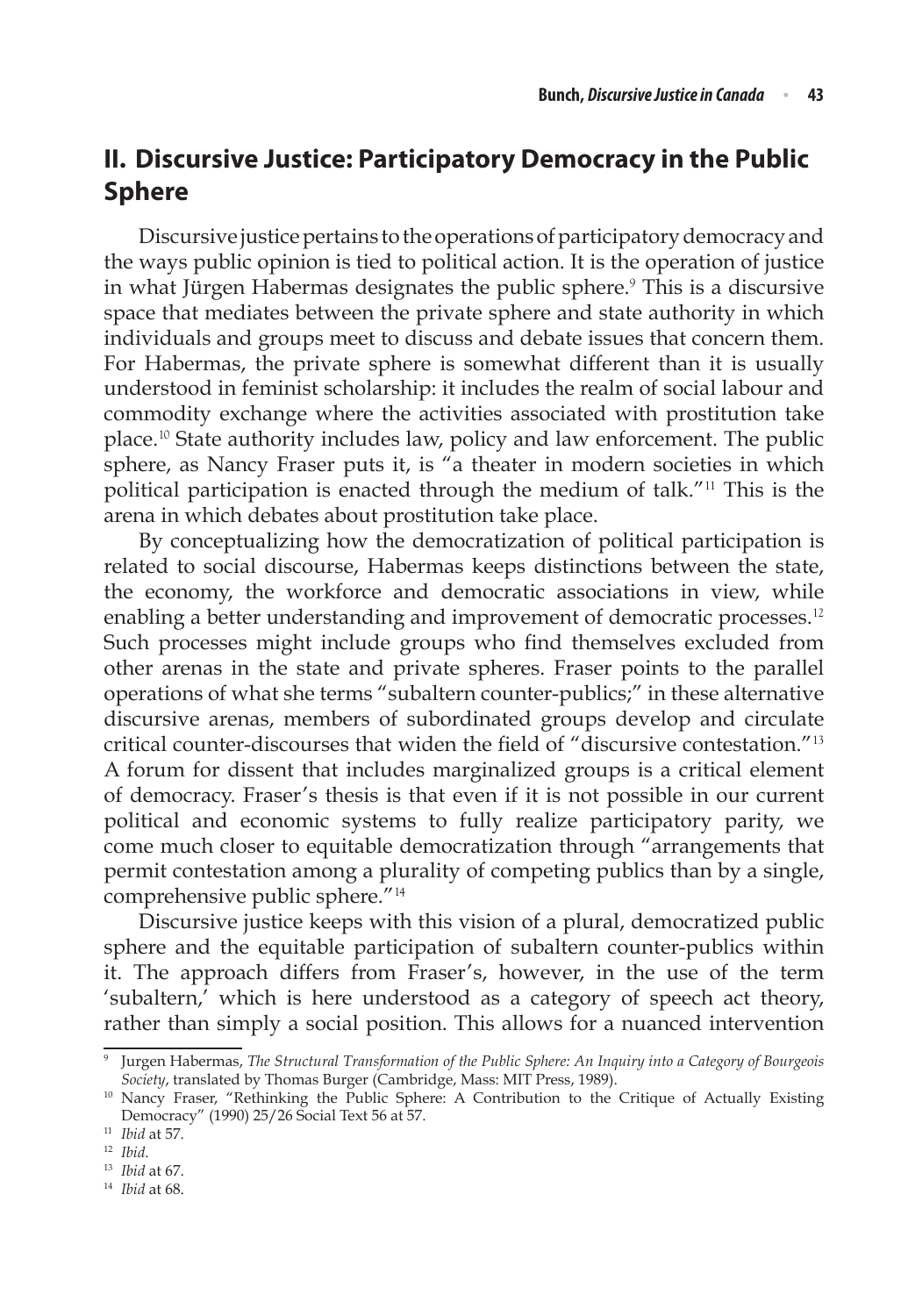# **II. Discursive Justice: Participatory Democracy in the Public Sphere**

Discursive justice pertains to the operations of participatory democracy and the ways public opinion is tied to political action. It is the operation of justice in what Jürgen Habermas designates the public sphere.<sup>9</sup> This is a discursive space that mediates between the private sphere and state authority in which individuals and groups meet to discuss and debate issues that concern them. For Habermas, the private sphere is somewhat different than it is usually understood in feminist scholarship: it includes the realm of social labour and commodity exchange where the activities associated with prostitution take place.<sup>10</sup> State authority includes law, policy and law enforcement. The public sphere, as Nancy Fraser puts it, is "a theater in modern societies in which political participation is enacted through the medium of talk."<sup>11</sup> This is the arena in which debates about prostitution take place.

By conceptualizing how the democratization of political participation is related to social discourse, Habermas keeps distinctions between the state, the economy, the workforce and democratic associations in view, while enabling a better understanding and improvement of democratic processes.<sup>12</sup> Such processes might include groups who find themselves excluded from other arenas in the state and private spheres. Fraser points to the parallel operations of what she terms "subaltern counter-publics;" in these alternative discursive arenas, members of subordinated groups develop and circulate critical counter-discourses that widen the field of "discursive contestation."<sup>13</sup> A forum for dissent that includes marginalized groups is a critical element of democracy. Fraser's thesis is that even if it is not possible in our current political and economic systems to fully realize participatory parity, we come much closer to equitable democratization through "arrangements that permit contestation among a plurality of competing publics than by a single, comprehensive public sphere."<sup>14</sup>

Discursive justice keeps with this vision of a plural, democratized public sphere and the equitable participation of subaltern counter-publics within it. The approach differs from Fraser's, however, in the use of the term 'subaltern,' which is here understood as a category of speech act theory, rather than simply a social position. This allows for a nuanced intervention

<sup>9</sup> Jurgen Habermas, *The Structural Transformation of the Public Sphere: An Inquiry into a Category of Bourgeois Society*, translated by Thomas Burger (Cambridge, Mass: MIT Press, 1989).

<sup>&</sup>lt;sup>10</sup> Nancy Fraser, "Rethinking the Public Sphere: A Contribution to the Critique of Actually Existing Democracy" (1990) 25/26 Social Text 56 at 57.

<sup>11</sup> *Ibid* at 57.

<sup>12</sup> *Ibid*.

<sup>13</sup> *Ibid* at 67.

<sup>14</sup> *Ibid* at 68.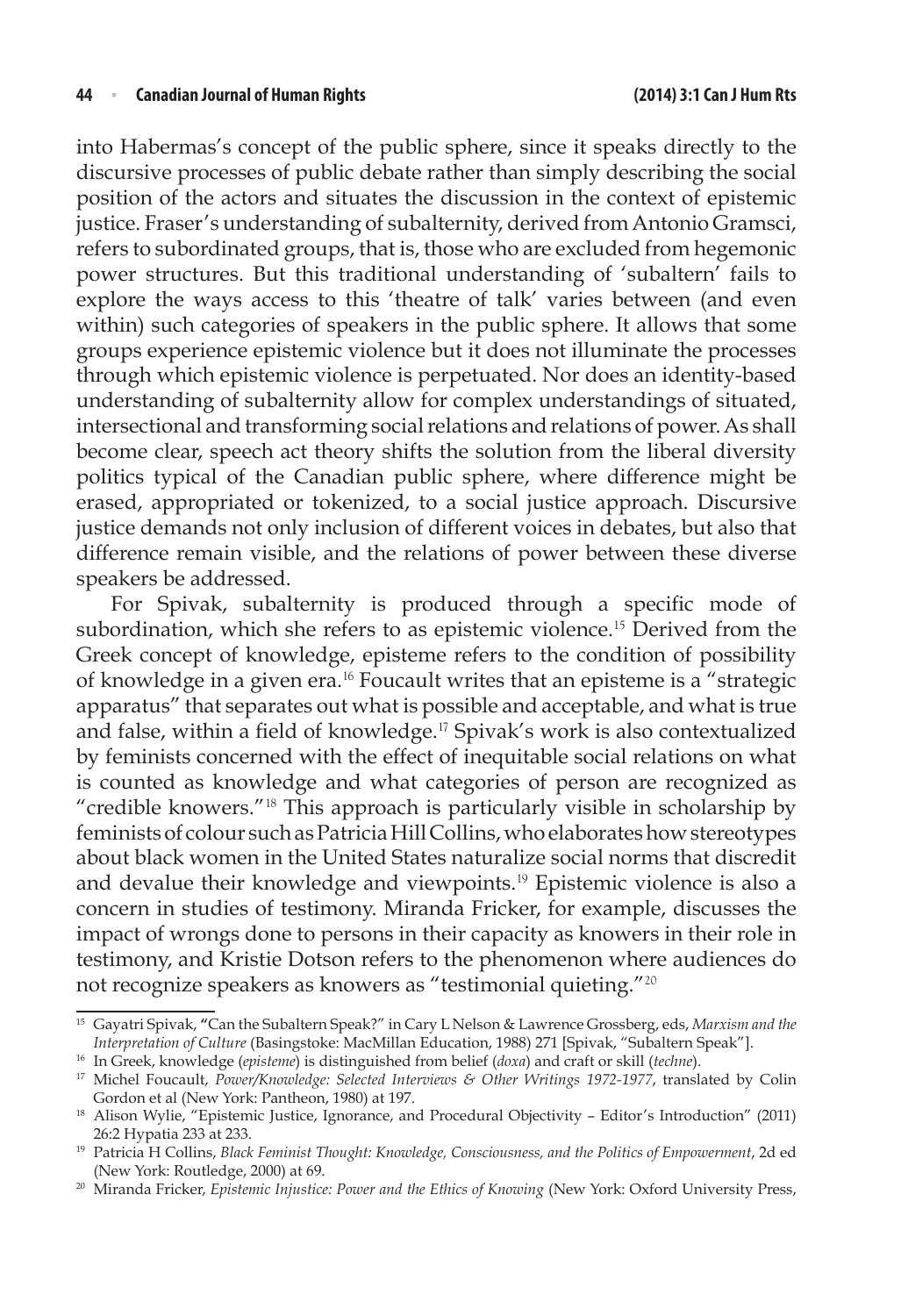into Habermas's concept of the public sphere, since it speaks directly to the discursive processes of public debate rather than simply describing the social position of the actors and situates the discussion in the context of epistemic justice. Fraser's understanding of subalternity, derived from Antonio Gramsci, refers to subordinated groups, that is, those who are excluded from hegemonic power structures. But this traditional understanding of 'subaltern' fails to explore the ways access to this 'theatre of talk' varies between (and even within) such categories of speakers in the public sphere. It allows that some groups experience epistemic violence but it does not illuminate the processes through which epistemic violence is perpetuated. Nor does an identity-based understanding of subalternity allow for complex understandings of situated, intersectional and transforming social relations and relations of power. As shall become clear, speech act theory shifts the solution from the liberal diversity politics typical of the Canadian public sphere, where difference might be erased, appropriated or tokenized, to a social justice approach. Discursive justice demands not only inclusion of different voices in debates, but also that difference remain visible, and the relations of power between these diverse speakers be addressed.

For Spivak, subalternity is produced through a specific mode of subordination, which she refers to as epistemic violence.<sup>15</sup> Derived from the Greek concept of knowledge, episteme refers to the condition of possibility of knowledge in a given era.<sup>16</sup> Foucault writes that an episteme is a "strategic apparatus" that separates out what is possible and acceptable, and what is true and false, within a field of knowledge.<sup>17</sup> Spivak's work is also contextualized by feminists concerned with the effect of inequitable social relations on what is counted as knowledge and what categories of person are recognized as "credible knowers."<sup>18</sup> This approach is particularly visible in scholarship by feminists of colour such as Patricia Hill Collins, who elaborates how stereotypes about black women in the United States naturalize social norms that discredit and devalue their knowledge and viewpoints.<sup>19</sup> Epistemic violence is also a concern in studies of testimony. Miranda Fricker, for example, discusses the impact of wrongs done to persons in their capacity as knowers in their role in testimony, and Kristie Dotson refers to the phenomenon where audiences do not recognize speakers as knowers as "testimonial quieting."<sup>20</sup>

<sup>15</sup> Gayatri Spivak, **"**Can the Subaltern Speak?" in Cary L Nelson & Lawrence Grossberg, eds, *Marxism and the Interpretation of Culture* (Basingstoke: MacMillan Education, 1988) 271 [Spivak, "Subaltern Speak"].

<sup>16</sup> In Greek, knowledge (*episteme*) is distinguished from belief (*doxa*) and craft or skill (*techne*).

<sup>&</sup>lt;sup>17</sup> Michel Foucault, *Power/Knowledge: Selected Interviews & Other Writings 1972-1977*, translated by Colin Gordon et al (New York: Pantheon, 1980) at 197.

<sup>&</sup>lt;sup>18</sup> Alison Wylie, "Epistemic Justice, Ignorance, and Procedural Objectivity - Editor's Introduction" (2011) 26:2 Hypatia 233 at 233.

<sup>&</sup>lt;sup>19</sup> Patricia H Collins, *Black Feminist Thought: Knowledge, Consciousness, and the Politics of Empowerment*, 2d ed (New York: Routledge, 2000) at 69.

<sup>&</sup>lt;sup>20</sup> Miranda Fricker, *Epistemic Injustice: Power and the Ethics of Knowing (New York: Oxford University Press,*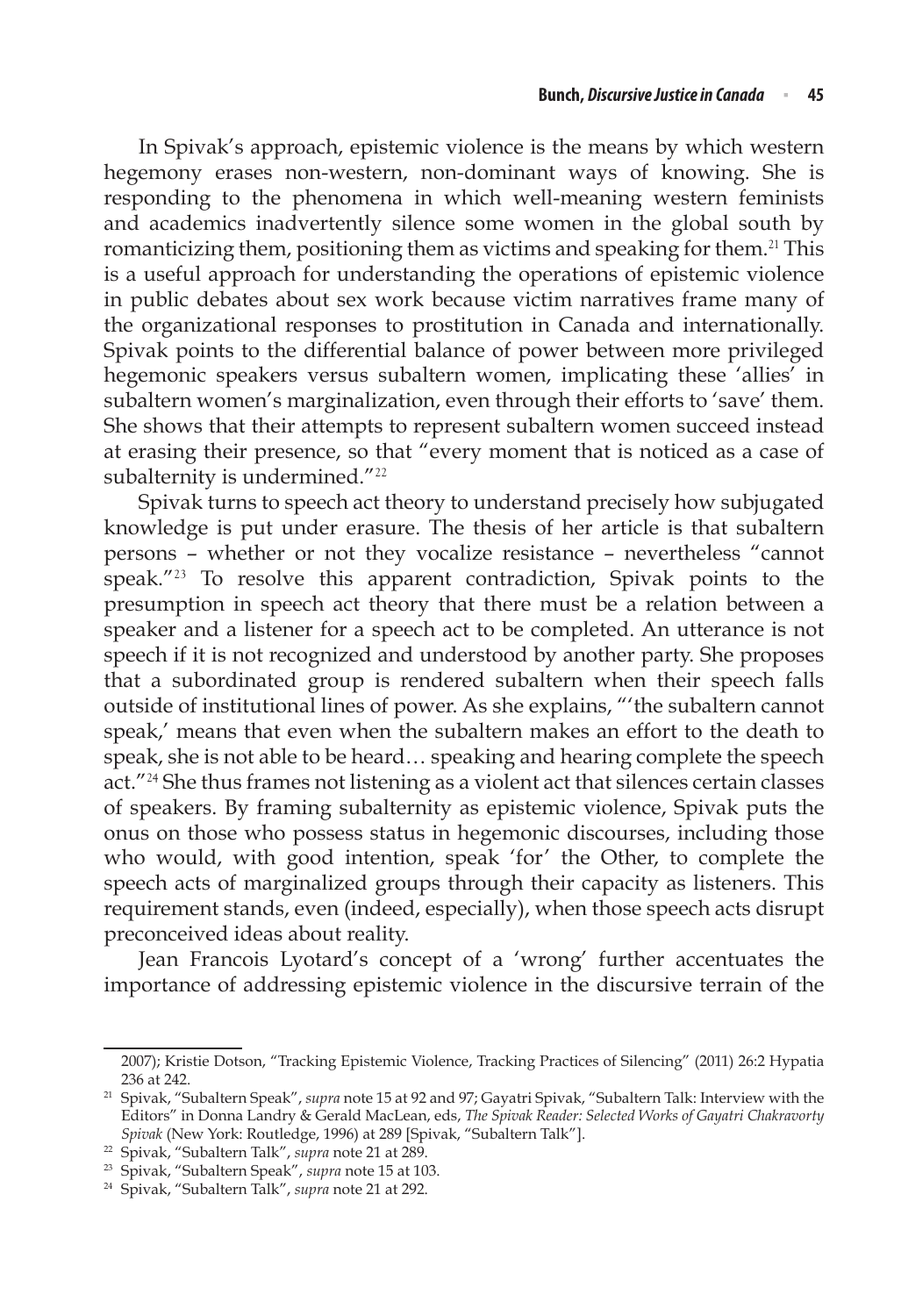In Spivak's approach, epistemic violence is the means by which western hegemony erases non-western, non-dominant ways of knowing. She is responding to the phenomena in which well-meaning western feminists and academics inadvertently silence some women in the global south by romanticizing them, positioning them as victims and speaking for them.<sup>21</sup> This is a useful approach for understanding the operations of epistemic violence in public debates about sex work because victim narratives frame many of the organizational responses to prostitution in Canada and internationally. Spivak points to the differential balance of power between more privileged hegemonic speakers versus subaltern women, implicating these 'allies' in subaltern women's marginalization, even through their efforts to 'save' them. She shows that their attempts to represent subaltern women succeed instead at erasing their presence, so that "every moment that is noticed as a case of subalternity is undermined."<sup>22</sup>

Spivak turns to speech act theory to understand precisely how subjugated knowledge is put under erasure. The thesis of her article is that subaltern persons – whether or not they vocalize resistance – nevertheless "cannot speak."<sup>23</sup> To resolve this apparent contradiction, Spivak points to the presumption in speech act theory that there must be a relation between a speaker and a listener for a speech act to be completed. An utterance is not speech if it is not recognized and understood by another party. She proposes that a subordinated group is rendered subaltern when their speech falls outside of institutional lines of power. As she explains, "'the subaltern cannot speak,' means that even when the subaltern makes an effort to the death to speak, she is not able to be heard… speaking and hearing complete the speech act."<sup>24</sup> She thus frames not listening as a violent act that silences certain classes of speakers. By framing subalternity as epistemic violence, Spivak puts the onus on those who possess status in hegemonic discourses, including those who would, with good intention, speak 'for' the Other, to complete the speech acts of marginalized groups through their capacity as listeners. This requirement stands, even (indeed, especially), when those speech acts disrupt preconceived ideas about reality.

Jean Francois Lyotard's concept of a 'wrong' further accentuates the importance of addressing epistemic violence in the discursive terrain of the

<sup>2007);</sup> Kristie Dotson, "Tracking Epistemic Violence, Tracking Practices of Silencing" (2011) 26:2 Hypatia 236 at 242.

<sup>21</sup> Spivak, "Subaltern Speak", *supra* note 15 at 92 and 97; Gayatri Spivak, "Subaltern Talk: Interview with the Editors" in Donna Landry & Gerald MacLean, eds, *The Spivak Reader: Selected Works of Gayatri Chakravorty Spivak* (New York: Routledge, 1996) at 289 [Spivak, "Subaltern Talk"].

<sup>22</sup> Spivak, "Subaltern Talk", *supra* note 21 at 289.

<sup>23</sup> Spivak, "Subaltern Speak", *supra* note 15 at 103.

<sup>24</sup> Spivak, "Subaltern Talk", *supra* note 21 at 292.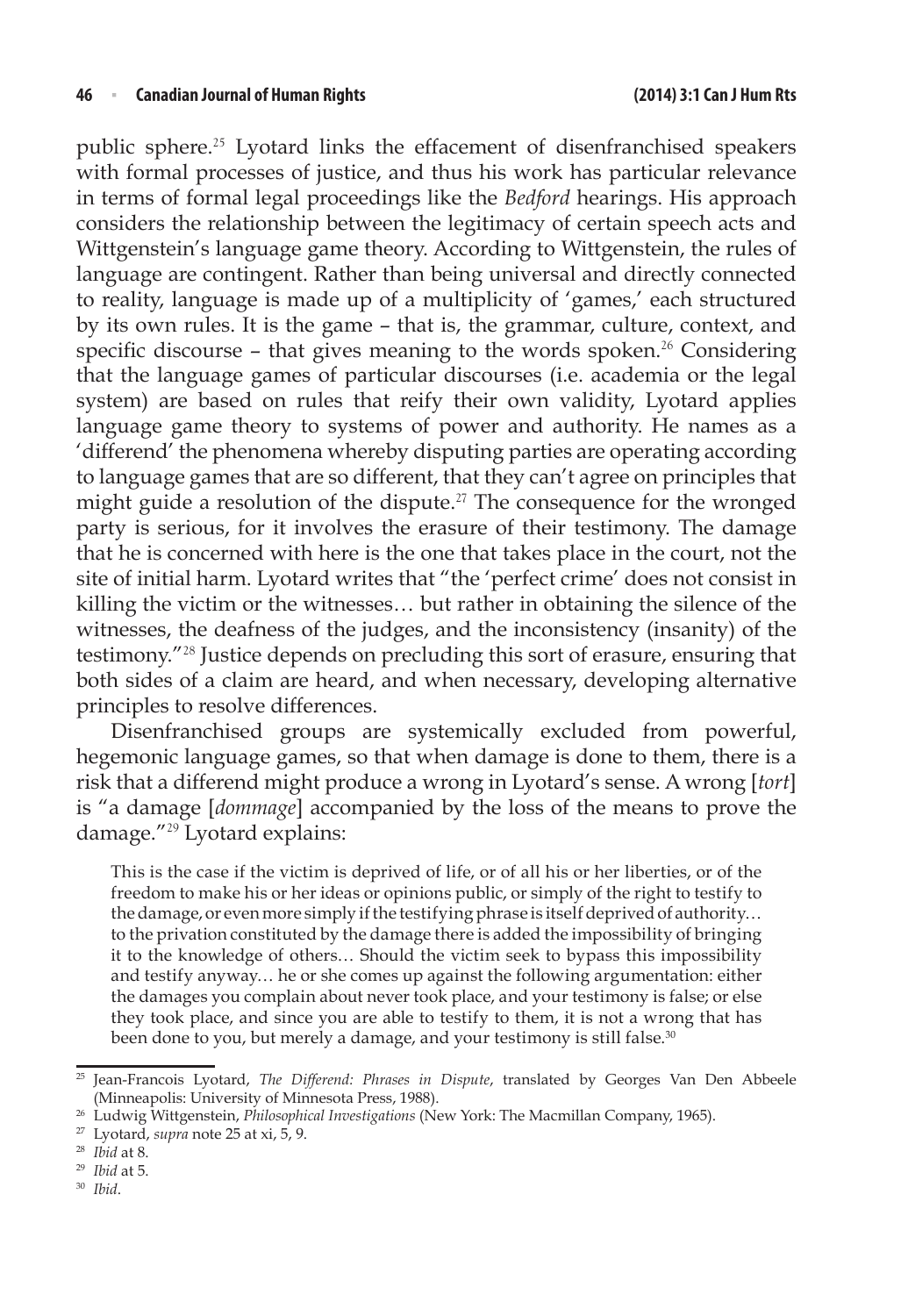public sphere.<sup>25</sup> Lyotard links the effacement of disenfranchised speakers with formal processes of justice, and thus his work has particular relevance in terms of formal legal proceedings like the *Bedford* hearings. His approach considers the relationship between the legitimacy of certain speech acts and Wittgenstein's language game theory. According to Wittgenstein, the rules of language are contingent. Rather than being universal and directly connected to reality, language is made up of a multiplicity of 'games,' each structured by its own rules. It is the game – that is, the grammar, culture, context, and specific discourse - that gives meaning to the words spoken.<sup>26</sup> Considering that the language games of particular discourses (i.e. academia or the legal system) are based on rules that reify their own validity, Lyotard applies language game theory to systems of power and authority. He names as a 'differend' the phenomena whereby disputing parties are operating according to language games that are so different, that they can't agree on principles that might guide a resolution of the dispute.<sup>27</sup> The consequence for the wronged party is serious, for it involves the erasure of their testimony. The damage that he is concerned with here is the one that takes place in the court, not the site of initial harm. Lyotard writes that "the 'perfect crime' does not consist in killing the victim or the witnesses… but rather in obtaining the silence of the witnesses, the deafness of the judges, and the inconsistency (insanity) of the testimony."<sup>28</sup> Justice depends on precluding this sort of erasure, ensuring that both sides of a claim are heard, and when necessary, developing alternative principles to resolve differences.

Disenfranchised groups are systemically excluded from powerful, hegemonic language games, so that when damage is done to them, there is a risk that a differend might produce a wrong in Lyotard's sense. A wrong [*tort*] is "a damage [*dommage*] accompanied by the loss of the means to prove the damage."<sup>29</sup> Lyotard explains:

This is the case if the victim is deprived of life, or of all his or her liberties, or of the freedom to make his or her ideas or opinions public, or simply of the right to testify to the damage, or even more simply if the testifying phrase is itself deprived of authority… to the privation constituted by the damage there is added the impossibility of bringing it to the knowledge of others… Should the victim seek to bypass this impossibility and testify anyway… he or she comes up against the following argumentation: either the damages you complain about never took place, and your testimony is false; or else they took place, and since you are able to testify to them, it is not a wrong that has been done to you, but merely a damage, and your testimony is still false.<sup>30</sup>

<sup>&</sup>lt;sup>25</sup> Jean-Francois Lyotard, *The Differend: Phrases in Dispute*, translated by Georges Van Den Abbeele (Minneapolis: University of Minnesota Press, 1988).

<sup>26</sup> Ludwig Wittgenstein, *Philosophical Investigations* (New York: The Macmillan Company, 1965).

<sup>27</sup> Lyotard, *supra* note 25 at xi, 5, 9.

<sup>28</sup> *Ibid* at 8.

<sup>29</sup> *Ibid* at 5.

<sup>30</sup> *Ibid*.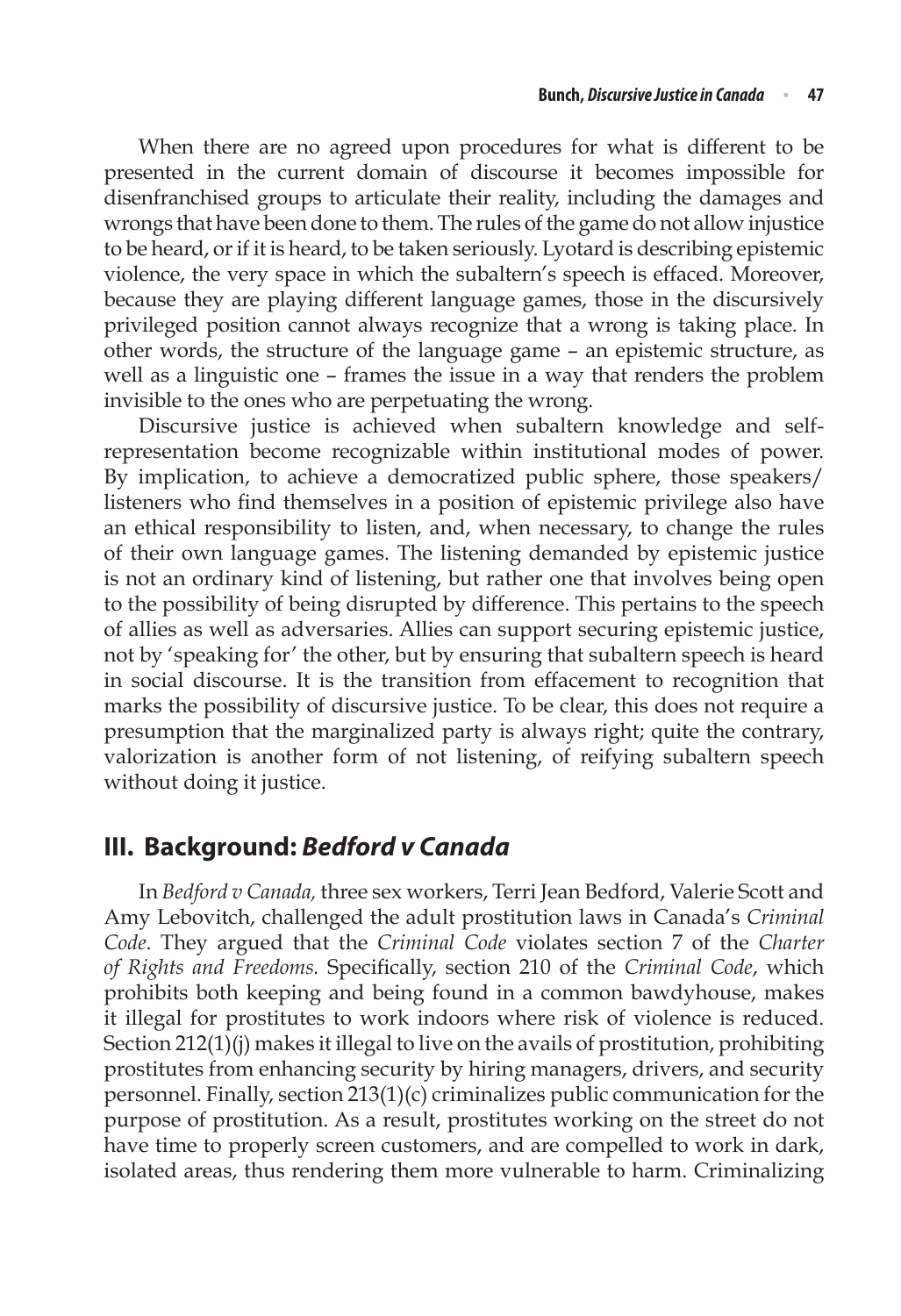When there are no agreed upon procedures for what is different to be presented in the current domain of discourse it becomes impossible for disenfranchised groups to articulate their reality, including the damages and wrongs that have been done to them. The rules of the game do not allow injustice to be heard, or if it is heard, to be taken seriously. Lyotard is describing epistemic violence, the very space in which the subaltern's speech is effaced. Moreover, because they are playing different language games, those in the discursively privileged position cannot always recognize that a wrong is taking place. In other words, the structure of the language game – an epistemic structure, as well as a linguistic one – frames the issue in a way that renders the problem invisible to the ones who are perpetuating the wrong.

Discursive justice is achieved when subaltern knowledge and selfrepresentation become recognizable within institutional modes of power. By implication, to achieve a democratized public sphere, those speakers/ listeners who find themselves in a position of epistemic privilege also have an ethical responsibility to listen, and, when necessary, to change the rules of their own language games. The listening demanded by epistemic justice is not an ordinary kind of listening, but rather one that involves being open to the possibility of being disrupted by difference. This pertains to the speech of allies as well as adversaries. Allies can support securing epistemic justice, not by 'speaking for' the other, but by ensuring that subaltern speech is heard in social discourse. It is the transition from effacement to recognition that marks the possibility of discursive justice. To be clear, this does not require a presumption that the marginalized party is always right; quite the contrary, valorization is another form of not listening, of reifying subaltern speech without doing it justice.

# **III. Background:** *Bedford v Canada*

In *Bedford v Canada,* three sex workers, Terri Jean Bedford, Valerie Scott and Amy Lebovitch, challenged the adult prostitution laws in Canada's *Criminal Code*. They argued that the *Criminal Code* violates section 7 of the *Charter of Rights and Freedoms.* Specifically, section 210 of the *Criminal Code*, which prohibits both keeping and being found in a common bawdyhouse, makes it illegal for prostitutes to work indoors where risk of violence is reduced. Section 212(1)(j) makes it illegal to live on the avails of prostitution, prohibiting prostitutes from enhancing security by hiring managers, drivers, and security personnel. Finally, section 213(1)(c) criminalizes public communication for the purpose of prostitution. As a result, prostitutes working on the street do not have time to properly screen customers, and are compelled to work in dark, isolated areas, thus rendering them more vulnerable to harm. Criminalizing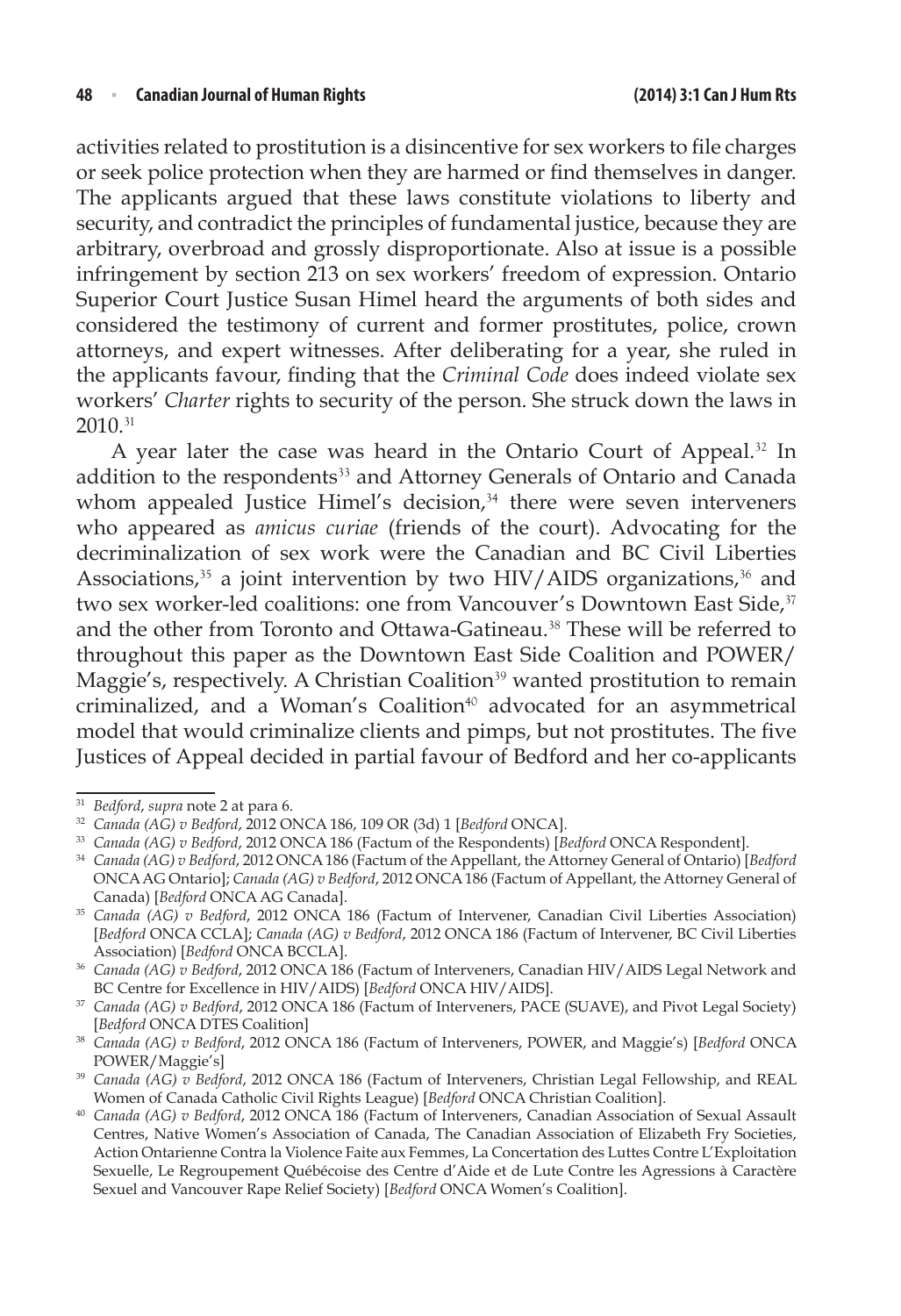activities related to prostitution is a disincentive for sex workers to file charges or seek police protection when they are harmed or find themselves in danger. The applicants argued that these laws constitute violations to liberty and security, and contradict the principles of fundamental justice, because they are arbitrary, overbroad and grossly disproportionate. Also at issue is a possible infringement by section 213 on sex workers' freedom of expression. Ontario Superior Court Justice Susan Himel heard the arguments of both sides and considered the testimony of current and former prostitutes, police, crown attorneys, and expert witnesses. After deliberating for a year, she ruled in the applicants favour, finding that the *Criminal Code* does indeed violate sex workers' *Charter* rights to security of the person. She struck down the laws in 2010.<sup>31</sup>

A year later the case was heard in the Ontario Court of Appeal.<sup>32</sup> In addition to the respondents<sup>33</sup> and Attorney Generals of Ontario and Canada whom appealed Justice Himel's decision, $34$  there were seven interveners who appeared as *amicus curiae* (friends of the court). Advocating for the decriminalization of sex work were the Canadian and BC Civil Liberties Associations, $35$  a joint intervention by two HIV/AIDS organizations,  $36$  and two sex worker-led coalitions: one from Vancouver's Downtown East Side,<sup>37</sup> and the other from Toronto and Ottawa-Gatineau.<sup>38</sup> These will be referred to throughout this paper as the Downtown East Side Coalition and POWER/ Maggie's, respectively. A Christian Coalition<sup>39</sup> wanted prostitution to remain criminalized, and a Woman's Coalition<sup>40</sup> advocated for an asymmetrical model that would criminalize clients and pimps, but not prostitutes. The five Justices of Appeal decided in partial favour of Bedford and her co-applicants

<sup>31</sup> *Bedford*, *supra* note 2 at para 6.

<sup>32</sup> *Canada (AG) v Bedford*, 2012 ONCA 186, 109 OR (3d) 1 [*Bedford* ONCA].

<sup>33</sup> *Canada (AG) v Bedford*, 2012 ONCA 186 (Factum of the Respondents) [*Bedford* ONCA Respondent].

<sup>34</sup> *Canada (AG) v Bedford*, 2012 ONCA 186 (Factum of the Appellant, the Attorney General of Ontario) [*Bedford* ONCA AG Ontario]; *Canada (AG) v Bedford*, 2012 ONCA 186 (Factum of Appellant, the Attorney General of Canada) [*Bedford* ONCA AG Canada].

<sup>35</sup> *Canada (AG) v Bedford*, 2012 ONCA 186 (Factum of Intervener, Canadian Civil Liberties Association) [*Bedford* ONCA CCLA]; *Canada (AG) v Bedford*, 2012 ONCA 186 (Factum of Intervener, BC Civil Liberties Association) [*Bedford* ONCA BCCLA].

<sup>36</sup> *Canada (AG) v Bedford*, 2012 ONCA 186 (Factum of Interveners, Canadian HIV/AIDS Legal Network and BC Centre for Excellence in HIV/AIDS) [*Bedford* ONCA HIV/AIDS].

<sup>37</sup> *Canada (AG) v Bedford*, 2012 ONCA 186 (Factum of Interveners, PACE (SUAVE), and Pivot Legal Society) [*Bedford* ONCA DTES Coalition]

<sup>38</sup> *Canada (AG) v Bedford*, 2012 ONCA 186 (Factum of Interveners, POWER, and Maggie's) [*Bedford* ONCA POWER/Maggie's]

<sup>39</sup> *Canada (AG) v Bedford*, 2012 ONCA 186 (Factum of Interveners, Christian Legal Fellowship, and REAL

Women of Canada Catholic Civil Rights League) [*Bedford* ONCA Christian Coalition]. 40 *Canada (AG) v Bedford*, 2012 ONCA 186 (Factum of Interveners, Canadian Association of Sexual Assault Centres, Native Women's Association of Canada, The Canadian Association of Elizabeth Fry Societies, Action Ontarienne Contra la Violence Faite aux Femmes, La Concertation des Luttes Contre L'Exploitation Sexuelle, Le Regroupement Québécoise des Centre d'Aide et de Lute Contre les Agressions à Caractère Sexuel and Vancouver Rape Relief Society) [*Bedford* ONCA Women's Coalition].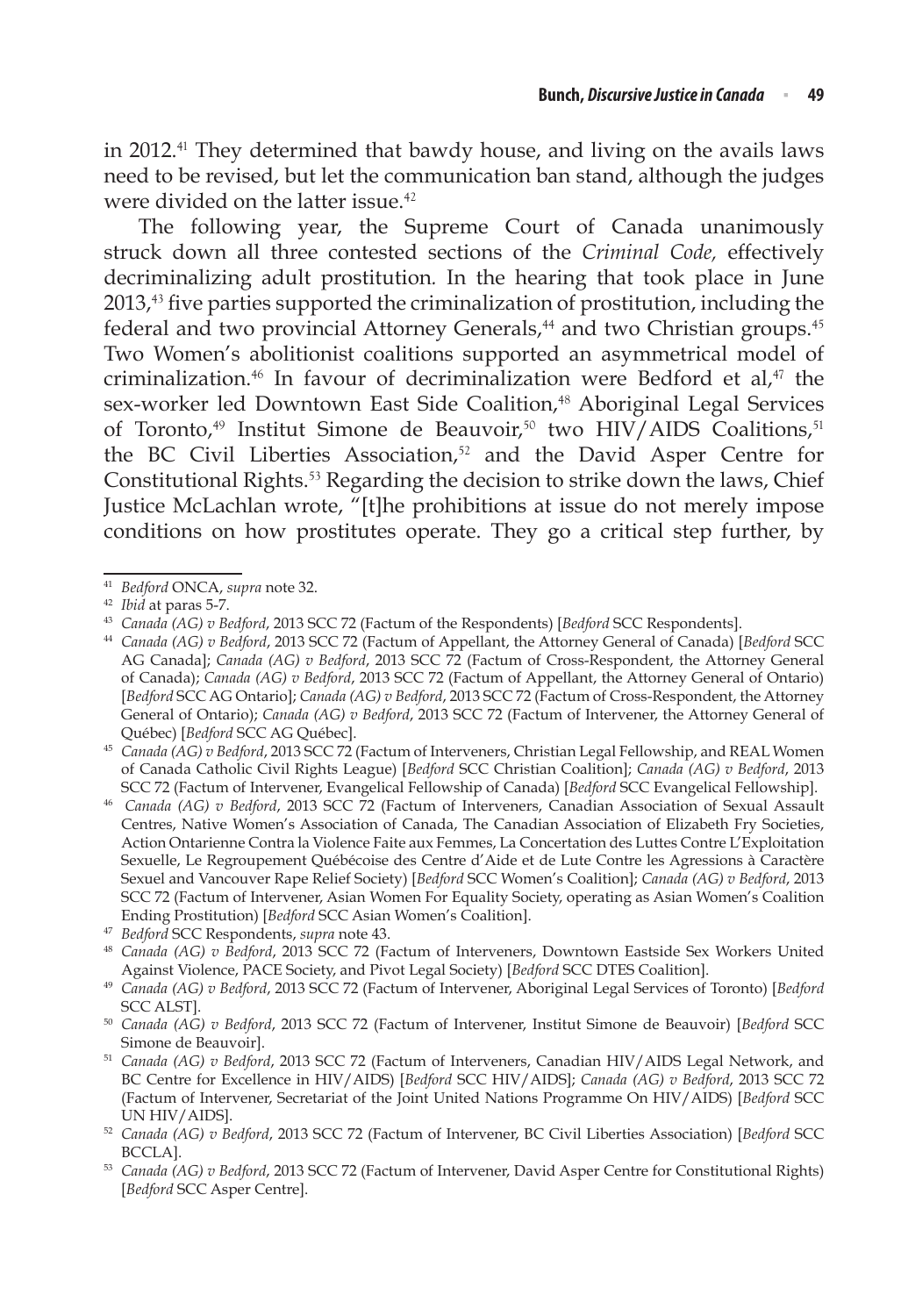in 2012.<sup>41</sup> They determined that bawdy house, and living on the avails laws need to be revised, but let the communication ban stand, although the judges were divided on the latter issue.<sup>42</sup>

The following year, the Supreme Court of Canada unanimously struck down all three contested sections of the *Criminal Code,* effectively decriminalizing adult prostitution*.* In the hearing that took place in June 2013,<sup>43</sup> five parties supported the criminalization of prostitution, including the federal and two provincial Attorney Generals,<sup>44</sup> and two Christian groups.<sup>45</sup> Two Women's abolitionist coalitions supported an asymmetrical model of criminalization.<sup>46</sup> In favour of decriminalization were Bedford et al,<sup>47</sup> the sex-worker led Downtown East Side Coalition,<sup>48</sup> Aboriginal Legal Services of Toronto,<sup>49</sup> Institut Simone de Beauvoir,<sup>50</sup> two HIV/AIDS Coalitions,<sup>51</sup> the BC Civil Liberties Association,<sup>52</sup> and the David Asper Centre for Constitutional Rights.<sup>53</sup> Regarding the decision to strike down the laws, Chief Justice McLachlan wrote, "[t]he prohibitions at issue do not merely impose conditions on how prostitutes operate. They go a critical step further, by

<sup>41</sup> *Bedford* ONCA, *supra* note 32.

<sup>42</sup> *Ibid* at paras 5-7.

<sup>43</sup> *Canada (AG) v Bedford*, 2013 SCC 72 (Factum of the Respondents) [*Bedford* SCC Respondents].

<sup>44</sup> *Canada (AG) v Bedford*, 2013 SCC 72 (Factum of Appellant, the Attorney General of Canada) [*Bedford* SCC AG Canada]; *Canada (AG) v Bedford*, 2013 SCC 72 (Factum of Cross-Respondent, the Attorney General of Canada); *Canada (AG) v Bedford*, 2013 SCC 72 (Factum of Appellant, the Attorney General of Ontario) [*Bedford* SCC AG Ontario]; *Canada (AG) v Bedford*, 2013 SCC 72 (Factum of Cross-Respondent, the Attorney General of Ontario); *Canada (AG) v Bedford*, 2013 SCC 72 (Factum of Intervener, the Attorney General of Québec) [*Bedford* SCC AG Québec].

<sup>45</sup> *Canada (AG) v Bedford*, 2013 SCC 72 (Factum of Interveners, Christian Legal Fellowship, and REAL Women of Canada Catholic Civil Rights League) [*Bedford* SCC Christian Coalition]; *Canada (AG) v Bedford*, 2013 SCC 72 (Factum of Intervener, Evangelical Fellowship of Canada) [*Bedford* SCC Evangelical Fellowship].

<sup>46</sup> *Canada (AG) v Bedford*, 2013 SCC 72 (Factum of Interveners, Canadian Association of Sexual Assault Centres, Native Women's Association of Canada, The Canadian Association of Elizabeth Fry Societies, Action Ontarienne Contra la Violence Faite aux Femmes, La Concertation des Luttes Contre L'Exploitation Sexuelle, Le Regroupement Québécoise des Centre d'Aide et de Lute Contre les Agressions à Caractère Sexuel and Vancouver Rape Relief Society) [*Bedford* SCC Women's Coalition]; *Canada (AG) v Bedford*, 2013 SCC 72 (Factum of Intervener, Asian Women For Equality Society, operating as Asian Women's Coalition Ending Prostitution) [*Bedford* SCC Asian Women's Coalition].

<sup>47</sup> *Bedford* SCC Respondents, *supra* note 43.

<sup>48</sup> *Canada (AG) v Bedford*, 2013 SCC 72 (Factum of Interveners, Downtown Eastside Sex Workers United Against Violence, PACE Society, and Pivot Legal Society) [*Bedford* SCC DTES Coalition].

<sup>49</sup> *Canada (AG) v Bedford*, 2013 SCC 72 (Factum of Intervener, Aboriginal Legal Services of Toronto) [*Bedford* SCC ALST].

<sup>50</sup> *Canada (AG) v Bedford*, 2013 SCC 72 (Factum of Intervener, Institut Simone de Beauvoir) [*Bedford* SCC Simone de Beauvoir].

<sup>51</sup> *Canada (AG) v Bedford*, 2013 SCC 72 (Factum of Interveners, Canadian HIV/AIDS Legal Network, and BC Centre for Excellence in HIV/AIDS) [*Bedford* SCC HIV/AIDS]; *Canada (AG) v Bedford*, 2013 SCC 72 (Factum of Intervener, Secretariat of the Joint United Nations Programme On HIV/AIDS) [*Bedford* SCC UN HIV/AIDS].

<sup>52</sup> *Canada (AG) v Bedford*, 2013 SCC 72 (Factum of Intervener, BC Civil Liberties Association) [*Bedford* SCC

BCCLA]. 53 *Canada (AG) v Bedford*, 2013 SCC 72 (Factum of Intervener, David Asper Centre for Constitutional Rights) [*Bedford* SCC Asper Centre].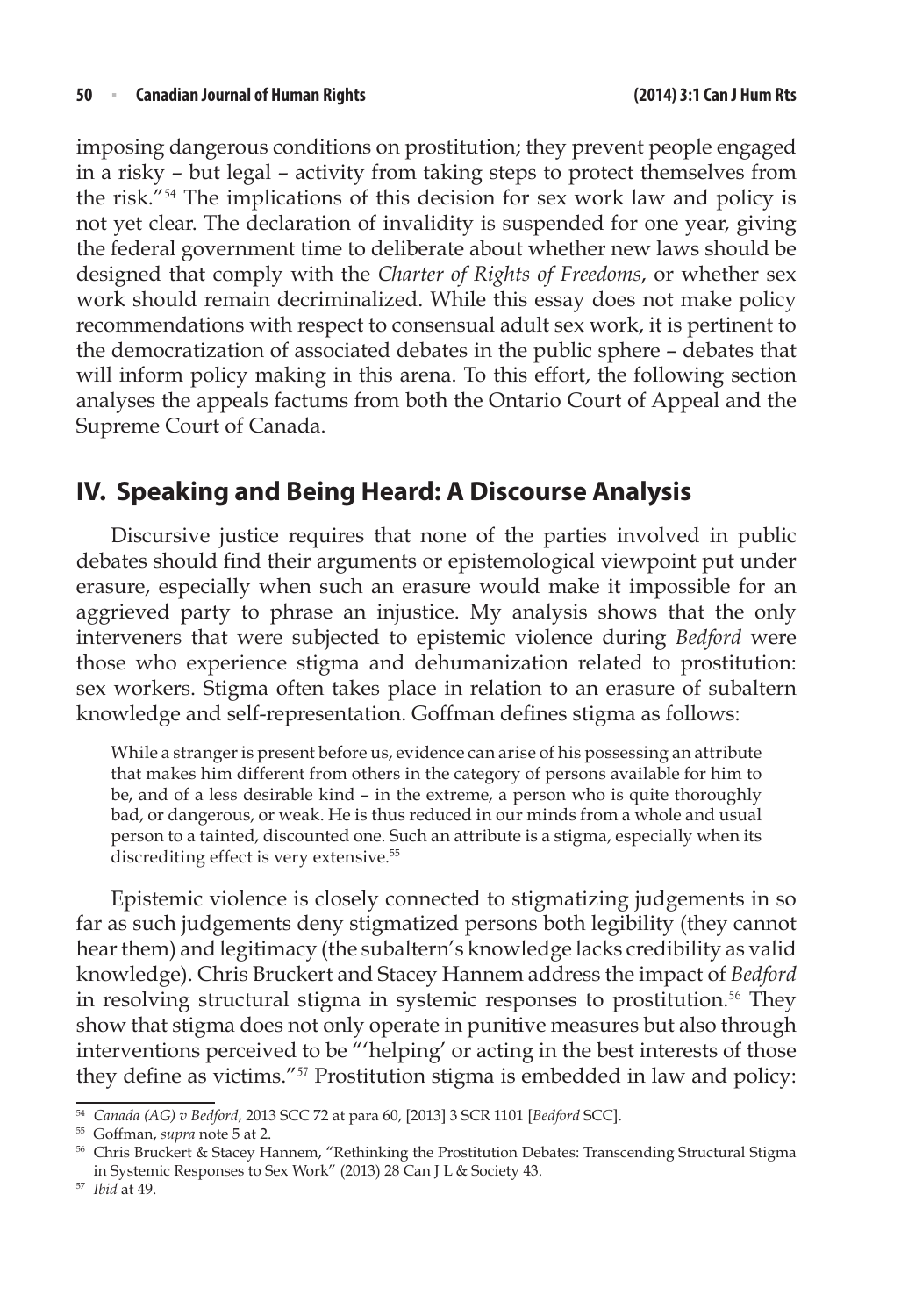imposing dangerous conditions on prostitution; they prevent people engaged in a risky – but legal – activity from taking steps to protect themselves from the risk."<sup>54</sup> The implications of this decision for sex work law and policy is not yet clear. The declaration of invalidity is suspended for one year, giving the federal government time to deliberate about whether new laws should be designed that comply with the *Charter of Rights of Freedoms*, or whether sex work should remain decriminalized. While this essay does not make policy recommendations with respect to consensual adult sex work, it is pertinent to the democratization of associated debates in the public sphere – debates that will inform policy making in this arena. To this effort, the following section analyses the appeals factums from both the Ontario Court of Appeal and the Supreme Court of Canada.

# **IV. Speaking and Being Heard: A Discourse Analysis**

Discursive justice requires that none of the parties involved in public debates should find their arguments or epistemological viewpoint put under erasure, especially when such an erasure would make it impossible for an aggrieved party to phrase an injustice. My analysis shows that the only interveners that were subjected to epistemic violence during *Bedford* were those who experience stigma and dehumanization related to prostitution: sex workers. Stigma often takes place in relation to an erasure of subaltern knowledge and self-representation. Goffman defines stigma as follows:

While a stranger is present before us, evidence can arise of his possessing an attribute that makes him different from others in the category of persons available for him to be, and of a less desirable kind – in the extreme, a person who is quite thoroughly bad, or dangerous, or weak. He is thus reduced in our minds from a whole and usual person to a tainted, discounted one. Such an attribute is a stigma, especially when its discrediting effect is very extensive.<sup>55</sup>

Epistemic violence is closely connected to stigmatizing judgements in so far as such judgements deny stigmatized persons both legibility (they cannot hear them) and legitimacy (the subaltern's knowledge lacks credibility as valid knowledge). Chris Bruckert and Stacey Hannem address the impact of *Bedford* in resolving structural stigma in systemic responses to prostitution.<sup>56</sup> They show that stigma does not only operate in punitive measures but also through interventions perceived to be "'helping' or acting in the best interests of those they define as victims."<sup>57</sup> Prostitution stigma is embedded in law and policy:

<sup>54</sup> *Canada (AG) v Bedford*, 2013 SCC 72 at para 60, [2013] 3 SCR 1101 [*Bedford* SCC]. 55 Goffman, *supra* note 5 at 2.

<sup>56</sup> Chris Bruckert & Stacey Hannem, "Rethinking the Prostitution Debates: Transcending Structural Stigma in Systemic Responses to Sex Work" (2013) 28 Can J L & Society 43.

<sup>57</sup> *Ibid* at 49.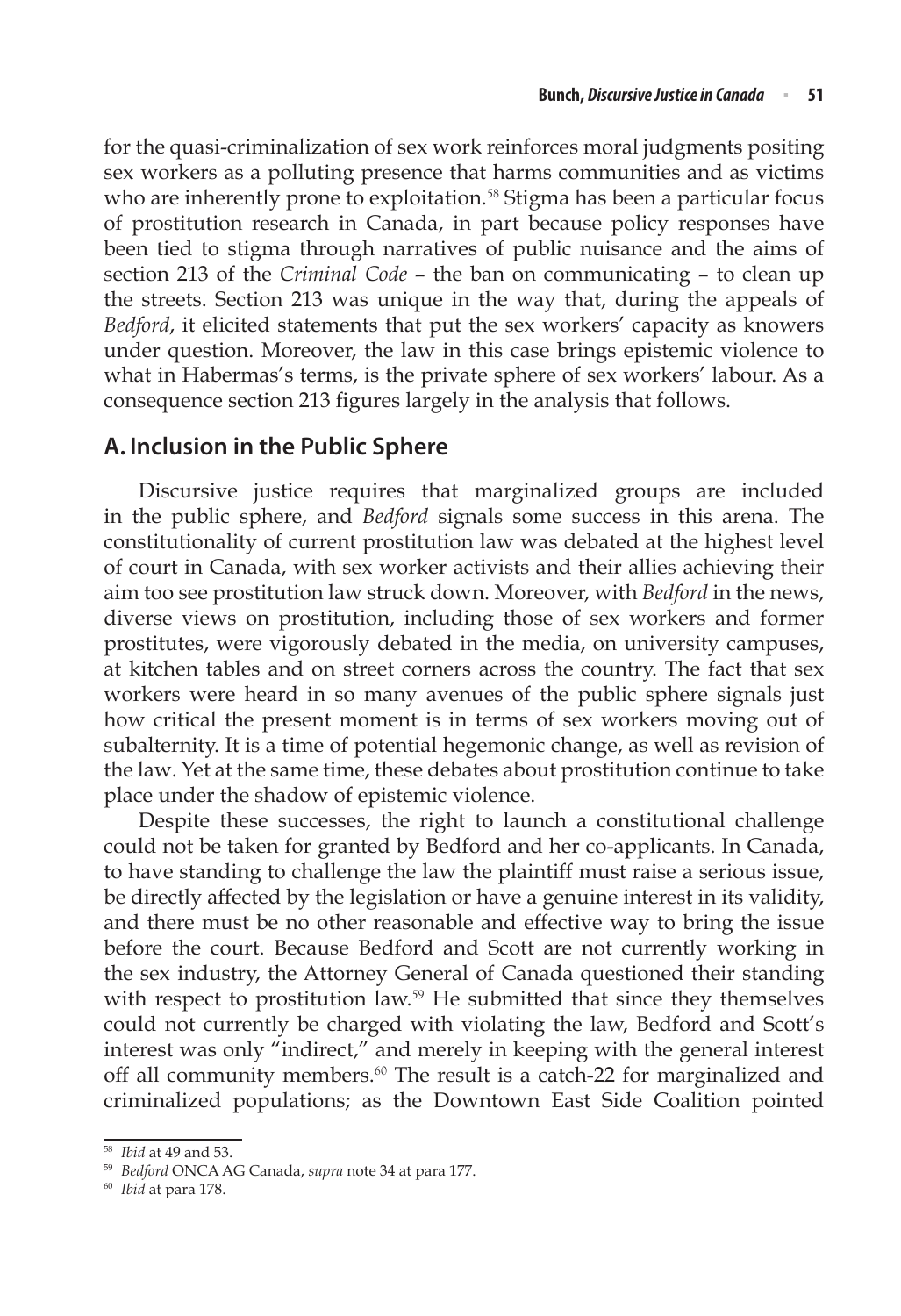for the quasi-criminalization of sex work reinforces moral judgments positing sex workers as a polluting presence that harms communities and as victims who are inherently prone to exploitation.<sup>58</sup> Stigma has been a particular focus of prostitution research in Canada, in part because policy responses have been tied to stigma through narratives of public nuisance and the aims of section 213 of the *Criminal Code* – the ban on communicating – to clean up the streets. Section 213 was unique in the way that, during the appeals of *Bedford*, it elicited statements that put the sex workers' capacity as knowers under question. Moreover, the law in this case brings epistemic violence to what in Habermas's terms, is the private sphere of sex workers' labour. As a consequence section 213 figures largely in the analysis that follows.

## **A. Inclusion in the Public Sphere**

Discursive justice requires that marginalized groups are included in the public sphere, and *Bedford* signals some success in this arena. The constitutionality of current prostitution law was debated at the highest level of court in Canada, with sex worker activists and their allies achieving their aim too see prostitution law struck down. Moreover, with *Bedford* in the news, diverse views on prostitution, including those of sex workers and former prostitutes, were vigorously debated in the media, on university campuses, at kitchen tables and on street corners across the country. The fact that sex workers were heard in so many avenues of the public sphere signals just how critical the present moment is in terms of sex workers moving out of subalternity. It is a time of potential hegemonic change, as well as revision of the law*.* Yet at the same time, these debates about prostitution continue to take place under the shadow of epistemic violence.

Despite these successes, the right to launch a constitutional challenge could not be taken for granted by Bedford and her co-applicants. In Canada, to have standing to challenge the law the plaintiff must raise a serious issue, be directly affected by the legislation or have a genuine interest in its validity, and there must be no other reasonable and effective way to bring the issue before the court. Because Bedford and Scott are not currently working in the sex industry, the Attorney General of Canada questioned their standing with respect to prostitution law.<sup>59</sup> He submitted that since they themselves could not currently be charged with violating the law, Bedford and Scott's interest was only "indirect," and merely in keeping with the general interest off all community members.<sup>60</sup> The result is a catch-22 for marginalized and criminalized populations; as the Downtown East Side Coalition pointed

<sup>58</sup> *Ibid* at 49 and 53.

<sup>59</sup> *Bedford* ONCA AG Canada, *supra* note 34 at para 177.

<sup>60</sup> *Ibid* at para 178.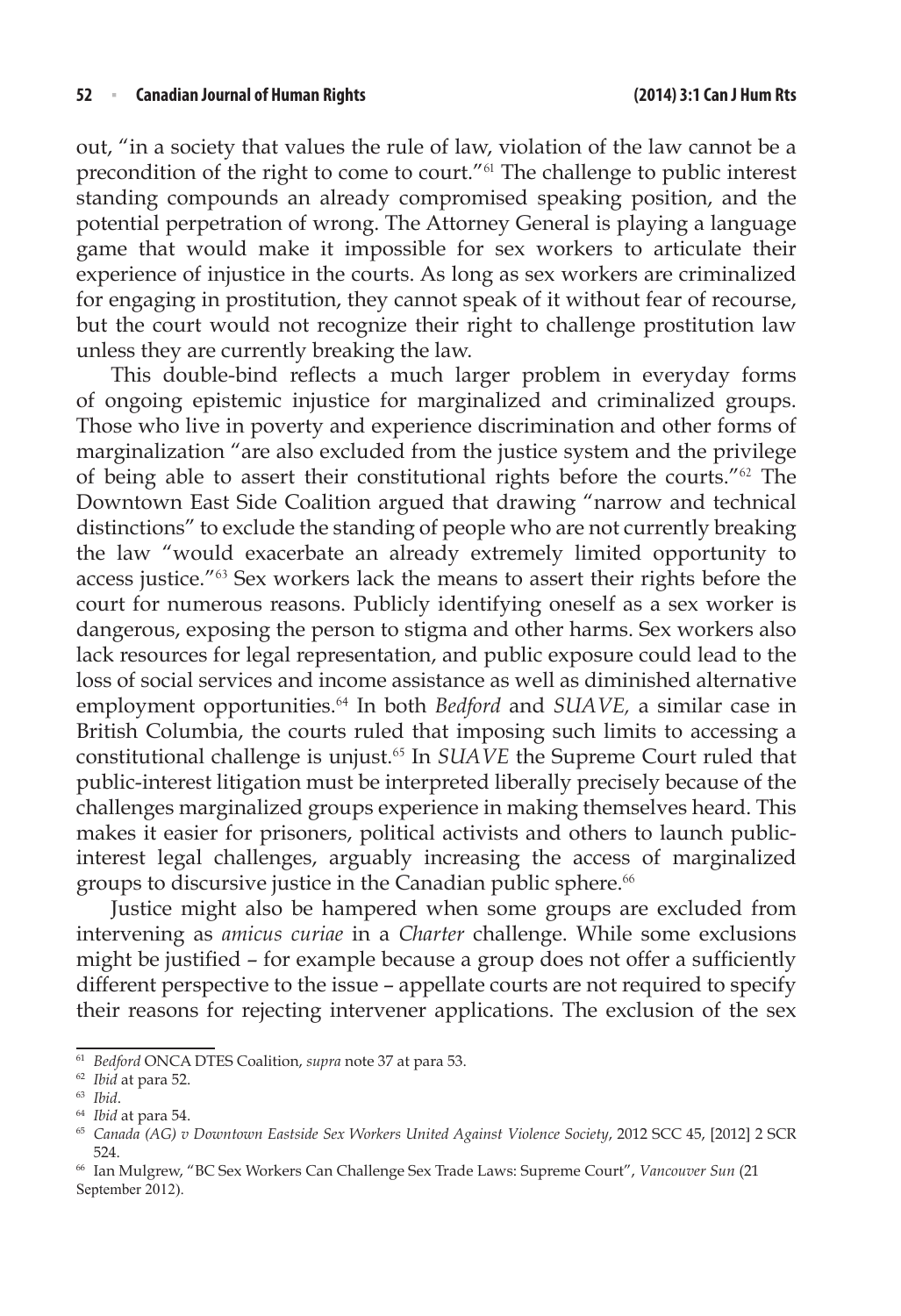out, "in a society that values the rule of law, violation of the law cannot be a precondition of the right to come to court."<sup>61</sup> The challenge to public interest standing compounds an already compromised speaking position, and the potential perpetration of wrong. The Attorney General is playing a language game that would make it impossible for sex workers to articulate their experience of injustice in the courts. As long as sex workers are criminalized for engaging in prostitution, they cannot speak of it without fear of recourse, but the court would not recognize their right to challenge prostitution law unless they are currently breaking the law.

This double-bind reflects a much larger problem in everyday forms of ongoing epistemic injustice for marginalized and criminalized groups. Those who live in poverty and experience discrimination and other forms of marginalization "are also excluded from the justice system and the privilege of being able to assert their constitutional rights before the courts."<sup>62</sup> The Downtown East Side Coalition argued that drawing "narrow and technical distinctions" to exclude the standing of people who are not currently breaking the law "would exacerbate an already extremely limited opportunity to access justice."<sup>63</sup> Sex workers lack the means to assert their rights before the court for numerous reasons. Publicly identifying oneself as a sex worker is dangerous, exposing the person to stigma and other harms. Sex workers also lack resources for legal representation, and public exposure could lead to the loss of social services and income assistance as well as diminished alternative employment opportunities.<sup>64</sup> In both *Bedford* and *SUAVE,* a similar case in British Columbia, the courts ruled that imposing such limits to accessing a constitutional challenge is unjust.<sup>65</sup> In *SUAVE* the Supreme Court ruled that public-interest litigation must be interpreted liberally precisely because of the challenges marginalized groups experience in making themselves heard. This makes it easier for prisoners, political activists and others to launch publicinterest legal challenges, arguably increasing the access of marginalized groups to discursive justice in the Canadian public sphere.<sup>66</sup>

Justice might also be hampered when some groups are excluded from intervening as *amicus curiae* in a *Charter* challenge. While some exclusions might be justified – for example because a group does not offer a sufficiently different perspective to the issue – appellate courts are not required to specify their reasons for rejecting intervener applications. The exclusion of the sex

<sup>61</sup> *Bedford* ONCA DTES Coalition, *supra* note 37 at para 53.

<sup>62</sup> *Ibid* at para 52.

<sup>63</sup> *Ibid*.

<sup>64</sup> *Ibid* at para 54.

<sup>65</sup> *Canada (AG) v Downtown Eastside Sex Workers United Against Violence Society*, 2012 SCC 45, [2012] 2 SCR 524.

<sup>66</sup> Ian Mulgrew, "BC Sex Workers Can Challenge Sex Trade Laws: Supreme Court", *Vancouver Sun* (21 September 2012).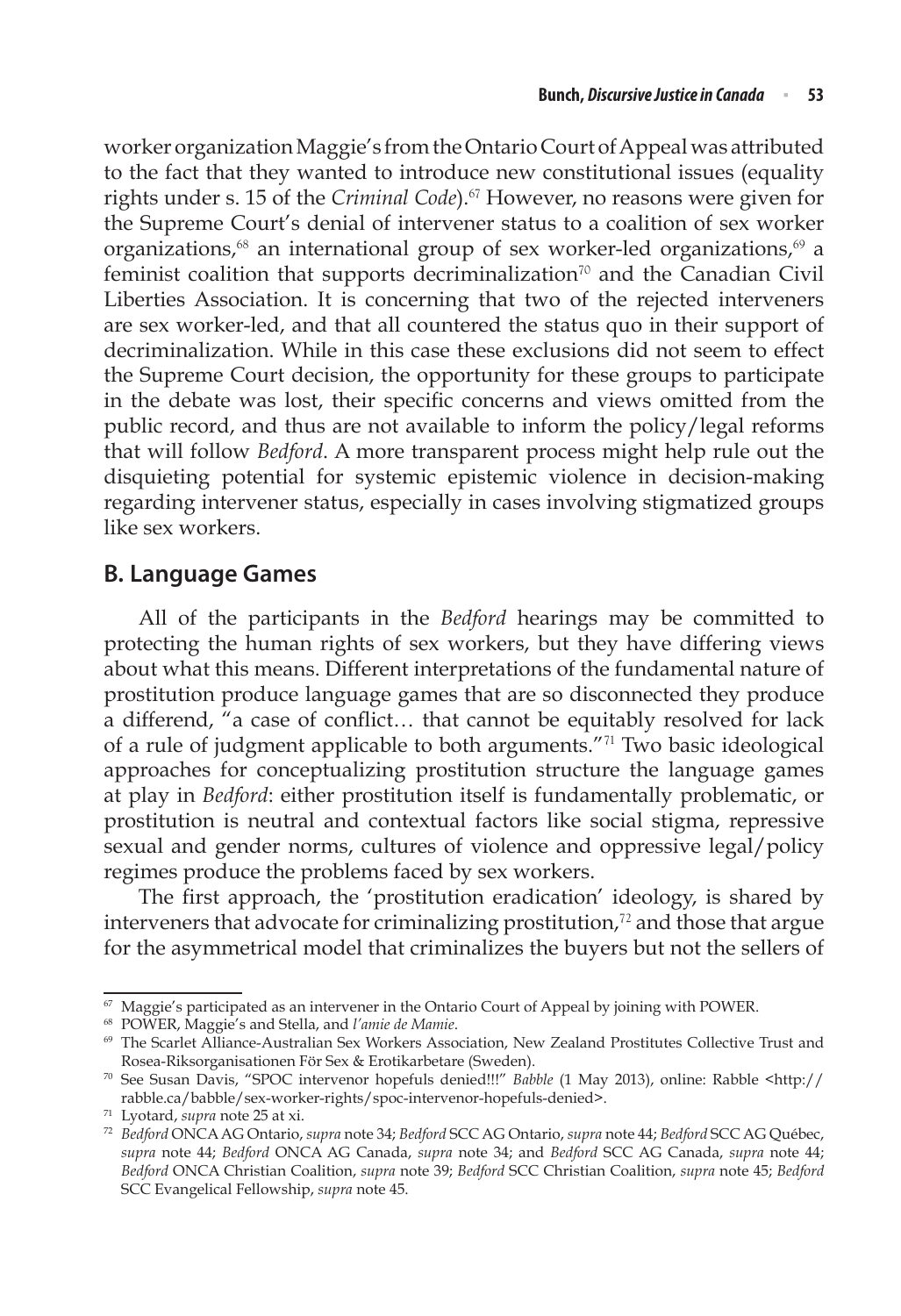worker organization Maggie's from the Ontario Court of Appeal was attributed to the fact that they wanted to introduce new constitutional issues (equality rights under s. 15 of the *Criminal Code*).<sup>67</sup> However, no reasons were given for the Supreme Court's denial of intervener status to a coalition of sex worker organizations, $68$  an international group of sex worker-led organizations, $69$  a feminist coalition that supports decriminalization<sup>70</sup> and the Canadian Civil Liberties Association. It is concerning that two of the rejected interveners are sex worker-led, and that all countered the status quo in their support of decriminalization. While in this case these exclusions did not seem to effect the Supreme Court decision, the opportunity for these groups to participate in the debate was lost, their specific concerns and views omitted from the public record, and thus are not available to inform the policy/legal reforms that will follow *Bedford*. A more transparent process might help rule out the disquieting potential for systemic epistemic violence in decision-making regarding intervener status, especially in cases involving stigmatized groups like sex workers.

## **B. Language Games**

All of the participants in the *Bedford* hearings may be committed to protecting the human rights of sex workers, but they have differing views about what this means. Different interpretations of the fundamental nature of prostitution produce language games that are so disconnected they produce a differend, "a case of conflict… that cannot be equitably resolved for lack of a rule of judgment applicable to both arguments."<sup>71</sup> Two basic ideological approaches for conceptualizing prostitution structure the language games at play in *Bedford*: either prostitution itself is fundamentally problematic, or prostitution is neutral and contextual factors like social stigma, repressive sexual and gender norms, cultures of violence and oppressive legal/policy regimes produce the problems faced by sex workers.

The first approach, the 'prostitution eradication' ideology, is shared by interveners that advocate for criminalizing prostitution, $72$  and those that argue for the asymmetrical model that criminalizes the buyers but not the sellers of

 $67$  Maggie's participated as an intervener in the Ontario Court of Appeal by joining with POWER.

<sup>68</sup> POWER, Maggie's and Stella, and *l'amie de Mamie*.

<sup>69</sup> The Scarlet Alliance-Australian Sex Workers Association, New Zealand Prostitutes Collective Trust and Rosea-Riksorganisationen För Sex & Erotikarbetare (Sweden).

<sup>70</sup> See Susan Davis, "SPOC intervenor hopefuls denied!!!" *Babble* (1 May 2013), online: Rabble <http:// rabble.ca/babble/sex-worker-rights/spoc-intervenor-hopefuls-denied>.

<sup>71</sup> Lyotard, *supra* note 25 at xi.

<sup>72</sup> *Bedford* ONCA AG Ontario, *supra* note 34; *Bedford* SCC AG Ontario, *supra* note 44; *Bedford* SCC AG Québec, *supra* note 44; *Bedford* ONCA AG Canada, *supra* note 34; and *Bedford* SCC AG Canada, *supra* note 44; *Bedford* ONCA Christian Coalition, *supra* note 39; *Bedford* SCC Christian Coalition, *supra* note 45; *Bedford* SCC Evangelical Fellowship, *supra* note 45.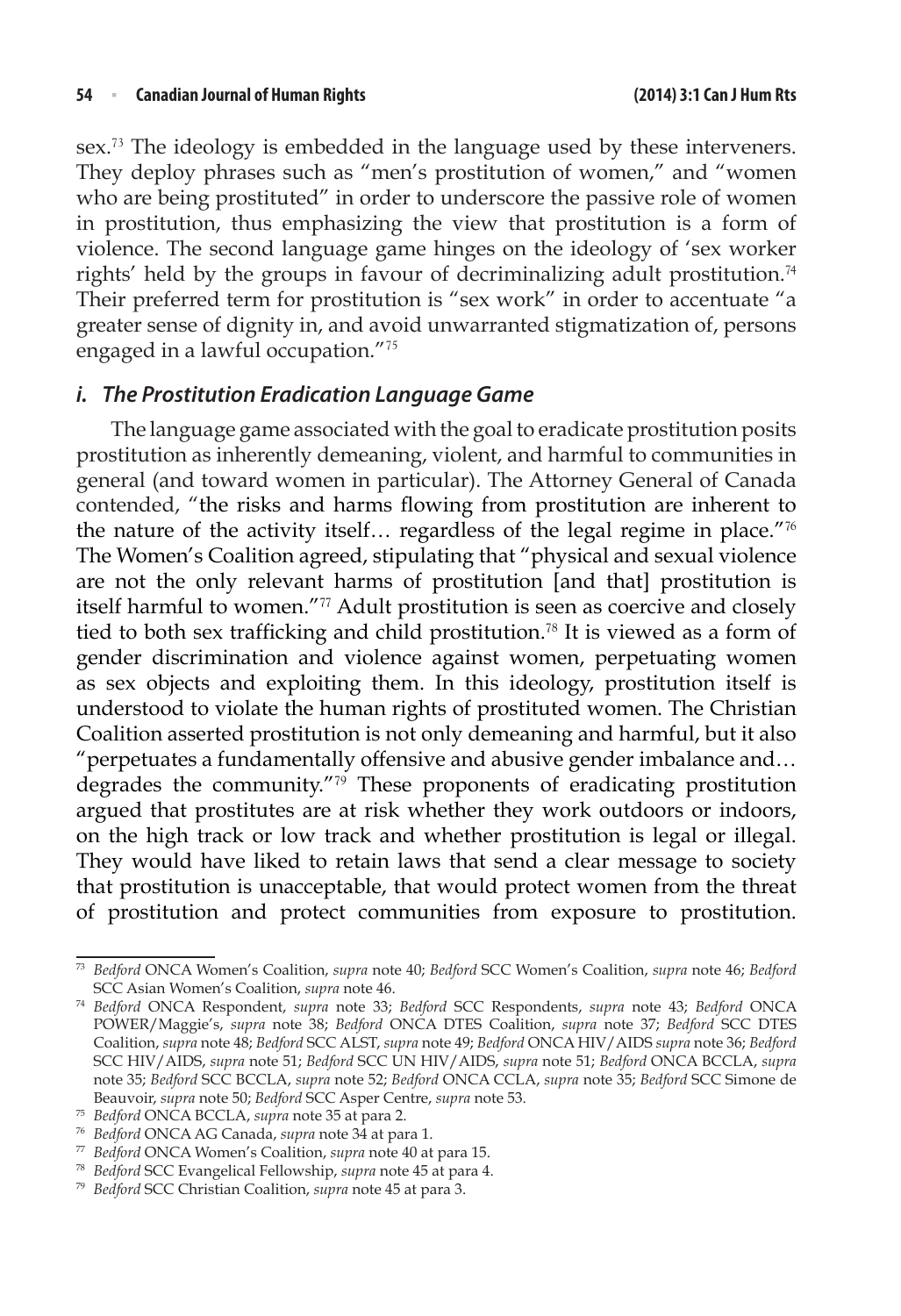sex.<sup>73</sup> The ideology is embedded in the language used by these interveners. They deploy phrases such as "men's prostitution of women," and "women who are being prostituted" in order to underscore the passive role of women in prostitution, thus emphasizing the view that prostitution is a form of violence. The second language game hinges on the ideology of 'sex worker rights' held by the groups in favour of decriminalizing adult prostitution.<sup>74</sup> Their preferred term for prostitution is "sex work" in order to accentuate "a greater sense of dignity in, and avoid unwarranted stigmatization of, persons engaged in a lawful occupation."<sup>75</sup>

#### *i. The Prostitution Eradication Language Game*

The language game associated with the goal to eradicate prostitution posits prostitution as inherently demeaning, violent, and harmful to communities in general (and toward women in particular). The Attorney General of Canada contended, "the risks and harms flowing from prostitution are inherent to the nature of the activity itself… regardless of the legal regime in place."<sup>76</sup> The Women's Coalition agreed, stipulating that "physical and sexual violence are not the only relevant harms of prostitution [and that] prostitution is itself harmful to women."<sup>77</sup> Adult prostitution is seen as coercive and closely tied to both sex trafficking and child prostitution.<sup>78</sup> It is viewed as a form of gender discrimination and violence against women, perpetuating women as sex objects and exploiting them. In this ideology, prostitution itself is understood to violate the human rights of prostituted women. The Christian Coalition asserted prostitution is not only demeaning and harmful, but it also "perpetuates a fundamentally offensive and abusive gender imbalance and… degrades the community."<sup>79</sup> These proponents of eradicating prostitution argued that prostitutes are at risk whether they work outdoors or indoors, on the high track or low track and whether prostitution is legal or illegal. They would have liked to retain laws that send a clear message to society that prostitution is unacceptable, that would protect women from the threat of prostitution and protect communities from exposure to prostitution.

<sup>73</sup> *Bedford* ONCA Women's Coalition, *supra* note 40; *Bedford* SCC Women's Coalition, *supra* note 46; *Bedford* SCC Asian Women's Coalition, *supra* note 46.

<sup>74</sup> *Bedford* ONCA Respondent, *supra* note 33; *Bedford* SCC Respondents, *supra* note 43; *Bedford* ONCA POWER/Maggie's, *supra* note 38; *Bedford* ONCA DTES Coalition, *supra* note 37; *Bedford* SCC DTES Coalition, *supra* note 48; *Bedford* SCC ALST, *supra* note 49; *Bedford* ONCA HIV/AIDS *supra* note 36; *Bedford* SCC HIV/AIDS, *supra* note 51; *Bedford* SCC UN HIV/AIDS, *supra* note 51; *Bedford* ONCA BCCLA, *supra* note 35; *Bedford* SCC BCCLA, *supra* note 52; *Bedford* ONCA CCLA, *supra* note 35; *Bedford* SCC Simone de Beauvoir, *supra* note 50; *Bedford* SCC Asper Centre, *supra* note 53.

<sup>75</sup> *Bedford* ONCA BCCLA, *supra* note 35 at para 2.

<sup>76</sup> *Bedford* ONCA AG Canada, *supra* note 34 at para 1.

<sup>77</sup> *Bedford* ONCA Women's Coalition, *supra* note 40 at para 15.

<sup>78</sup> *Bedford* SCC Evangelical Fellowship, *supra* note 45 at para 4. 79 *Bedford* SCC Christian Coalition, *supra* note 45 at para 3.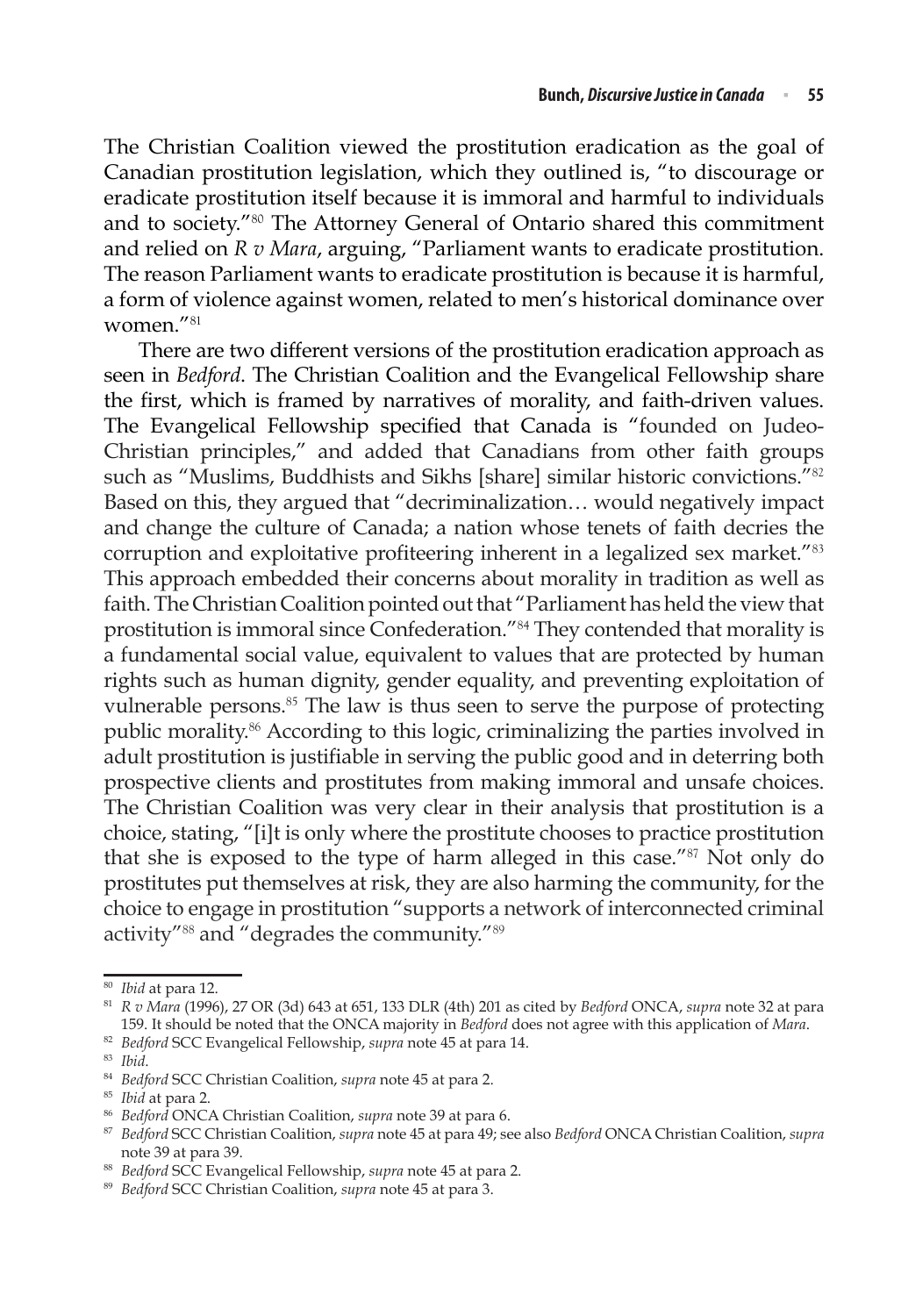The Christian Coalition viewed the prostitution eradication as the goal of Canadian prostitution legislation, which they outlined is, "to discourage or eradicate prostitution itself because it is immoral and harmful to individuals and to society."<sup>80</sup> The Attorney General of Ontario shared this commitment and relied on *R v Mara*, arguing, "Parliament wants to eradicate prostitution. The reason Parliament wants to eradicate prostitution is because it is harmful, a form of violence against women, related to men's historical dominance over women."<sup>81</sup>

There are two different versions of the prostitution eradication approach as seen in *Bedford*. The Christian Coalition and the Evangelical Fellowship share the first, which is framed by narratives of morality, and faith-driven values. The Evangelical Fellowship specified that Canada is "founded on Judeo-Christian principles," and added that Canadians from other faith groups such as "Muslims, Buddhists and Sikhs [share] similar historic convictions."<sup>82</sup> Based on this, they argued that "decriminalization… would negatively impact and change the culture of Canada; a nation whose tenets of faith decries the corruption and exploitative profiteering inherent in a legalized sex market."<sup>83</sup> This approach embedded their concerns about morality in tradition as well as faith. The Christian Coalition pointed out that "Parliament has held the view that prostitution is immoral since Confederation."<sup>84</sup> They contended that morality is a fundamental social value, equivalent to values that are protected by human rights such as human dignity, gender equality, and preventing exploitation of vulnerable persons.<sup>85</sup> The law is thus seen to serve the purpose of protecting public morality.<sup>86</sup> According to this logic, criminalizing the parties involved in adult prostitution is justifiable in serving the public good and in deterring both prospective clients and prostitutes from making immoral and unsafe choices. The Christian Coalition was very clear in their analysis that prostitution is a choice, stating, "[i]t is only where the prostitute chooses to practice prostitution that she is exposed to the type of harm alleged in this case."<sup>87</sup> Not only do prostitutes put themselves at risk, they are also harming the community, for the choice to engage in prostitution "supports a network of interconnected criminal activity"<sup>88</sup> and "degrades the community."<sup>89</sup>

<sup>80</sup> *Ibid* at para 12. 81 *R v Mara* (1996), 27 OR (3d) 643 at 651, 133 DLR (4th) 201 as cited by *Bedford* ONCA, *supra* note 32 at para 159. It should be noted that the ONCA majority in *Bedford* does not agree with this application of *Mara*.

<sup>82</sup> *Bedford* SCC Evangelical Fellowship, *supra* note 45 at para 14.

<sup>83</sup> *Ibid*.

<sup>84</sup> *Bedford* SCC Christian Coalition, *supra* note 45 at para 2.

<sup>85</sup> *Ibid* at para 2.

<sup>86</sup> *Bedford* ONCA Christian Coalition, *supra* note 39 at para 6.

<sup>87</sup> *Bedford* SCC Christian Coalition, *supra* note 45 at para 49; see also *Bedford* ONCA Christian Coalition, *supra* note 39 at para 39.

<sup>88</sup> *Bedford* SCC Evangelical Fellowship, *supra* note 45 at para 2.

<sup>89</sup> *Bedford* SCC Christian Coalition, *supra* note 45 at para 3.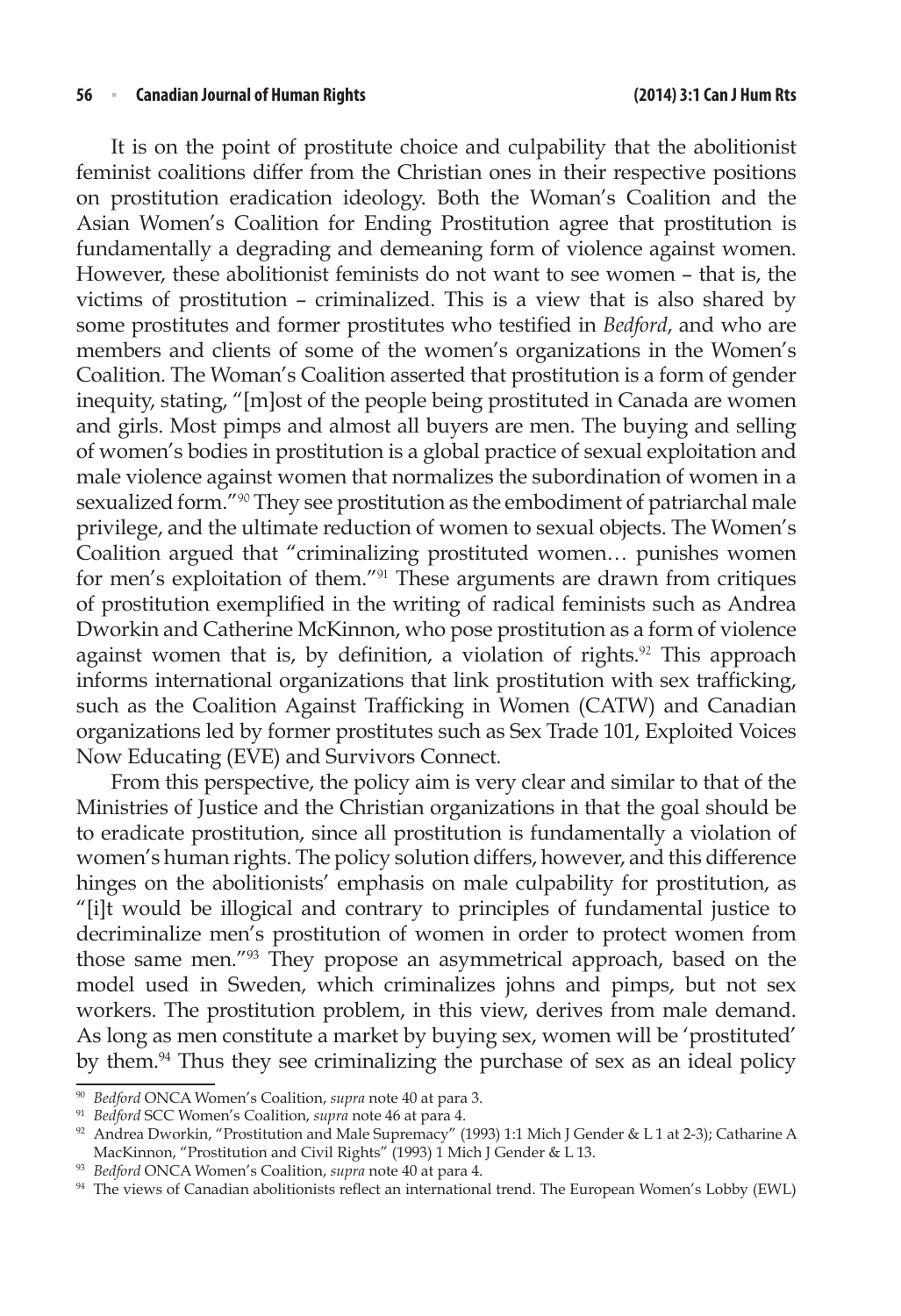It is on the point of prostitute choice and culpability that the abolitionist feminist coalitions differ from the Christian ones in their respective positions on prostitution eradication ideology. Both the Woman's Coalition and the Asian Women's Coalition for Ending Prostitution agree that prostitution is fundamentally a degrading and demeaning form of violence against women. However, these abolitionist feminists do not want to see women – that is, the victims of prostitution – criminalized. This is a view that is also shared by some prostitutes and former prostitutes who testified in *Bedford*, and who are members and clients of some of the women's organizations in the Women's Coalition. The Woman's Coalition asserted that prostitution is a form of gender inequity, stating, "[m]ost of the people being prostituted in Canada are women and girls. Most pimps and almost all buyers are men. The buying and selling of women's bodies in prostitution is a global practice of sexual exploitation and male violence against women that normalizes the subordination of women in a sexualized form."<sup>90</sup> They see prostitution as the embodiment of patriarchal male privilege, and the ultimate reduction of women to sexual objects. The Women's Coalition argued that "criminalizing prostituted women… punishes women for men's exploitation of them."<sup>91</sup> These arguments are drawn from critiques of prostitution exemplified in the writing of radical feminists such as Andrea Dworkin and Catherine McKinnon, who pose prostitution as a form of violence against women that is, by definition, a violation of rights.<sup>92</sup> This approach informs international organizations that link prostitution with sex trafficking, such as the Coalition Against Trafficking in Women (CATW) and Canadian organizations led by former prostitutes such as Sex Trade 101, Exploited Voices Now Educating (EVE) and Survivors Connect*.*

From this perspective, the policy aim is very clear and similar to that of the Ministries of Justice and the Christian organizations in that the goal should be to eradicate prostitution, since all prostitution is fundamentally a violation of women's human rights. The policy solution differs, however, and this difference hinges on the abolitionists' emphasis on male culpability for prostitution, as "[i]t would be illogical and contrary to principles of fundamental justice to decriminalize men's prostitution of women in order to protect women from those same men."93 They propose an asymmetrical approach, based on the model used in Sweden, which criminalizes johns and pimps, but not sex workers. The prostitution problem, in this view, derives from male demand. As long as men constitute a market by buying sex, women will be 'prostituted' by them.94 Thus they see criminalizing the purchase of sex as an ideal policy

<sup>90</sup> *Bedford* ONCA Women's Coalition, *supra* note 40 at para 3.

<sup>91</sup> *Bedford* SCC Women's Coalition, *supra* note 46 at para 4.

<sup>92</sup> Andrea Dworkin, "Prostitution and Male Supremacy" (1993) 1:1 Mich J Gender & L 1 at 2-3); Catharine A MacKinnon, "Prostitution and Civil Rights" (1993) 1 Mich J Gender & L 13.

<sup>93</sup> *Bedford* ONCA Women's Coalition, *supra* note 40 at para 4.

<sup>94</sup> The views of Canadian abolitionists reflect an international trend. The European Women's Lobby (EWL)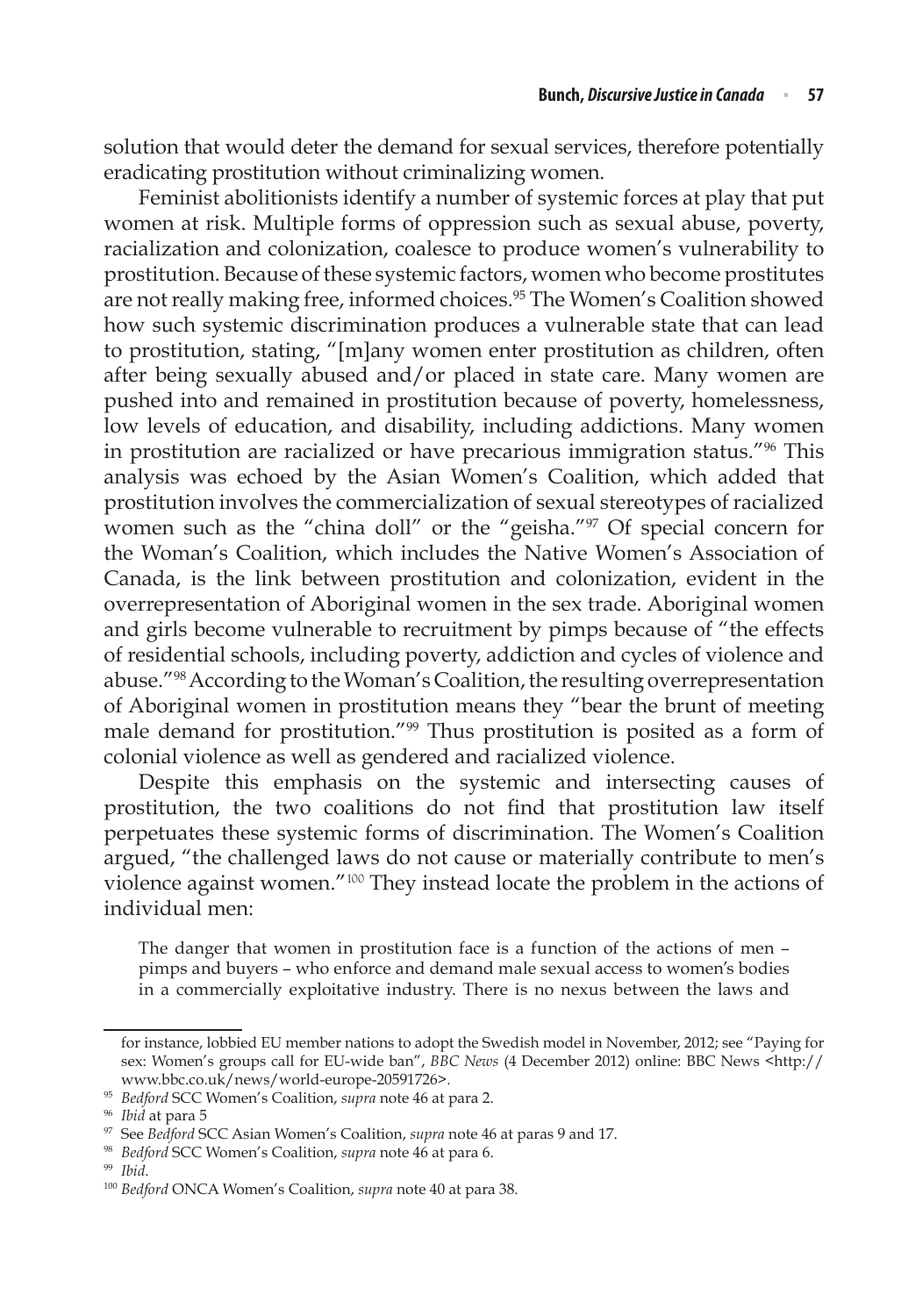solution that would deter the demand for sexual services, therefore potentially eradicating prostitution without criminalizing women.

Feminist abolitionists identify a number of systemic forces at play that put women at risk. Multiple forms of oppression such as sexual abuse, poverty, racialization and colonization, coalesce to produce women's vulnerability to prostitution. Because of these systemic factors, women who become prostitutes are not really making free, informed choices.<sup>95</sup> The Women's Coalition showed how such systemic discrimination produces a vulnerable state that can lead to prostitution, stating, "[m]any women enter prostitution as children, often after being sexually abused and/or placed in state care. Many women are pushed into and remained in prostitution because of poverty, homelessness, low levels of education, and disability, including addictions. Many women in prostitution are racialized or have precarious immigration status."96 This analysis was echoed by the Asian Women's Coalition, which added that prostitution involves the commercialization of sexual stereotypes of racialized women such as the "china doll" or the "geisha."97 Of special concern for the Woman's Coalition, which includes the Native Women's Association of Canada, is the link between prostitution and colonization, evident in the overrepresentation of Aboriginal women in the sex trade. Aboriginal women and girls become vulnerable to recruitment by pimps because of "the effects of residential schools, including poverty, addiction and cycles of violence and abuse."98 According to the Woman's Coalition, the resulting overrepresentation of Aboriginal women in prostitution means they "bear the brunt of meeting male demand for prostitution."99 Thus prostitution is posited as a form of colonial violence as well as gendered and racialized violence.

Despite this emphasis on the systemic and intersecting causes of prostitution, the two coalitions do not find that prostitution law itself perpetuates these systemic forms of discrimination. The Women's Coalition argued, "the challenged laws do not cause or materially contribute to men's violence against women."<sup>100</sup> They instead locate the problem in the actions of individual men:

The danger that women in prostitution face is a function of the actions of men – pimps and buyers – who enforce and demand male sexual access to women's bodies in a commercially exploitative industry. There is no nexus between the laws and

for instance, lobbied EU member nations to adopt the Swedish model in November, 2012; see "Paying for sex: Women's groups call for EU-wide ban", *BBC News* (4 December 2012) online: BBC News <http:// www.bbc.co.uk/news/world-europe-20591726>.

<sup>95</sup> *Bedford* SCC Women's Coalition, *supra* note 46 at para 2.

<sup>96</sup> *Ibid* at para 5

<sup>97</sup> See *Bedford* SCC Asian Women's Coalition, *supra* note 46 at paras 9 and 17.

<sup>98</sup> *Bedford* SCC Women's Coalition, *supra* note 46 at para 6.

<sup>&</sup>lt;sup>100</sup> *Bedford* ONCA Women's Coalition, *supra* note 40 at para 38.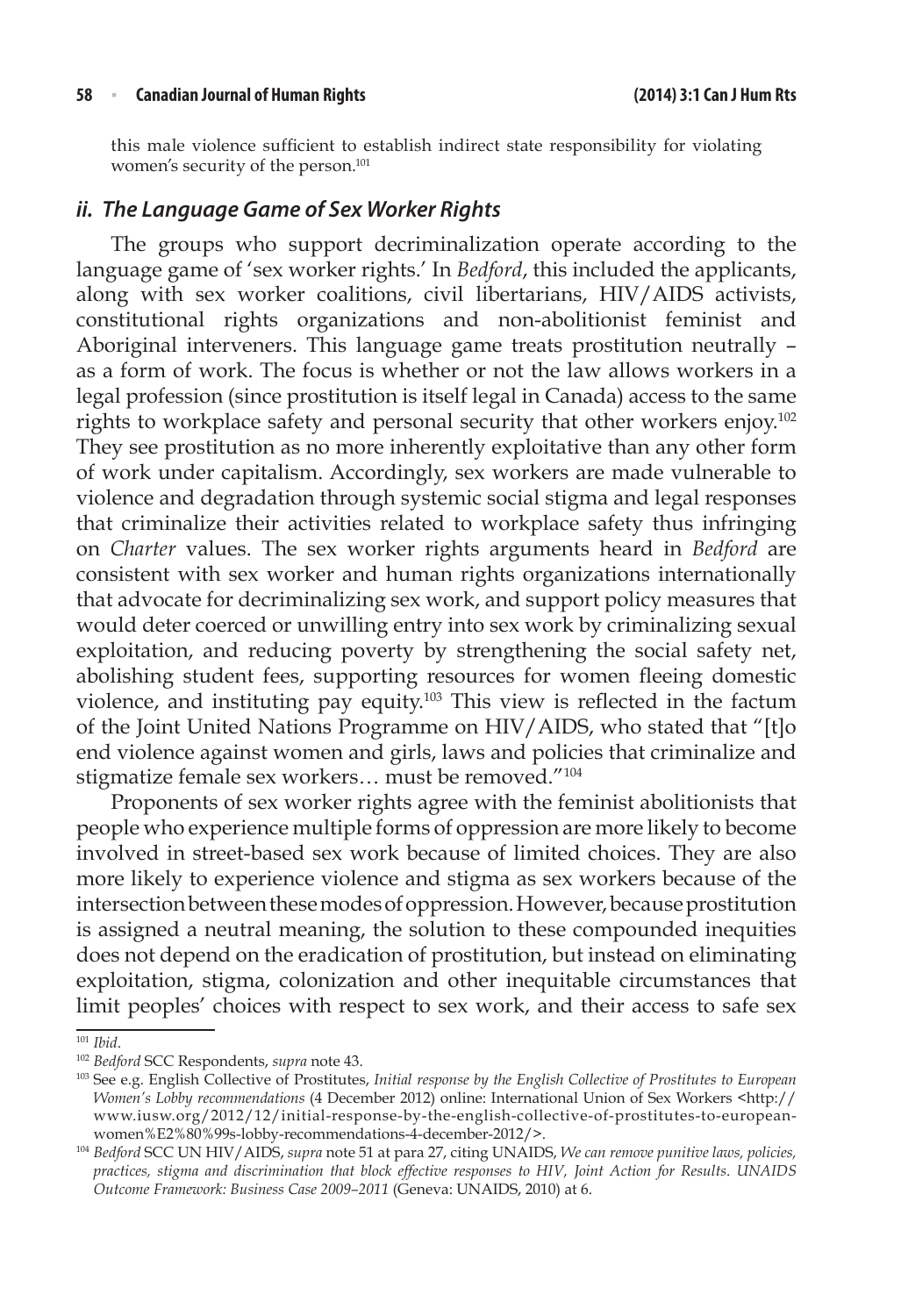this male violence sufficient to establish indirect state responsibility for violating women's security of the person.<sup>101</sup>

#### *ii. The Language Game of Sex Worker Rights*

The groups who support decriminalization operate according to the language game of 'sex worker rights.' In *Bedford*, this included the applicants, along with sex worker coalitions, civil libertarians, HIV/AIDS activists, constitutional rights organizations and non-abolitionist feminist and Aboriginal interveners. This language game treats prostitution neutrally – as a form of work. The focus is whether or not the law allows workers in a legal profession (since prostitution is itself legal in Canada) access to the same rights to workplace safety and personal security that other workers enjoy.<sup>102</sup> They see prostitution as no more inherently exploitative than any other form of work under capitalism. Accordingly, sex workers are made vulnerable to violence and degradation through systemic social stigma and legal responses that criminalize their activities related to workplace safety thus infringing on *Charter* values. The sex worker rights arguments heard in *Bedford* are consistent with sex worker and human rights organizations internationally that advocate for decriminalizing sex work, and support policy measures that would deter coerced or unwilling entry into sex work by criminalizing sexual exploitation, and reducing poverty by strengthening the social safety net, abolishing student fees, supporting resources for women fleeing domestic violence, and instituting pay equity.103 This view is reflected in the factum of the Joint United Nations Programme on HIV/AIDS, who stated that "[t]o end violence against women and girls, laws and policies that criminalize and stigmatize female sex workers… must be removed."<sup>104</sup>

Proponents of sex worker rights agree with the feminist abolitionists that people who experience multiple forms of oppression are more likely to become involved in street-based sex work because of limited choices. They are also more likely to experience violence and stigma as sex workers because of the intersection between these modes of oppression. However, because prostitution is assigned a neutral meaning, the solution to these compounded inequities does not depend on the eradication of prostitution, but instead on eliminating exploitation, stigma, colonization and other inequitable circumstances that limit peoples' choices with respect to sex work, and their access to safe sex

<sup>101</sup> *Ibid*. 102 *Bedford* SCC Respondents, *supra* note 43.

<sup>103</sup> See e.g. English Collective of Prostitutes, *Initial response by the English Collective of Prostitutes to European Women's Lobby recommendations* (4 December 2012) online: International Union of Sex Workers <http:// www.iusw.org/2012/12/initial-response-by-the-english-collective-of-prostitutes-to-europeanwomen%E2%80%99s-lobby-recommendations-4-december-2012/>.

<sup>104</sup> *Bedford* SCC UN HIV/AIDS, *supra* note 51 at para 27, citing UNAIDS, *We can remove punitive laws, policies, practices, stigma and discrimination that block effective responses to HIV, Joint Action for Results*. *UNAIDS Outcome Framework: Business Case 2009–2011* (Geneva: UNAIDS, 2010) at 6.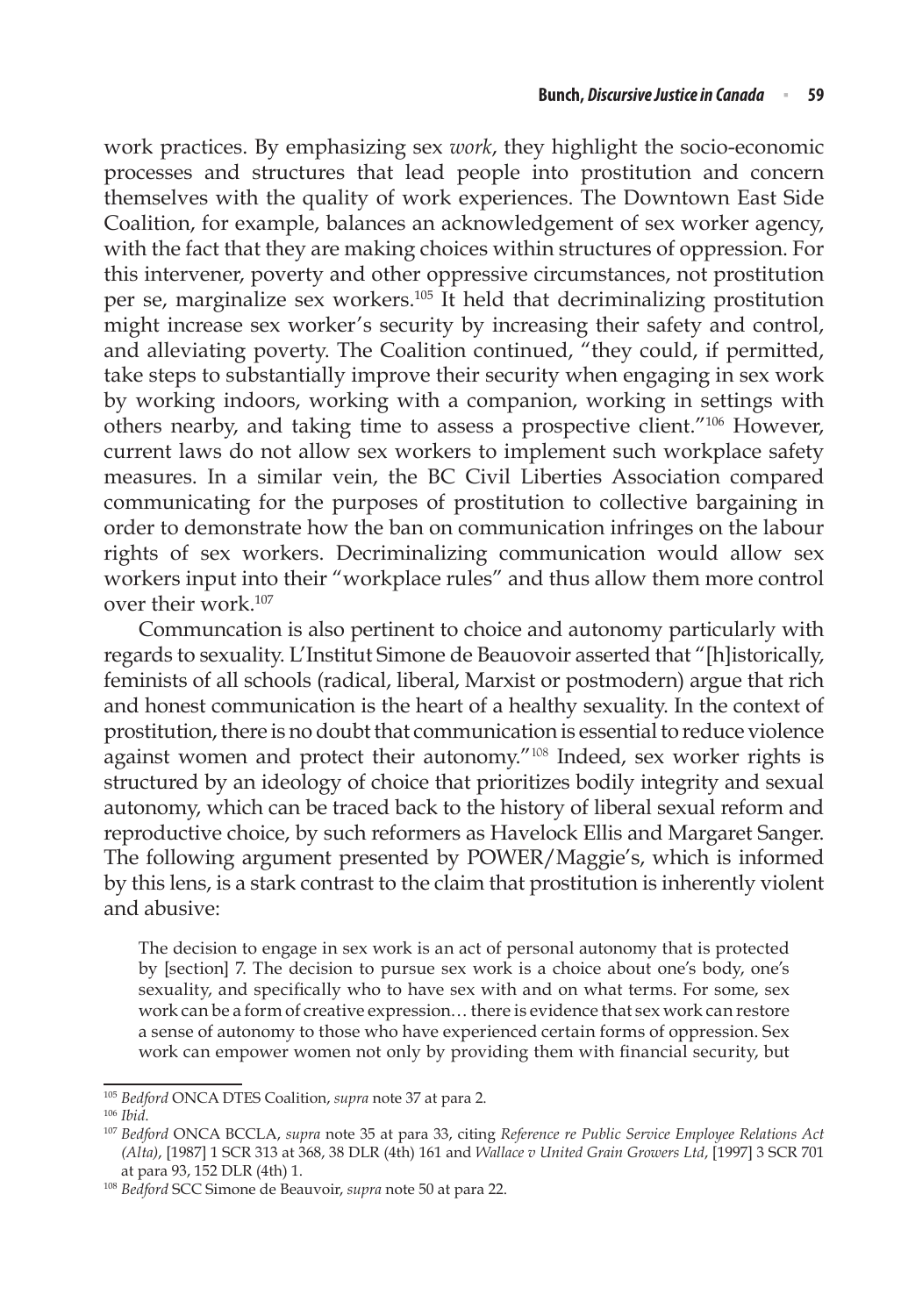work practices. By emphasizing sex *work*, they highlight the socio-economic processes and structures that lead people into prostitution and concern themselves with the quality of work experiences. The Downtown East Side Coalition, for example, balances an acknowledgement of sex worker agency, with the fact that they are making choices within structures of oppression. For this intervener, poverty and other oppressive circumstances, not prostitution per se, marginalize sex workers.105 It held that decriminalizing prostitution might increase sex worker's security by increasing their safety and control, and alleviating poverty. The Coalition continued, "they could, if permitted, take steps to substantially improve their security when engaging in sex work by working indoors, working with a companion, working in settings with others nearby, and taking time to assess a prospective client."106 However, current laws do not allow sex workers to implement such workplace safety measures. In a similar vein, the BC Civil Liberties Association compared communicating for the purposes of prostitution to collective bargaining in order to demonstrate how the ban on communication infringes on the labour rights of sex workers. Decriminalizing communication would allow sex workers input into their "workplace rules" and thus allow them more control over their work.107

Communcation is also pertinent to choice and autonomy particularly with regards to sexuality. L'Institut Simone de Beauovoir asserted that "[h]istorically, feminists of all schools (radical, liberal, Marxist or postmodern) argue that rich and honest communication is the heart of a healthy sexuality. In the context of prostitution, there is no doubt that communication is essential to reduce violence against women and protect their autonomy."<sup>108</sup> Indeed, sex worker rights is structured by an ideology of choice that prioritizes bodily integrity and sexual autonomy, which can be traced back to the history of liberal sexual reform and reproductive choice, by such reformers as Havelock Ellis and Margaret Sanger. The following argument presented by POWER/Maggie's, which is informed by this lens, is a stark contrast to the claim that prostitution is inherently violent and abusive:

The decision to engage in sex work is an act of personal autonomy that is protected by [section] 7. The decision to pursue sex work is a choice about one's body, one's sexuality, and specifically who to have sex with and on what terms. For some, sex work can be a form of creative expression… there is evidence that sex work can restore a sense of autonomy to those who have experienced certain forms of oppression. Sex work can empower women not only by providing them with financial security, but

<sup>105</sup> *Bedford* ONCA DTES Coalition, *supra* note 37 at para 2.

<sup>106</sup> *Ibid*.

<sup>107</sup> *Bedford* ONCA BCCLA, *supra* note 35 at para 33, citing *Reference re Public Service Employee Relations Act (Alta)*, [1987] 1 SCR 313 at 368, 38 DLR (4th) 161 and *Wallace v United Grain Growers Ltd*, [1997] 3 SCR 701 at para 93, 152 DLR (4th) 1.

<sup>108</sup> *Bedford* SCC Simone de Beauvoir, *supra* note 50 at para 22.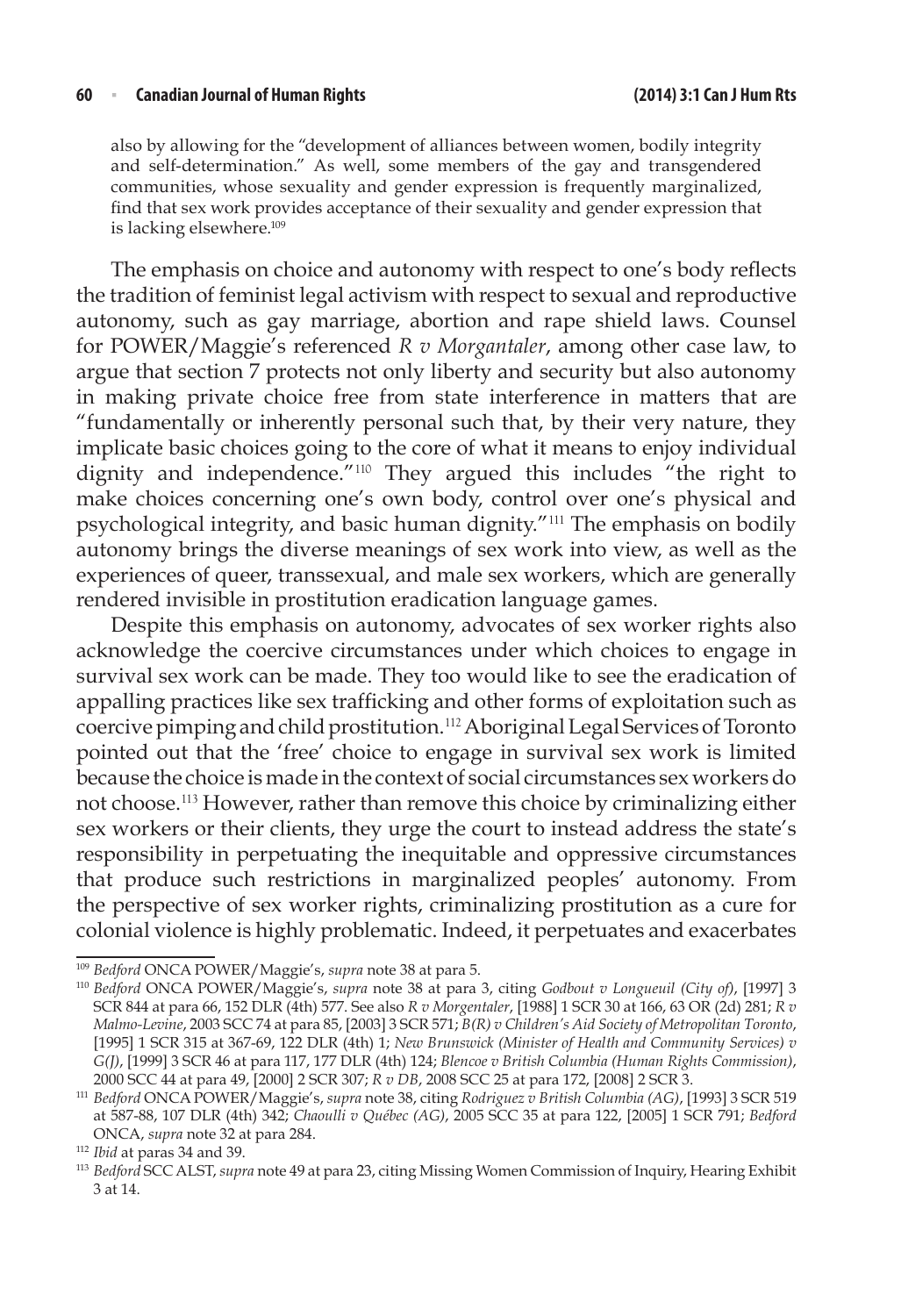also by allowing for the "development of alliances between women, bodily integrity and self-determination." As well, some members of the gay and transgendered communities, whose sexuality and gender expression is frequently marginalized, find that sex work provides acceptance of their sexuality and gender expression that is lacking elsewhere.<sup>109</sup>

The emphasis on choice and autonomy with respect to one's body reflects the tradition of feminist legal activism with respect to sexual and reproductive autonomy, such as gay marriage, abortion and rape shield laws. Counsel for POWER/Maggie's referenced *R v Morgantaler*, among other case law, to argue that section 7 protects not only liberty and security but also autonomy in making private choice free from state interference in matters that are "fundamentally or inherently personal such that, by their very nature, they implicate basic choices going to the core of what it means to enjoy individual dignity and independence."<sup>110</sup> They argued this includes "the right to make choices concerning one's own body, control over one's physical and psychological integrity, and basic human dignity."<sup>111</sup> The emphasis on bodily autonomy brings the diverse meanings of sex work into view, as well as the experiences of queer, transsexual, and male sex workers, which are generally rendered invisible in prostitution eradication language games.

Despite this emphasis on autonomy, advocates of sex worker rights also acknowledge the coercive circumstances under which choices to engage in survival sex work can be made. They too would like to see the eradication of appalling practices like sex trafficking and other forms of exploitation such as coercive pimping and child prostitution.<sup>112</sup> Aboriginal Legal Services of Toronto pointed out that the 'free' choice to engage in survival sex work is limited because the choice is made in the context of social circumstances sex workers do not choose.<sup>113</sup> However, rather than remove this choice by criminalizing either sex workers or their clients, they urge the court to instead address the state's responsibility in perpetuating the inequitable and oppressive circumstances that produce such restrictions in marginalized peoples' autonomy. From the perspective of sex worker rights, criminalizing prostitution as a cure for colonial violence is highly problematic. Indeed, it perpetuates and exacerbates

<sup>109</sup> *Bedford* ONCA POWER/Maggie's, *supra* note 38 at para 5.

<sup>110</sup> *Bedford* ONCA POWER/Maggie's, *supra* note 38 at para 3, citing *Godbout v Longueuil (City of)*, [1997] 3 SCR 844 at para 66, 152 DLR (4th) 577. See also *R v Morgentaler*, [1988] 1 SCR 30 at 166, 63 OR (2d) 281; *R v Malmo-Levine*, 2003 SCC 74 at para 85, [2003] 3 SCR 571; *B(R) v Children's Aid Society of Metropolitan Toronto*, [1995] 1 SCR 315 at 367-69, 122 DLR (4th) 1; *New Brunswick (Minister of Health and Community Services) v G(J)*, [1999] 3 SCR 46 at para 117, 177 DLR (4th) 124; *Blencoe v British Columbia (Human Rights Commission)*, 2000 SCC 44 at para 49, [2000] 2 SCR 307; *R v DB*, 2008 SCC 25 at para 172, [2008] 2 SCR 3.

<sup>111</sup> *Bedford* ONCA POWER/Maggie's, *supra* note 38, citing *Rodriguez v British Columbia (AG)*, [1993] 3 SCR 519 at 587-88, 107 DLR (4th) 342; *Chaoulli v Québec (AG)*, 2005 SCC 35 at para 122, [2005] 1 SCR 791; *Bedford* ONCA, *supra* note 32 at para 284.

<sup>&</sup>lt;sup>113</sup> Bedford SCC ALST, *supra* note 49 at para 23, citing Missing Women Commission of Inquiry, Hearing Exhibit 3 at 14.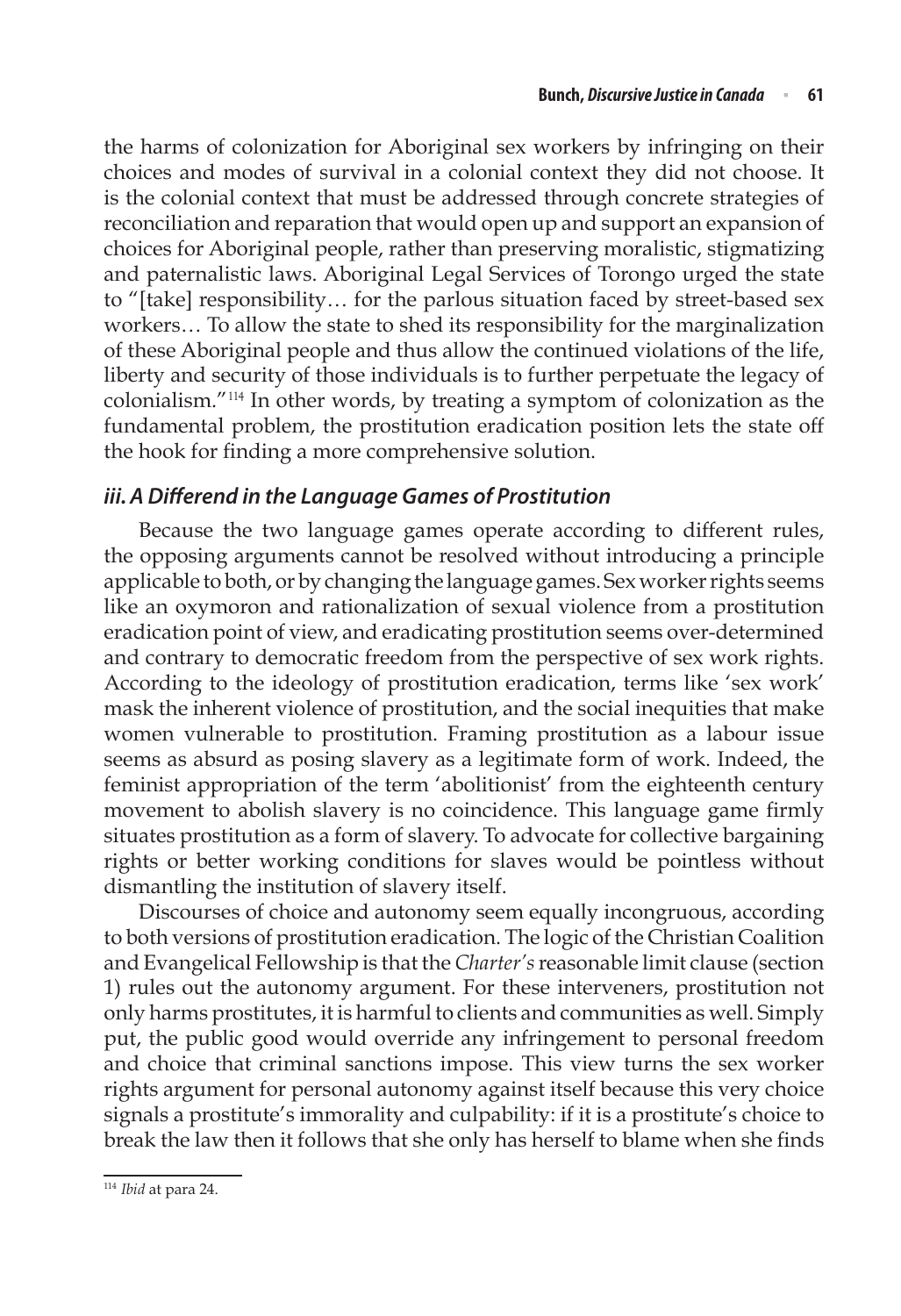the harms of colonization for Aboriginal sex workers by infringing on their choices and modes of survival in a colonial context they did not choose. It is the colonial context that must be addressed through concrete strategies of reconciliation and reparation that would open up and support an expansion of choices for Aboriginal people, rather than preserving moralistic, stigmatizing and paternalistic laws. Aboriginal Legal Services of Torongo urged the state to "[take] responsibility… for the parlous situation faced by street-based sex workers… To allow the state to shed its responsibility for the marginalization of these Aboriginal people and thus allow the continued violations of the life, liberty and security of those individuals is to further perpetuate the legacy of colonialism."<sup>114</sup> In other words, by treating a symptom of colonization as the fundamental problem, the prostitution eradication position lets the state off the hook for finding a more comprehensive solution.

### *iii.A Differend in the Language Games of Prostitution*

Because the two language games operate according to different rules, the opposing arguments cannot be resolved without introducing a principle applicable to both, or by changing the language games. Sex worker rights seems like an oxymoron and rationalization of sexual violence from a prostitution eradication point of view, and eradicating prostitution seems over-determined and contrary to democratic freedom from the perspective of sex work rights. According to the ideology of prostitution eradication, terms like 'sex work' mask the inherent violence of prostitution, and the social inequities that make women vulnerable to prostitution. Framing prostitution as a labour issue seems as absurd as posing slavery as a legitimate form of work. Indeed, the feminist appropriation of the term 'abolitionist' from the eighteenth century movement to abolish slavery is no coincidence. This language game firmly situates prostitution as a form of slavery. To advocate for collective bargaining rights or better working conditions for slaves would be pointless without dismantling the institution of slavery itself.

Discourses of choice and autonomy seem equally incongruous, according to both versions of prostitution eradication. The logic of the Christian Coalition and Evangelical Fellowship is that the *Charter's* reasonable limit clause (section 1) rules out the autonomy argument. For these interveners, prostitution not only harms prostitutes, it is harmful to clients and communities as well. Simply put, the public good would override any infringement to personal freedom and choice that criminal sanctions impose. This view turns the sex worker rights argument for personal autonomy against itself because this very choice signals a prostitute's immorality and culpability: if it is a prostitute's choice to break the law then it follows that she only has herself to blame when she finds

<sup>114</sup> *Ibid* at para 24.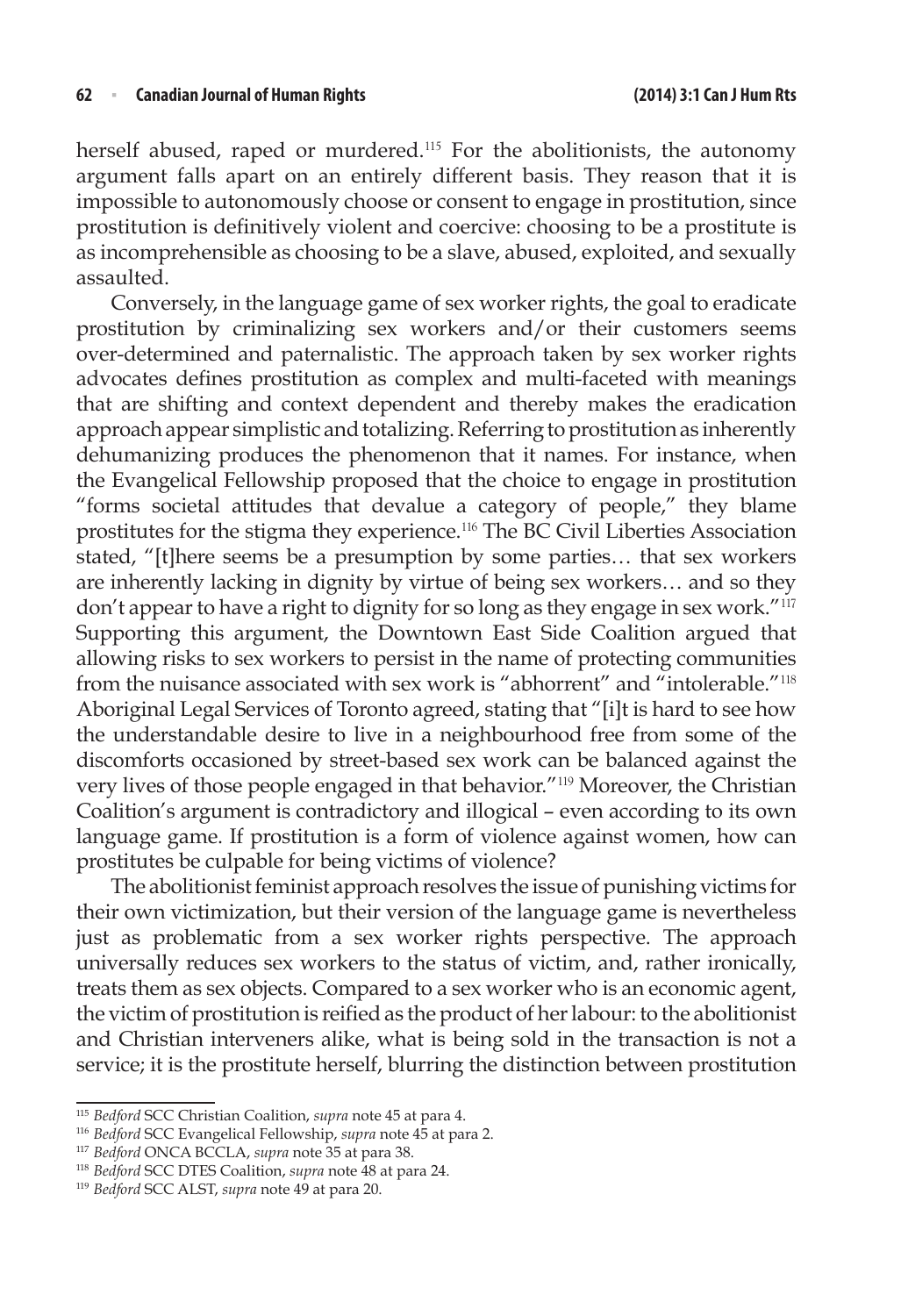herself abused, raped or murdered.<sup>115</sup> For the abolitionists, the autonomy argument falls apart on an entirely different basis. They reason that it is impossible to autonomously choose or consent to engage in prostitution, since prostitution is definitively violent and coercive: choosing to be a prostitute is as incomprehensible as choosing to be a slave, abused, exploited, and sexually assaulted.

Conversely, in the language game of sex worker rights, the goal to eradicate prostitution by criminalizing sex workers and/or their customers seems over-determined and paternalistic. The approach taken by sex worker rights advocates defines prostitution as complex and multi-faceted with meanings that are shifting and context dependent and thereby makes the eradication approach appear simplistic and totalizing. Referring to prostitution as inherently dehumanizing produces the phenomenon that it names. For instance, when the Evangelical Fellowship proposed that the choice to engage in prostitution "forms societal attitudes that devalue a category of people," they blame prostitutes for the stigma they experience.<sup>116</sup> The BC Civil Liberties Association stated, "[t]here seems be a presumption by some parties… that sex workers are inherently lacking in dignity by virtue of being sex workers… and so they don't appear to have a right to dignity for so long as they engage in sex work."<sup>117</sup> Supporting this argument, the Downtown East Side Coalition argued that allowing risks to sex workers to persist in the name of protecting communities from the nuisance associated with sex work is "abhorrent" and "intolerable."<sup>118</sup> Aboriginal Legal Services of Toronto agreed, stating that "[i]t is hard to see how the understandable desire to live in a neighbourhood free from some of the discomforts occasioned by street-based sex work can be balanced against the very lives of those people engaged in that behavior."<sup>119</sup> Moreover, the Christian Coalition's argument is contradictory and illogical – even according to its own language game. If prostitution is a form of violence against women, how can prostitutes be culpable for being victims of violence?

The abolitionist feminist approach resolves the issue of punishing victims for their own victimization, but their version of the language game is nevertheless just as problematic from a sex worker rights perspective. The approach universally reduces sex workers to the status of victim, and, rather ironically, treats them as sex objects. Compared to a sex worker who is an economic agent, the victim of prostitution is reified as the product of her labour: to the abolitionist and Christian interveners alike, what is being sold in the transaction is not a service; it is the prostitute herself, blurring the distinction between prostitution

<sup>115</sup> *Bedford* SCC Christian Coalition, *supra* note 45 at para 4.

<sup>116</sup> *Bedford* SCC Evangelical Fellowship, *supra* note 45 at para 2.

<sup>117</sup> *Bedford* ONCA BCCLA, *supra* note 35 at para 38.

<sup>118</sup> *Bedford* SCC DTES Coalition, *supra* note 48 at para 24.

<sup>119</sup> *Bedford* SCC ALST, *supra* note 49 at para 20.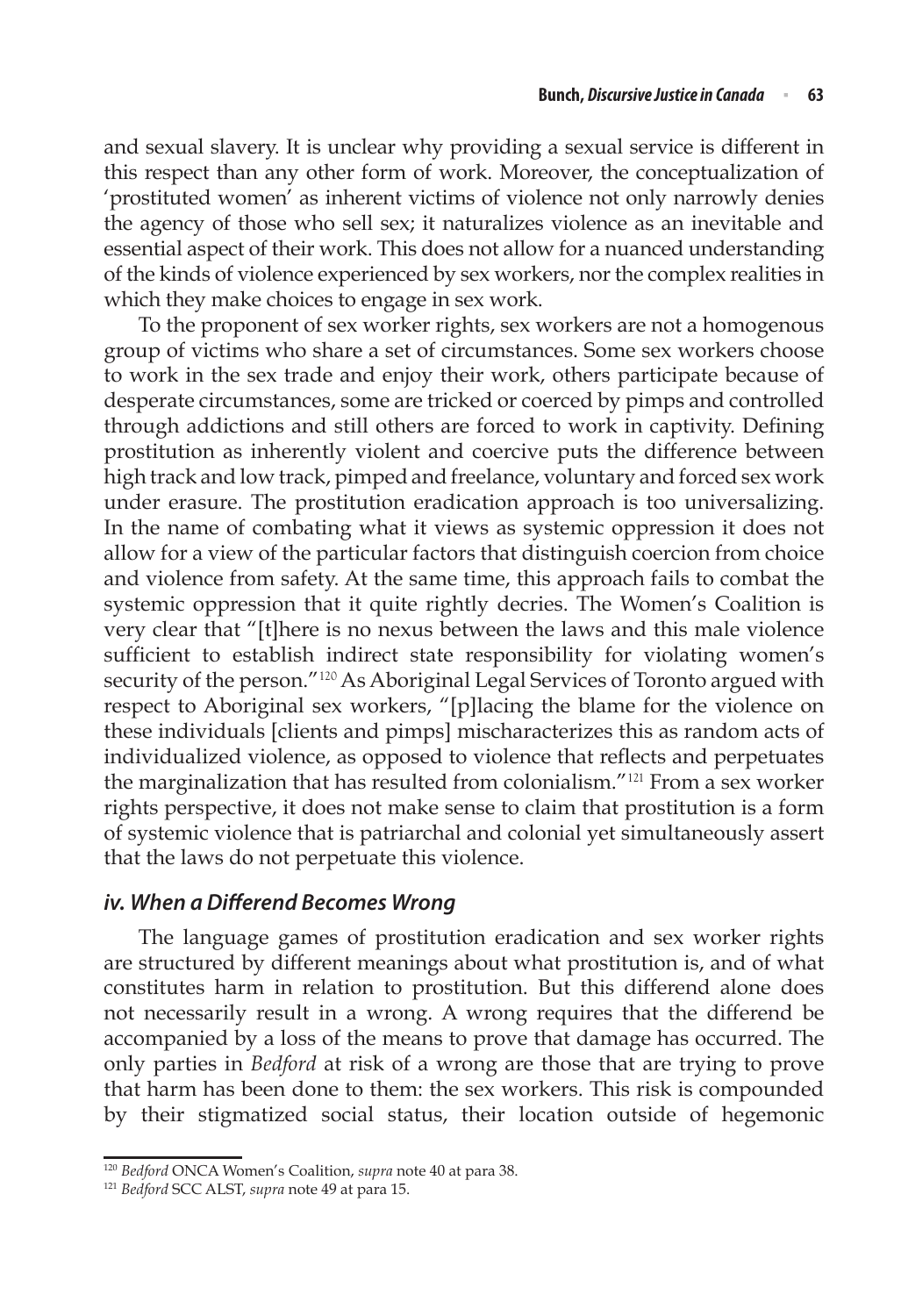and sexual slavery. It is unclear why providing a sexual service is different in this respect than any other form of work. Moreover, the conceptualization of 'prostituted women' as inherent victims of violence not only narrowly denies the agency of those who sell sex; it naturalizes violence as an inevitable and essential aspect of their work. This does not allow for a nuanced understanding of the kinds of violence experienced by sex workers, nor the complex realities in which they make choices to engage in sex work.

To the proponent of sex worker rights, sex workers are not a homogenous group of victims who share a set of circumstances. Some sex workers choose to work in the sex trade and enjoy their work, others participate because of desperate circumstances, some are tricked or coerced by pimps and controlled through addictions and still others are forced to work in captivity. Defining prostitution as inherently violent and coercive puts the difference between high track and low track, pimped and freelance, voluntary and forced sex work under erasure. The prostitution eradication approach is too universalizing. In the name of combating what it views as systemic oppression it does not allow for a view of the particular factors that distinguish coercion from choice and violence from safety. At the same time, this approach fails to combat the systemic oppression that it quite rightly decries. The Women's Coalition is very clear that "[t]here is no nexus between the laws and this male violence sufficient to establish indirect state responsibility for violating women's security of the person."<sup>120</sup> As Aboriginal Legal Services of Toronto argued with respect to Aboriginal sex workers, "[p]lacing the blame for the violence on these individuals [clients and pimps] mischaracterizes this as random acts of individualized violence, as opposed to violence that reflects and perpetuates the marginalization that has resulted from colonialism."<sup>121</sup> From a sex worker rights perspective, it does not make sense to claim that prostitution is a form of systemic violence that is patriarchal and colonial yet simultaneously assert that the laws do not perpetuate this violence.

## *iv. When a Differend Becomes Wrong*

The language games of prostitution eradication and sex worker rights are structured by different meanings about what prostitution is, and of what constitutes harm in relation to prostitution. But this differend alone does not necessarily result in a wrong. A wrong requires that the differend be accompanied by a loss of the means to prove that damage has occurred. The only parties in *Bedford* at risk of a wrong are those that are trying to prove that harm has been done to them: the sex workers. This risk is compounded by their stigmatized social status, their location outside of hegemonic

<sup>120</sup> *Bedford* ONCA Women's Coalition, *supra* note 40 at para 38. 121 *Bedford* SCC ALST, *supra* note 49 at para 15.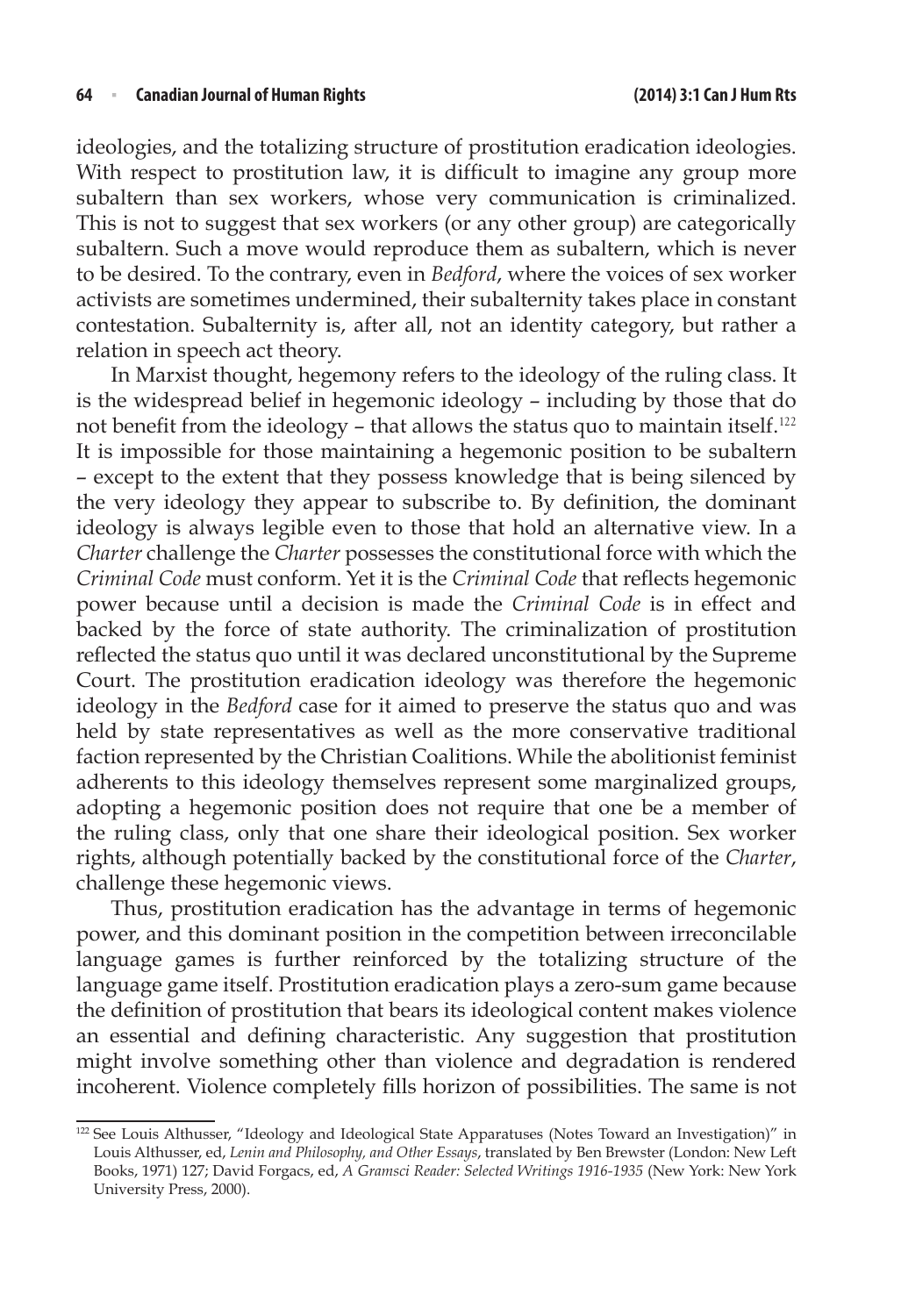ideologies, and the totalizing structure of prostitution eradication ideologies. With respect to prostitution law, it is difficult to imagine any group more subaltern than sex workers, whose very communication is criminalized. This is not to suggest that sex workers (or any other group) are categorically subaltern. Such a move would reproduce them as subaltern, which is never to be desired. To the contrary, even in *Bedford*, where the voices of sex worker activists are sometimes undermined, their subalternity takes place in constant contestation. Subalternity is, after all, not an identity category, but rather a relation in speech act theory.

In Marxist thought, hegemony refers to the ideology of the ruling class. It is the widespread belief in hegemonic ideology – including by those that do not benefit from the ideology – that allows the status quo to maintain itself.<sup>122</sup> It is impossible for those maintaining a hegemonic position to be subaltern – except to the extent that they possess knowledge that is being silenced by the very ideology they appear to subscribe to. By definition, the dominant ideology is always legible even to those that hold an alternative view. In a *Charter* challenge the *Charter* possesses the constitutional force with which the *Criminal Code* must conform. Yet it is the *Criminal Code* that reflects hegemonic power because until a decision is made the *Criminal Code* is in effect and backed by the force of state authority. The criminalization of prostitution reflected the status quo until it was declared unconstitutional by the Supreme Court. The prostitution eradication ideology was therefore the hegemonic ideology in the *Bedford* case for it aimed to preserve the status quo and was held by state representatives as well as the more conservative traditional faction represented by the Christian Coalitions. While the abolitionist feminist adherents to this ideology themselves represent some marginalized groups, adopting a hegemonic position does not require that one be a member of the ruling class, only that one share their ideological position. Sex worker rights, although potentially backed by the constitutional force of the *Charter*, challenge these hegemonic views.

Thus, prostitution eradication has the advantage in terms of hegemonic power, and this dominant position in the competition between irreconcilable language games is further reinforced by the totalizing structure of the language game itself. Prostitution eradication plays a zero-sum game because the definition of prostitution that bears its ideological content makes violence an essential and defining characteristic. Any suggestion that prostitution might involve something other than violence and degradation is rendered incoherent. Violence completely fills horizon of possibilities. The same is not

<sup>122</sup> See Louis Althusser, "Ideology and Ideological State Apparatuses (Notes Toward an Investigation)" in Louis Althusser, ed, *Lenin and Philosophy, and Other Essays*, translated by Ben Brewster (London: New Left Books, 1971) 127; David Forgacs, ed, *A Gramsci Reader: Selected Writings 1916-1935* (New York: New York University Press, 2000).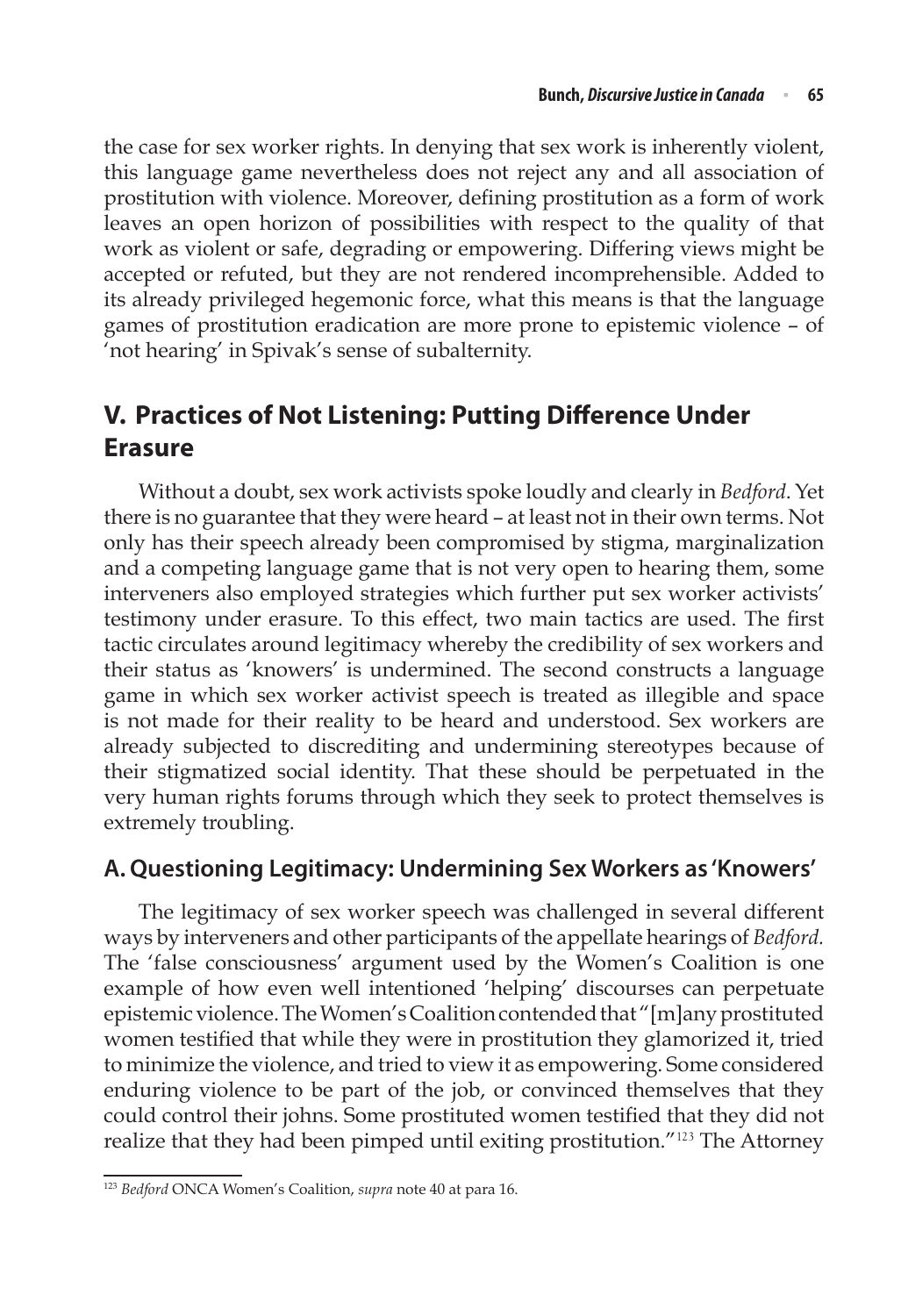the case for sex worker rights. In denying that sex work is inherently violent, this language game nevertheless does not reject any and all association of prostitution with violence. Moreover, defining prostitution as a form of work leaves an open horizon of possibilities with respect to the quality of that work as violent or safe, degrading or empowering. Differing views might be accepted or refuted, but they are not rendered incomprehensible. Added to its already privileged hegemonic force, what this means is that the language games of prostitution eradication are more prone to epistemic violence – of 'not hearing' in Spivak's sense of subalternity.

# **V. Practices of Not Listening: Putting Difference Under Erasure**

Without a doubt, sex work activists spoke loudly and clearly in *Bedford*. Yet there is no guarantee that they were heard – at least not in their own terms. Not only has their speech already been compromised by stigma, marginalization and a competing language game that is not very open to hearing them, some interveners also employed strategies which further put sex worker activists' testimony under erasure. To this effect, two main tactics are used. The first tactic circulates around legitimacy whereby the credibility of sex workers and their status as 'knowers' is undermined. The second constructs a language game in which sex worker activist speech is treated as illegible and space is not made for their reality to be heard and understood. Sex workers are already subjected to discrediting and undermining stereotypes because of their stigmatized social identity. That these should be perpetuated in the very human rights forums through which they seek to protect themselves is extremely troubling.

# **A. Questioning Legitimacy: Undermining Sex Workers as 'Knowers'**

The legitimacy of sex worker speech was challenged in several different ways by interveners and other participants of the appellate hearings of *Bedford.* The 'false consciousness' argument used by the Women's Coalition is one example of how even well intentioned 'helping' discourses can perpetuate epistemic violence. The Women's Coalition contended that "[m]any prostituted women testified that while they were in prostitution they glamorized it, tried to minimize the violence, and tried to view it as empowering. Some considered enduring violence to be part of the job, or convinced themselves that they could control their johns. Some prostituted women testified that they did not realize that they had been pimped until exiting prostitution."<sup>123</sup> The Attorney

<sup>123</sup> *Bedford* ONCA Women's Coalition, *supra* note 40 at para 16.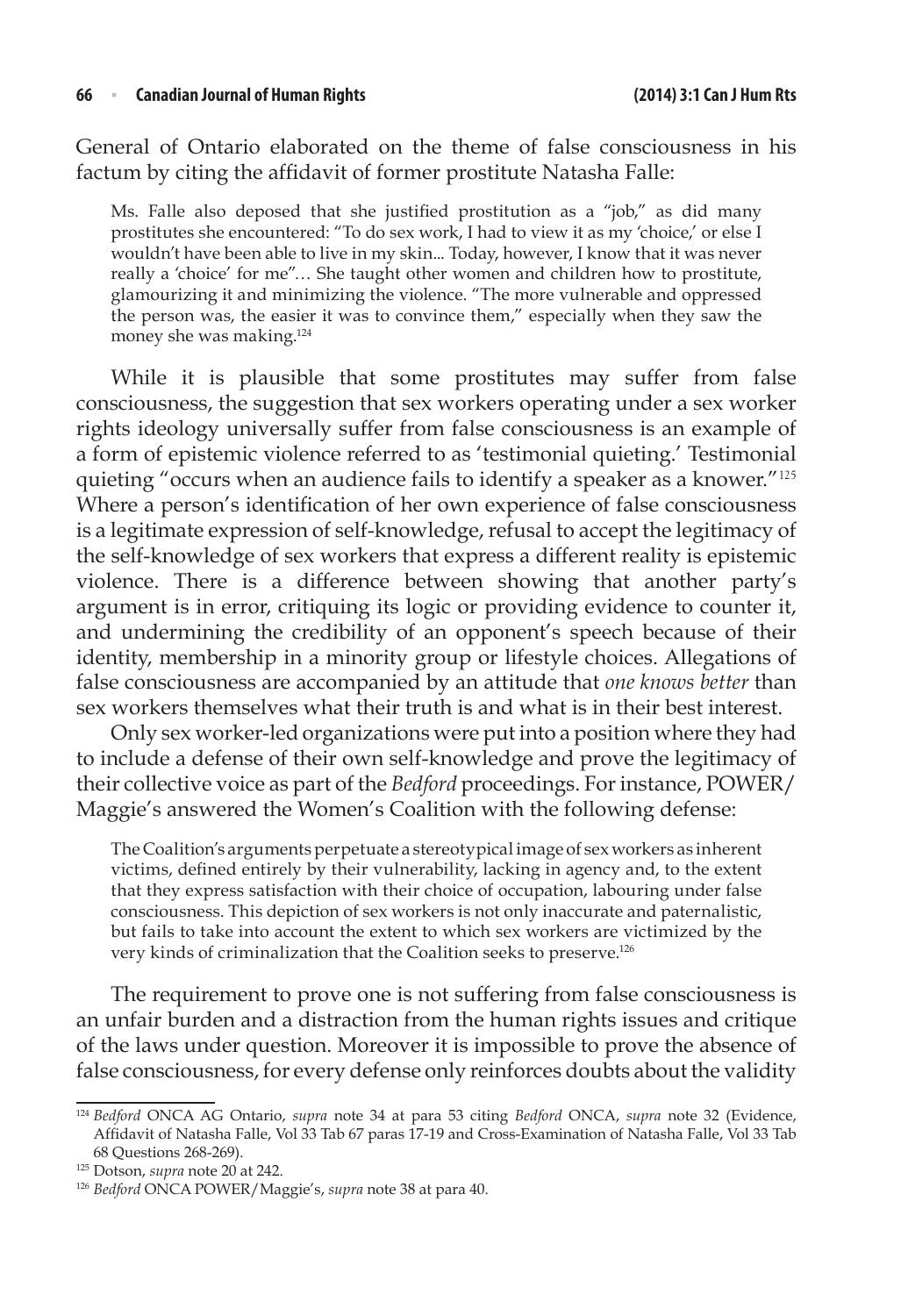General of Ontario elaborated on the theme of false consciousness in his factum by citing the affidavit of former prostitute Natasha Falle:

Ms. Falle also deposed that she justified prostitution as a "job," as did many prostitutes she encountered: "To do sex work, I had to view it as my 'choice,' or else I wouldn't have been able to live in my skin... Today, however, I know that it was never really a 'choice' for me"… She taught other women and children how to prostitute, glamourizing it and minimizing the violence. "The more vulnerable and oppressed the person was, the easier it was to convince them," especially when they saw the money she was making.124

While it is plausible that some prostitutes may suffer from false consciousness, the suggestion that sex workers operating under a sex worker rights ideology universally suffer from false consciousness is an example of a form of epistemic violence referred to as 'testimonial quieting.' Testimonial quieting "occurs when an audience fails to identify a speaker as a knower."<sup>125</sup> Where a person's identification of her own experience of false consciousness is a legitimate expression of self-knowledge, refusal to accept the legitimacy of the self-knowledge of sex workers that express a different reality is epistemic violence. There is a difference between showing that another party's argument is in error, critiquing its logic or providing evidence to counter it, and undermining the credibility of an opponent's speech because of their identity, membership in a minority group or lifestyle choices. Allegations of false consciousness are accompanied by an attitude that *one knows better* than sex workers themselves what their truth is and what is in their best interest.

Only sex worker-led organizations were put into a position where they had to include a defense of their own self-knowledge and prove the legitimacy of their collective voice as part of the *Bedford* proceedings. For instance, POWER/ Maggie's answered the Women's Coalition with the following defense:

The Coalition's arguments perpetuate a stereotypical image of sex workers as inherent victims, defined entirely by their vulnerability, lacking in agency and, to the extent that they express satisfaction with their choice of occupation, labouring under false consciousness. This depiction of sex workers is not only inaccurate and paternalistic, but fails to take into account the extent to which sex workers are victimized by the very kinds of criminalization that the Coalition seeks to preserve.126

The requirement to prove one is not suffering from false consciousness is an unfair burden and a distraction from the human rights issues and critique of the laws under question. Moreover it is impossible to prove the absence of false consciousness, for every defense only reinforces doubts about the validity

<sup>124</sup> *Bedford* ONCA AG Ontario, *supra* note 34 at para 53 citing *Bedford* ONCA, *supra* note 32 (Evidence, Affidavit of Natasha Falle, Vol 33 Tab 67 paras 17-19 and Cross-Examination of Natasha Falle, Vol 33 Tab 68 Questions 268-269).

<sup>125</sup> Dotson, *supra* note 20 at 242.

<sup>126</sup> *Bedford* ONCA POWER/Maggie's, *supra* note 38 at para 40.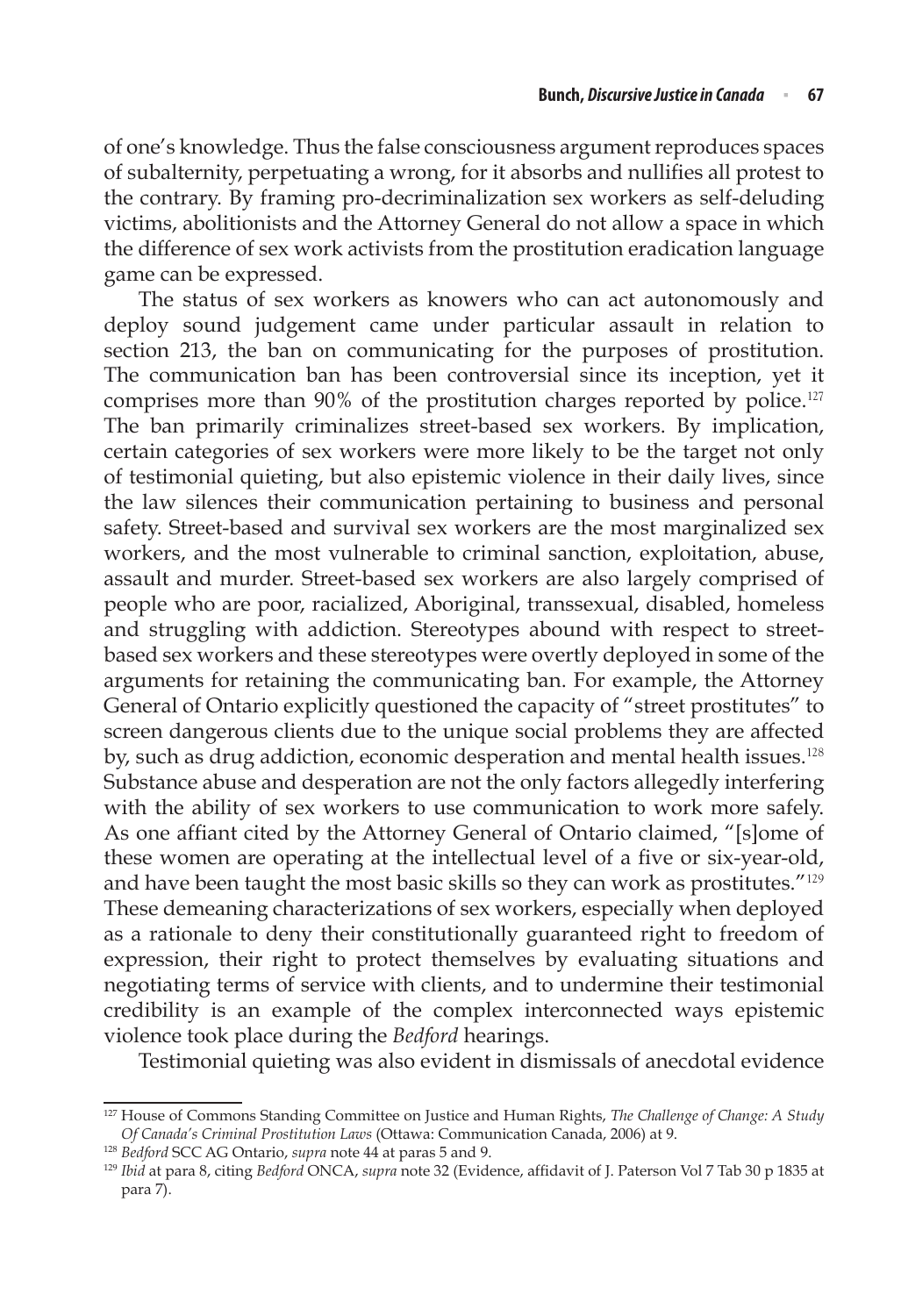of one's knowledge. Thus the false consciousness argument reproduces spaces of subalternity, perpetuating a wrong, for it absorbs and nullifies all protest to the contrary. By framing pro-decriminalization sex workers as self-deluding victims, abolitionists and the Attorney General do not allow a space in which the difference of sex work activists from the prostitution eradication language game can be expressed.

The status of sex workers as knowers who can act autonomously and deploy sound judgement came under particular assault in relation to section 213, the ban on communicating for the purposes of prostitution. The communication ban has been controversial since its inception, yet it comprises more than 90% of the prostitution charges reported by police.<sup>127</sup> The ban primarily criminalizes street-based sex workers. By implication, certain categories of sex workers were more likely to be the target not only of testimonial quieting, but also epistemic violence in their daily lives, since the law silences their communication pertaining to business and personal safety. Street-based and survival sex workers are the most marginalized sex workers, and the most vulnerable to criminal sanction, exploitation, abuse, assault and murder. Street-based sex workers are also largely comprised of people who are poor, racialized, Aboriginal, transsexual, disabled, homeless and struggling with addiction. Stereotypes abound with respect to streetbased sex workers and these stereotypes were overtly deployed in some of the arguments for retaining the communicating ban. For example, the Attorney General of Ontario explicitly questioned the capacity of "street prostitutes" to screen dangerous clients due to the unique social problems they are affected by, such as drug addiction, economic desperation and mental health issues.<sup>128</sup> Substance abuse and desperation are not the only factors allegedly interfering with the ability of sex workers to use communication to work more safely. As one affiant cited by the Attorney General of Ontario claimed, "[s]ome of these women are operating at the intellectual level of a five or six-year-old, and have been taught the most basic skills so they can work as prostitutes."<sup>129</sup> These demeaning characterizations of sex workers, especially when deployed as a rationale to deny their constitutionally guaranteed right to freedom of expression, their right to protect themselves by evaluating situations and negotiating terms of service with clients, and to undermine their testimonial credibility is an example of the complex interconnected ways epistemic violence took place during the *Bedford* hearings.

Testimonial quieting was also evident in dismissals of anecdotal evidence

<sup>127</sup> House of Commons Standing Committee on Justice and Human Rights, *The Challenge of Change: A Study Of Canada's Criminal Prostitution Laws* (Ottawa: Communication Canada, 2006) at 9.

<sup>128</sup> *Bedford* SCC AG Ontario, *supra* note 44 at paras 5 and 9.

<sup>129</sup> *Ibid* at para 8, citing *Bedford* ONCA, *supra* note 32 (Evidence, affidavit of J. Paterson Vol 7 Tab 30 p 1835 at para 7).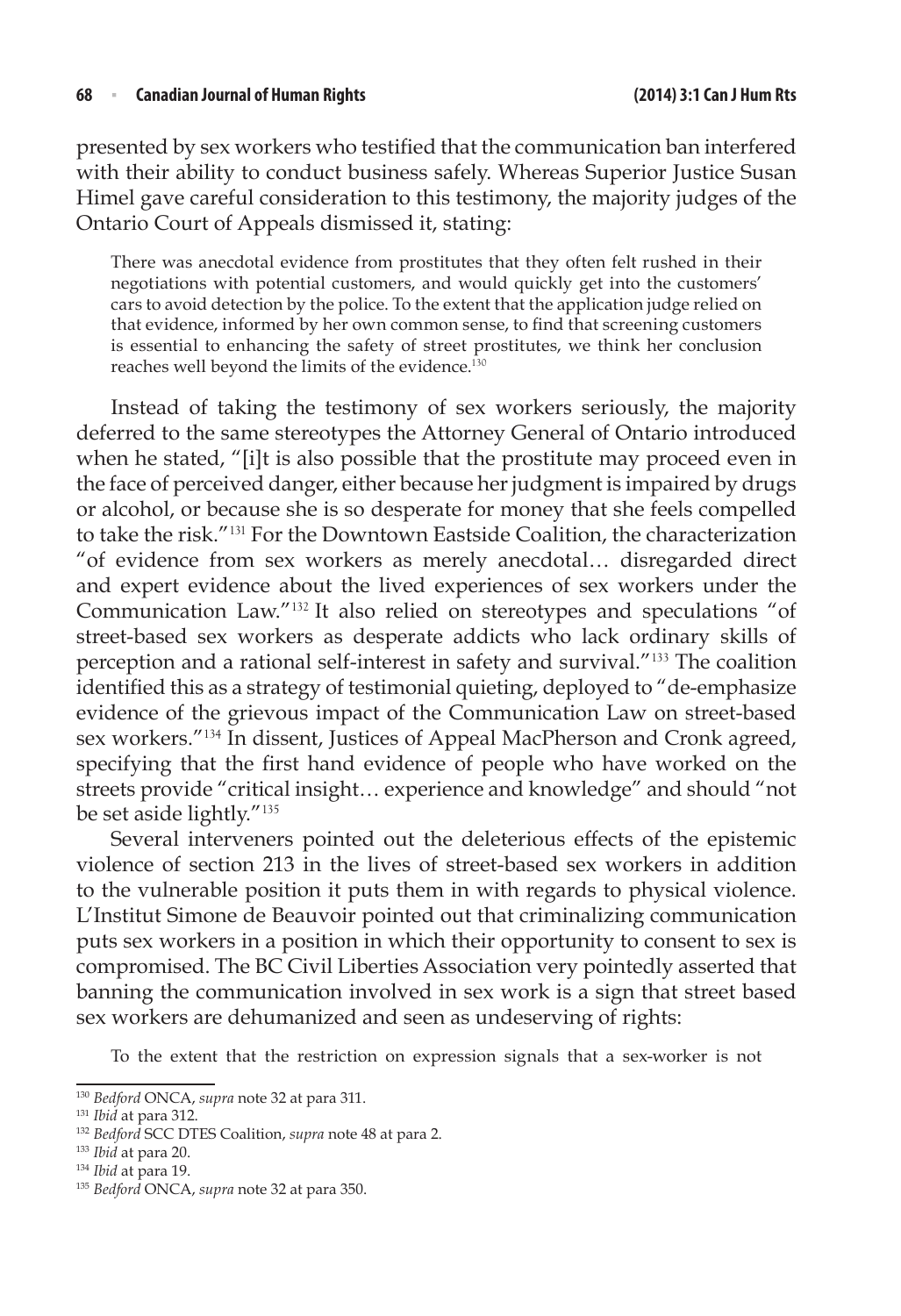presented by sex workers who testified that the communication ban interfered with their ability to conduct business safely. Whereas Superior Justice Susan Himel gave careful consideration to this testimony, the majority judges of the Ontario Court of Appeals dismissed it, stating:

There was anecdotal evidence from prostitutes that they often felt rushed in their negotiations with potential customers, and would quickly get into the customers' cars to avoid detection by the police. To the extent that the application judge relied on that evidence, informed by her own common sense, to find that screening customers is essential to enhancing the safety of street prostitutes, we think her conclusion reaches well beyond the limits of the evidence.<sup>130</sup>

Instead of taking the testimony of sex workers seriously, the majority deferred to the same stereotypes the Attorney General of Ontario introduced when he stated, "[i]t is also possible that the prostitute may proceed even in the face of perceived danger, either because her judgment is impaired by drugs or alcohol, or because she is so desperate for money that she feels compelled to take the risk."<sup>131</sup> For the Downtown Eastside Coalition, the characterization "of evidence from sex workers as merely anecdotal… disregarded direct and expert evidence about the lived experiences of sex workers under the Communication Law."<sup>132</sup> It also relied on stereotypes and speculations "of street-based sex workers as desperate addicts who lack ordinary skills of perception and a rational self-interest in safety and survival."<sup>133</sup> The coalition identified this as a strategy of testimonial quieting, deployed to "de-emphasize evidence of the grievous impact of the Communication Law on street-based sex workers."<sup>134</sup> In dissent, Justices of Appeal MacPherson and Cronk agreed, specifying that the first hand evidence of people who have worked on the streets provide "critical insight… experience and knowledge" and should "not be set aside lightly."<sup>135</sup>

Several interveners pointed out the deleterious effects of the epistemic violence of section 213 in the lives of street-based sex workers in addition to the vulnerable position it puts them in with regards to physical violence. L'Institut Simone de Beauvoir pointed out that criminalizing communication puts sex workers in a position in which their opportunity to consent to sex is compromised. The BC Civil Liberties Association very pointedly asserted that banning the communication involved in sex work is a sign that street based sex workers are dehumanized and seen as undeserving of rights:

To the extent that the restriction on expression signals that a sex-worker is not

<sup>130</sup> *Bedford* ONCA, *supra* note 32 at para 311.

<sup>131</sup> *Ibid* at para 312.

<sup>132</sup> *Bedford* SCC DTES Coalition, *supra* note 48 at para 2.

<sup>133</sup> *Ibid* at para 20.

<sup>134</sup> *Ibid* at para 19.

<sup>135</sup> *Bedford* ONCA, *supra* note 32 at para 350.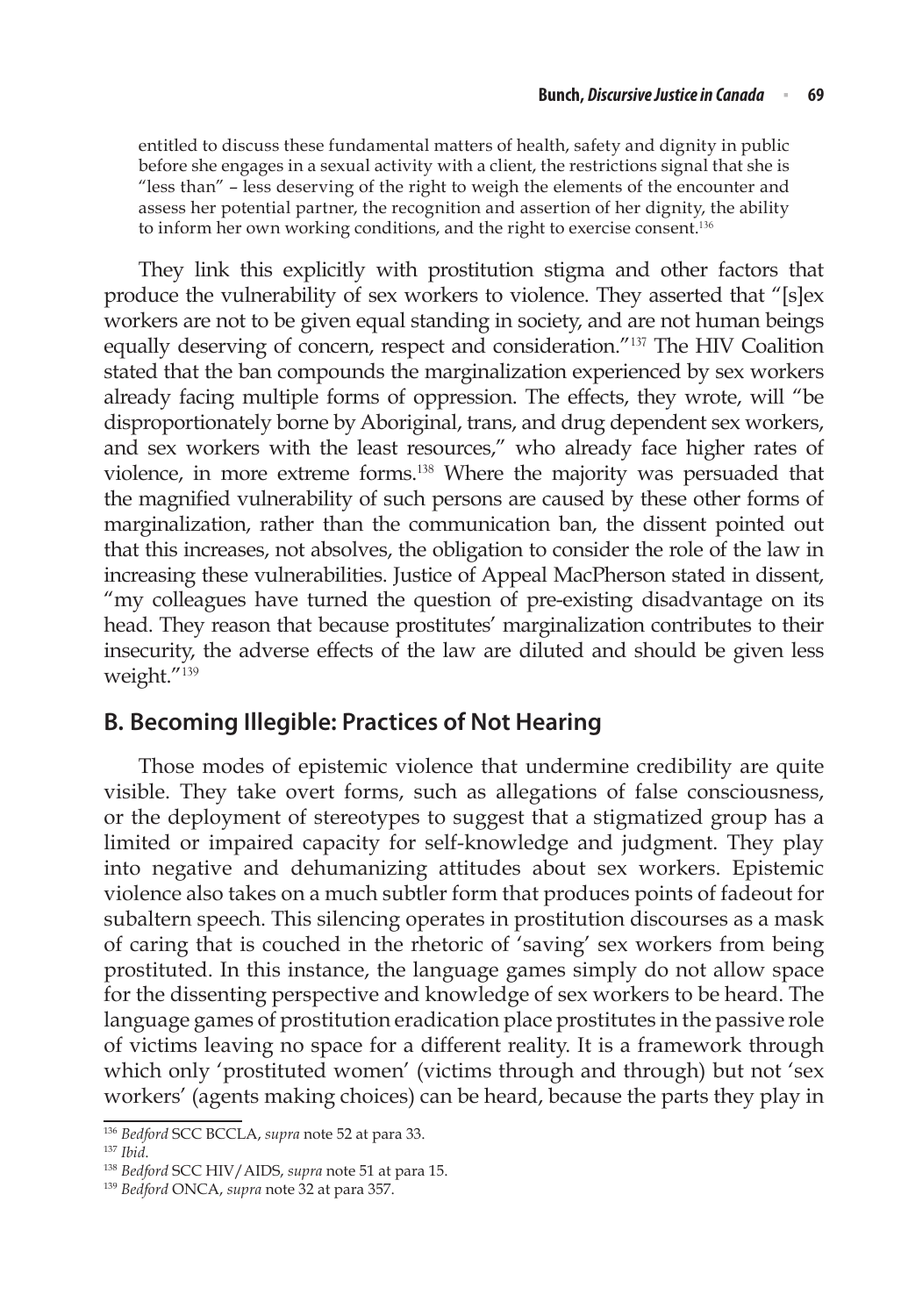entitled to discuss these fundamental matters of health, safety and dignity in public before she engages in a sexual activity with a client, the restrictions signal that she is "less than" – less deserving of the right to weigh the elements of the encounter and assess her potential partner, the recognition and assertion of her dignity, the ability to inform her own working conditions, and the right to exercise consent.<sup>136</sup>

They link this explicitly with prostitution stigma and other factors that produce the vulnerability of sex workers to violence. They asserted that "[s]ex workers are not to be given equal standing in society, and are not human beings equally deserving of concern, respect and consideration."<sup>137</sup> The HIV Coalition stated that the ban compounds the marginalization experienced by sex workers already facing multiple forms of oppression. The effects, they wrote, will "be disproportionately borne by Aboriginal, trans, and drug dependent sex workers, and sex workers with the least resources," who already face higher rates of violence, in more extreme forms.<sup>138</sup> Where the majority was persuaded that the magnified vulnerability of such persons are caused by these other forms of marginalization, rather than the communication ban, the dissent pointed out that this increases, not absolves, the obligation to consider the role of the law in increasing these vulnerabilities. Justice of Appeal MacPherson stated in dissent, "my colleagues have turned the question of pre-existing disadvantage on its head. They reason that because prostitutes' marginalization contributes to their insecurity, the adverse effects of the law are diluted and should be given less weight."<sup>139</sup>

### **B. Becoming Illegible: Practices of Not Hearing**

Those modes of epistemic violence that undermine credibility are quite visible. They take overt forms, such as allegations of false consciousness, or the deployment of stereotypes to suggest that a stigmatized group has a limited or impaired capacity for self-knowledge and judgment. They play into negative and dehumanizing attitudes about sex workers. Epistemic violence also takes on a much subtler form that produces points of fadeout for subaltern speech. This silencing operates in prostitution discourses as a mask of caring that is couched in the rhetoric of 'saving' sex workers from being prostituted. In this instance, the language games simply do not allow space for the dissenting perspective and knowledge of sex workers to be heard. The language games of prostitution eradication place prostitutes in the passive role of victims leaving no space for a different reality. It is a framework through which only 'prostituted women' (victims through and through) but not 'sex workers' (agents making choices) can be heard, because the parts they play in

<sup>136</sup> *Bedford* SCC BCCLA, *supra* note 52 at para 33.

<sup>137</sup> *Ibid*.

<sup>138</sup> *Bedford* SCC HIV/AIDS, *supra* note 51 at para 15.

<sup>139</sup> *Bedford* ONCA, *supra* note 32 at para 357.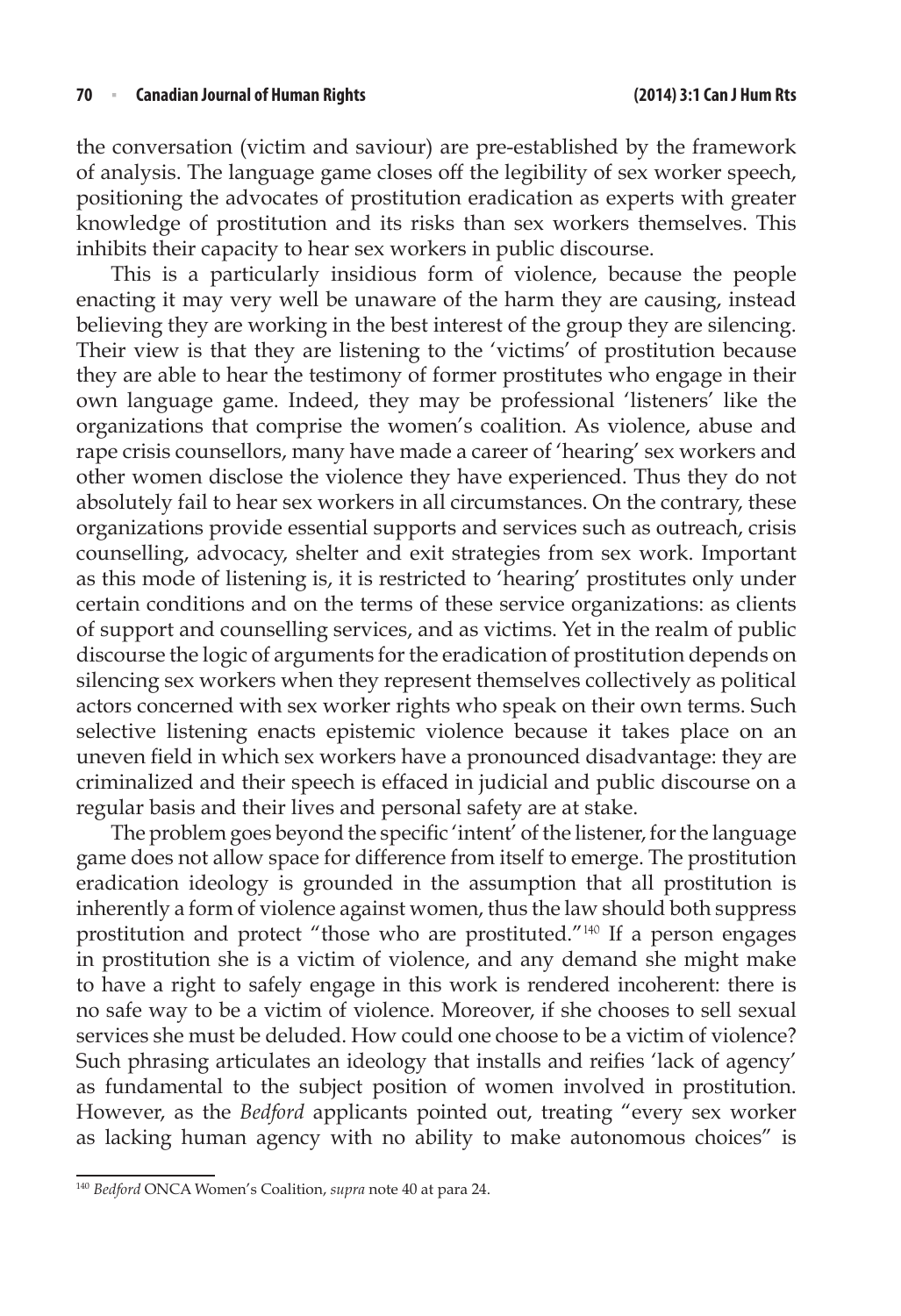the conversation (victim and saviour) are pre-established by the framework of analysis. The language game closes off the legibility of sex worker speech, positioning the advocates of prostitution eradication as experts with greater knowledge of prostitution and its risks than sex workers themselves. This inhibits their capacity to hear sex workers in public discourse.

This is a particularly insidious form of violence, because the people enacting it may very well be unaware of the harm they are causing, instead believing they are working in the best interest of the group they are silencing. Their view is that they are listening to the 'victims' of prostitution because they are able to hear the testimony of former prostitutes who engage in their own language game. Indeed, they may be professional 'listeners' like the organizations that comprise the women's coalition. As violence, abuse and rape crisis counsellors, many have made a career of 'hearing' sex workers and other women disclose the violence they have experienced. Thus they do not absolutely fail to hear sex workers in all circumstances. On the contrary, these organizations provide essential supports and services such as outreach, crisis counselling, advocacy, shelter and exit strategies from sex work. Important as this mode of listening is, it is restricted to 'hearing' prostitutes only under certain conditions and on the terms of these service organizations: as clients of support and counselling services, and as victims. Yet in the realm of public discourse the logic of arguments for the eradication of prostitution depends on silencing sex workers when they represent themselves collectively as political actors concerned with sex worker rights who speak on their own terms. Such selective listening enacts epistemic violence because it takes place on an uneven field in which sex workers have a pronounced disadvantage: they are criminalized and their speech is effaced in judicial and public discourse on a regular basis and their lives and personal safety are at stake.

The problem goes beyond the specific 'intent' of the listener, for the language game does not allow space for difference from itself to emerge. The prostitution eradication ideology is grounded in the assumption that all prostitution is inherently a form of violence against women, thus the law should both suppress prostitution and protect "those who are prostituted."<sup>140</sup> If a person engages in prostitution she is a victim of violence, and any demand she might make to have a right to safely engage in this work is rendered incoherent: there is no safe way to be a victim of violence. Moreover, if she chooses to sell sexual services she must be deluded. How could one choose to be a victim of violence? Such phrasing articulates an ideology that installs and reifies 'lack of agency' as fundamental to the subject position of women involved in prostitution. However, as the *Bedford* applicants pointed out, treating "every sex worker as lacking human agency with no ability to make autonomous choices" is

<sup>140</sup> *Bedford* ONCA Women's Coalition, *supra* note 40 at para 24.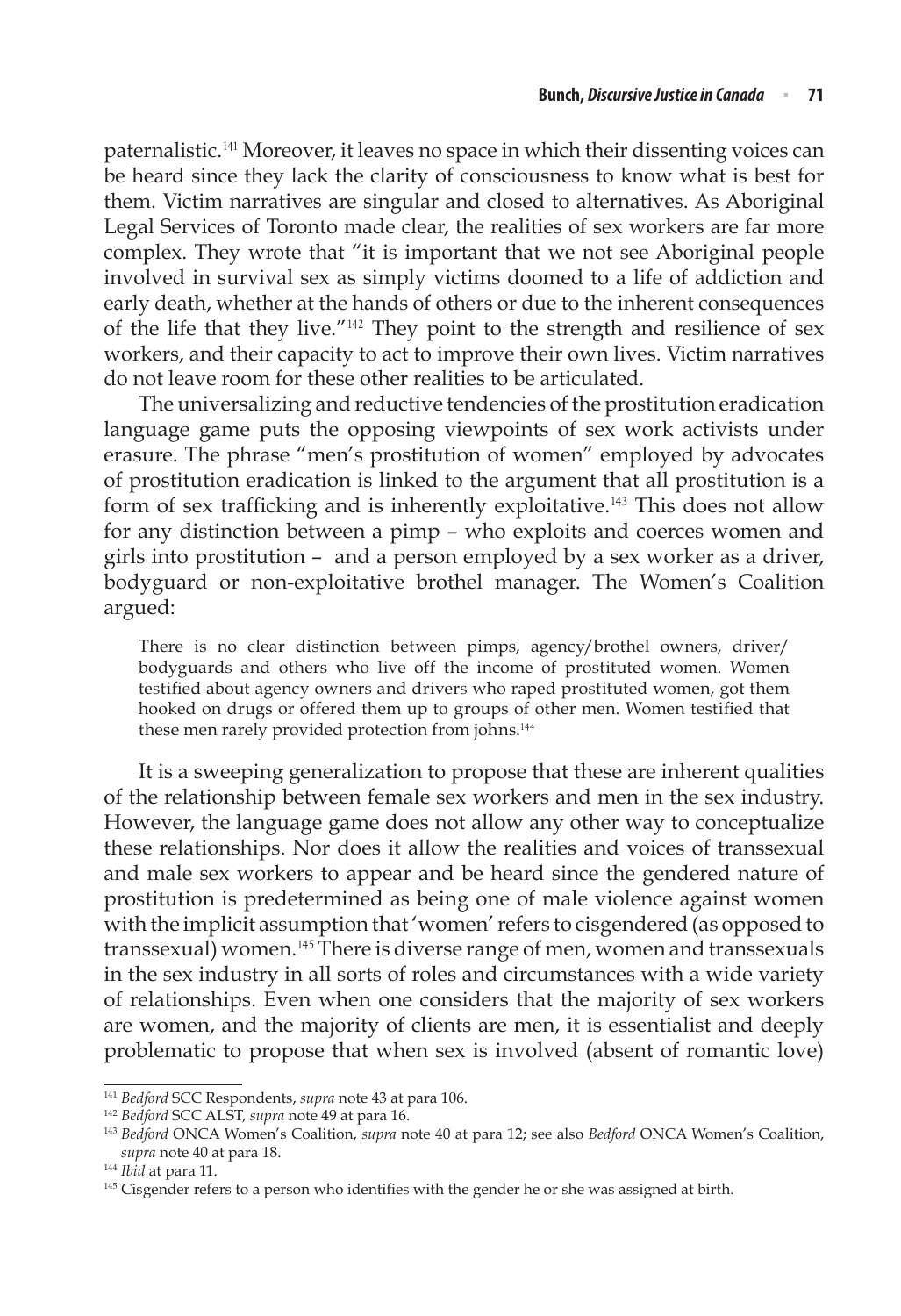paternalistic.<sup>141</sup> Moreover, it leaves no space in which their dissenting voices can be heard since they lack the clarity of consciousness to know what is best for them. Victim narratives are singular and closed to alternatives. As Aboriginal Legal Services of Toronto made clear, the realities of sex workers are far more complex. They wrote that "it is important that we not see Aboriginal people involved in survival sex as simply victims doomed to a life of addiction and early death, whether at the hands of others or due to the inherent consequences of the life that they live."<sup>142</sup> They point to the strength and resilience of sex workers, and their capacity to act to improve their own lives. Victim narratives do not leave room for these other realities to be articulated.

The universalizing and reductive tendencies of the prostitution eradication language game puts the opposing viewpoints of sex work activists under erasure. The phrase "men's prostitution of women" employed by advocates of prostitution eradication is linked to the argument that all prostitution is a form of sex trafficking and is inherently exploitative.<sup>143</sup> This does not allow for any distinction between a pimp – who exploits and coerces women and girls into prostitution – and a person employed by a sex worker as a driver, bodyguard or non-exploitative brothel manager. The Women's Coalition argued:

There is no clear distinction between pimps, agency/brothel owners, driver/ bodyguards and others who live off the income of prostituted women. Women testified about agency owners and drivers who raped prostituted women, got them hooked on drugs or offered them up to groups of other men. Women testified that these men rarely provided protection from johns.<sup>144</sup>

It is a sweeping generalization to propose that these are inherent qualities of the relationship between female sex workers and men in the sex industry. However, the language game does not allow any other way to conceptualize these relationships. Nor does it allow the realities and voices of transsexual and male sex workers to appear and be heard since the gendered nature of prostitution is predetermined as being one of male violence against women with the implicit assumption that 'women' refers to cisgendered (as opposed to transsexual) women.<sup>145</sup> There is diverse range of men, women and transsexuals in the sex industry in all sorts of roles and circumstances with a wide variety of relationships. Even when one considers that the majority of sex workers are women, and the majority of clients are men, it is essentialist and deeply problematic to propose that when sex is involved (absent of romantic love)

<sup>141</sup> *Bedford* SCC Respondents, *supra* note 43 at para 106.

<sup>142</sup> *Bedford* SCC ALST, *supra* note 49 at para 16.

<sup>143</sup> *Bedford* ONCA Women's Coalition, *supra* note 40 at para 12; see also *Bedford* ONCA Women's Coalition, *supra* note 40 at para 18.

<sup>144</sup> *Ibid* at para 11.

<sup>&</sup>lt;sup>145</sup> Cisgender refers to a person who identifies with the gender he or she was assigned at birth.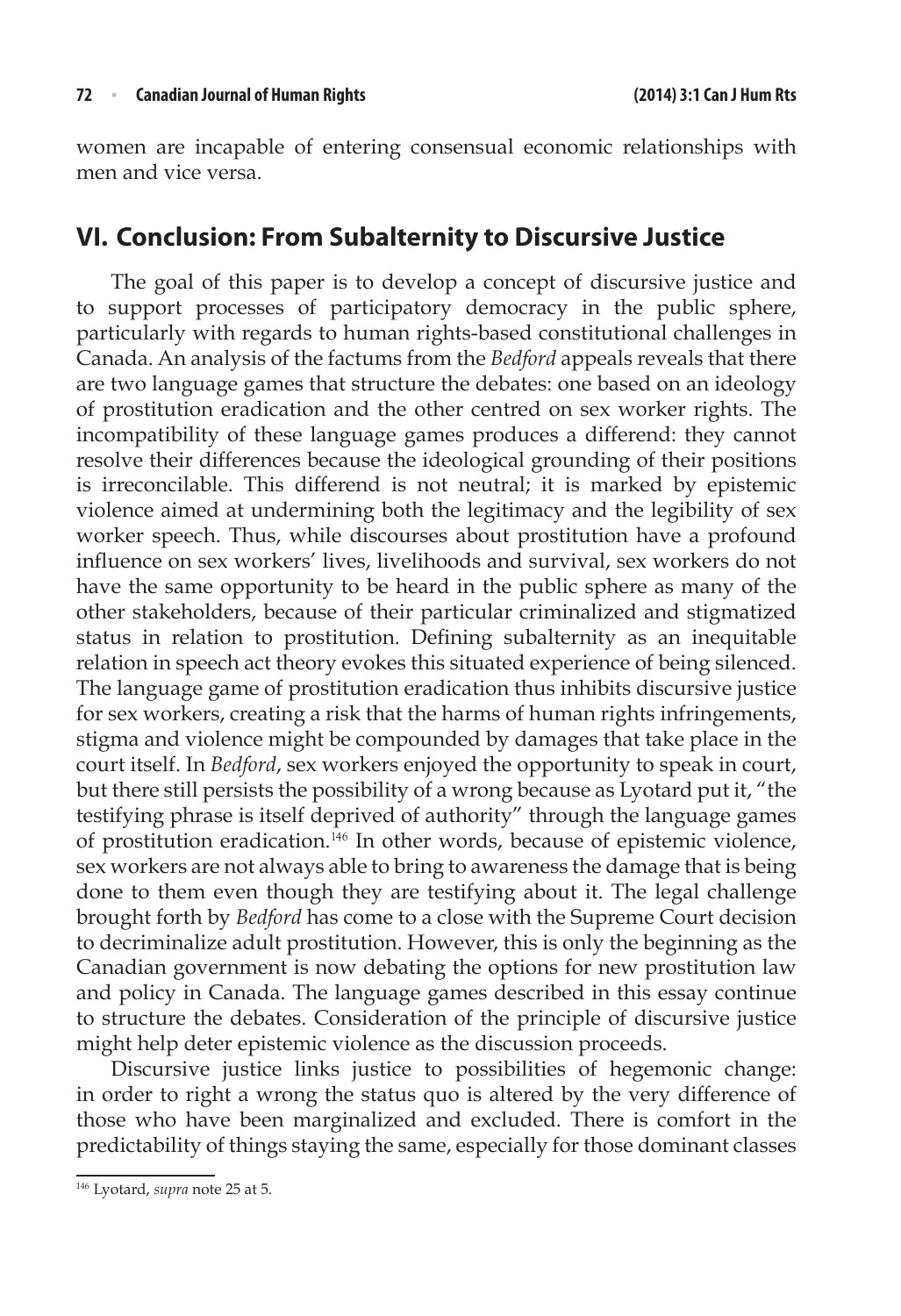women are incapable of entering consensual economic relationships with men and vice versa.

# **VI. Conclusion: From Subalternity to Discursive Justice**

The goal of this paper is to develop a concept of discursive justice and to support processes of participatory democracy in the public sphere, particularly with regards to human rights-based constitutional challenges in Canada. An analysis of the factums from the *Bedford* appeals reveals that there are two language games that structure the debates: one based on an ideology of prostitution eradication and the other centred on sex worker rights. The incompatibility of these language games produces a differend: they cannot resolve their differences because the ideological grounding of their positions is irreconcilable. This differend is not neutral; it is marked by epistemic violence aimed at undermining both the legitimacy and the legibility of sex worker speech. Thus, while discourses about prostitution have a profound influence on sex workers' lives, livelihoods and survival, sex workers do not have the same opportunity to be heard in the public sphere as many of the other stakeholders, because of their particular criminalized and stigmatized status in relation to prostitution. Defining subalternity as an inequitable relation in speech act theory evokes this situated experience of being silenced. The language game of prostitution eradication thus inhibits discursive justice for sex workers, creating a risk that the harms of human rights infringements, stigma and violence might be compounded by damages that take place in the court itself. In *Bedford*, sex workers enjoyed the opportunity to speak in court, but there still persists the possibility of a wrong because as Lyotard put it, "the testifying phrase is itself deprived of authority" through the language games of prostitution eradication.<sup>146</sup> In other words, because of epistemic violence, sex workers are not always able to bring to awareness the damage that is being done to them even though they are testifying about it. The legal challenge brought forth by *Bedford* has come to a close with the Supreme Court decision to decriminalize adult prostitution. However, this is only the beginning as the Canadian government is now debating the options for new prostitution law and policy in Canada. The language games described in this essay continue to structure the debates. Consideration of the principle of discursive justice might help deter epistemic violence as the discussion proceeds.

Discursive justice links justice to possibilities of hegemonic change: in order to right a wrong the status quo is altered by the very difference of those who have been marginalized and excluded. There is comfort in the predictability of things staying the same, especially for those dominant classes

<sup>146</sup> Lyotard, *supra* note 25 at 5.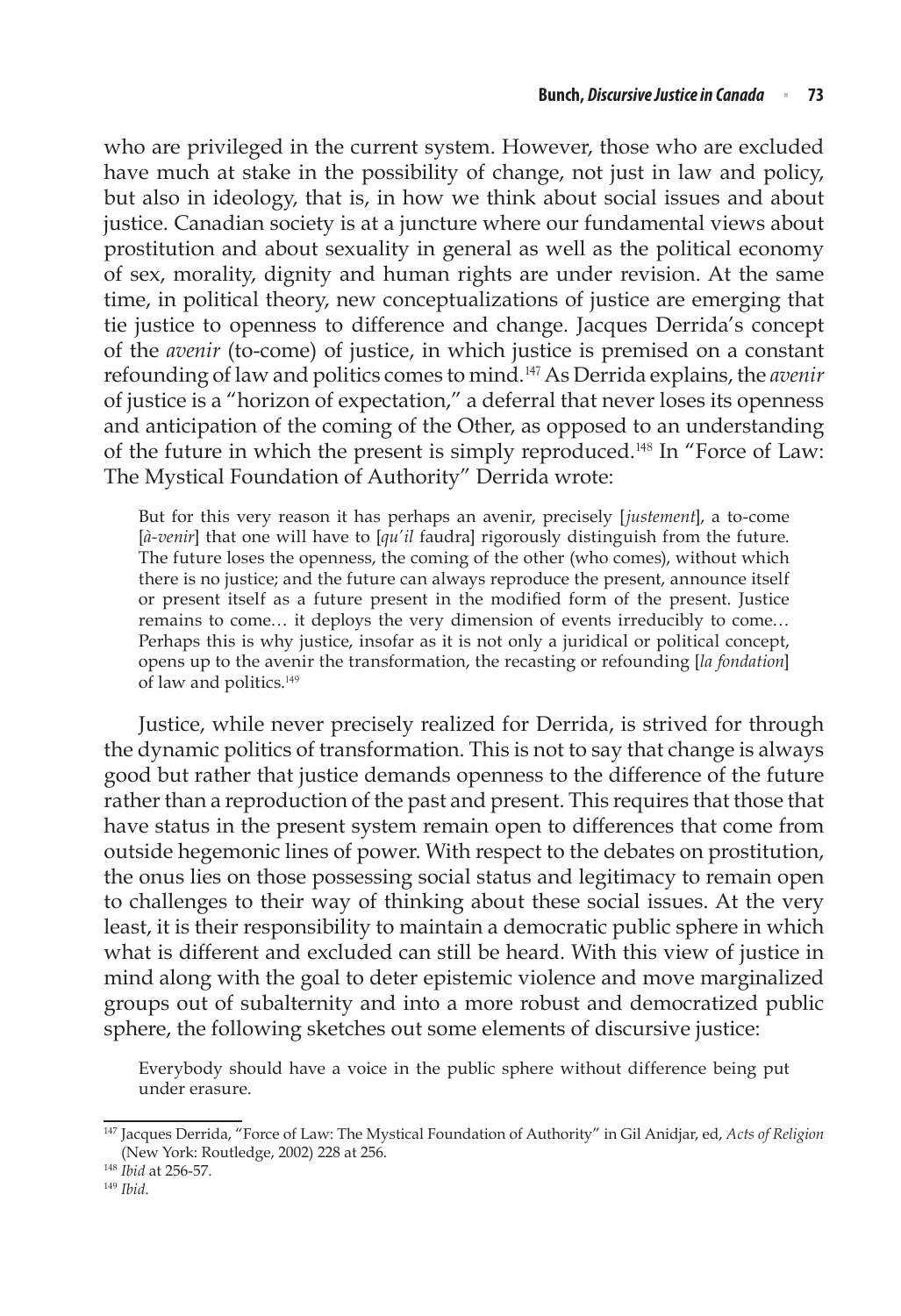who are privileged in the current system. However, those who are excluded have much at stake in the possibility of change, not just in law and policy, but also in ideology, that is, in how we think about social issues and about justice. Canadian society is at a juncture where our fundamental views about prostitution and about sexuality in general as well as the political economy of sex, morality, dignity and human rights are under revision. At the same time, in political theory, new conceptualizations of justice are emerging that tie justice to openness to difference and change. Jacques Derrida's concept of the *avenir* (to-come) of justice, in which justice is premised on a constant refounding of law and politics comes to mind.<sup>147</sup> As Derrida explains, the *avenir* of justice is a "horizon of expectation," a deferral that never loses its openness and anticipation of the coming of the Other, as opposed to an understanding of the future in which the present is simply reproduced.<sup>148</sup> In "Force of Law: The Mystical Foundation of Authority" Derrida wrote:

But for this very reason it has perhaps an avenir, precisely [*justement*], a to-come [*à-venir*] that one will have to [*qu'il* faudra] rigorously distinguish from the future. The future loses the openness, the coming of the other (who comes), without which there is no justice; and the future can always reproduce the present, announce itself or present itself as a future present in the modified form of the present. Justice remains to come… it deploys the very dimension of events irreducibly to come… Perhaps this is why justice, insofar as it is not only a juridical or political concept, opens up to the avenir the transformation, the recasting or refounding [*la fondation*] of law and politics.<sup>149</sup>

Justice, while never precisely realized for Derrida, is strived for through the dynamic politics of transformation. This is not to say that change is always good but rather that justice demands openness to the difference of the future rather than a reproduction of the past and present. This requires that those that have status in the present system remain open to differences that come from outside hegemonic lines of power. With respect to the debates on prostitution, the onus lies on those possessing social status and legitimacy to remain open to challenges to their way of thinking about these social issues. At the very least, it is their responsibility to maintain a democratic public sphere in which what is different and excluded can still be heard. With this view of justice in mind along with the goal to deter epistemic violence and move marginalized groups out of subalternity and into a more robust and democratized public sphere, the following sketches out some elements of discursive justice:

Everybody should have a voice in the public sphere without difference being put under erasure.

<sup>147</sup> Jacques Derrida, "Force of Law: The Mystical Foundation of Authority" in Gil Anidjar, ed, *Acts of Religion*  (New York: Routledge, 2002) 228 at 256.

<sup>148</sup> *Ibid* at 256-57.

<sup>149</sup> *Ibid*.